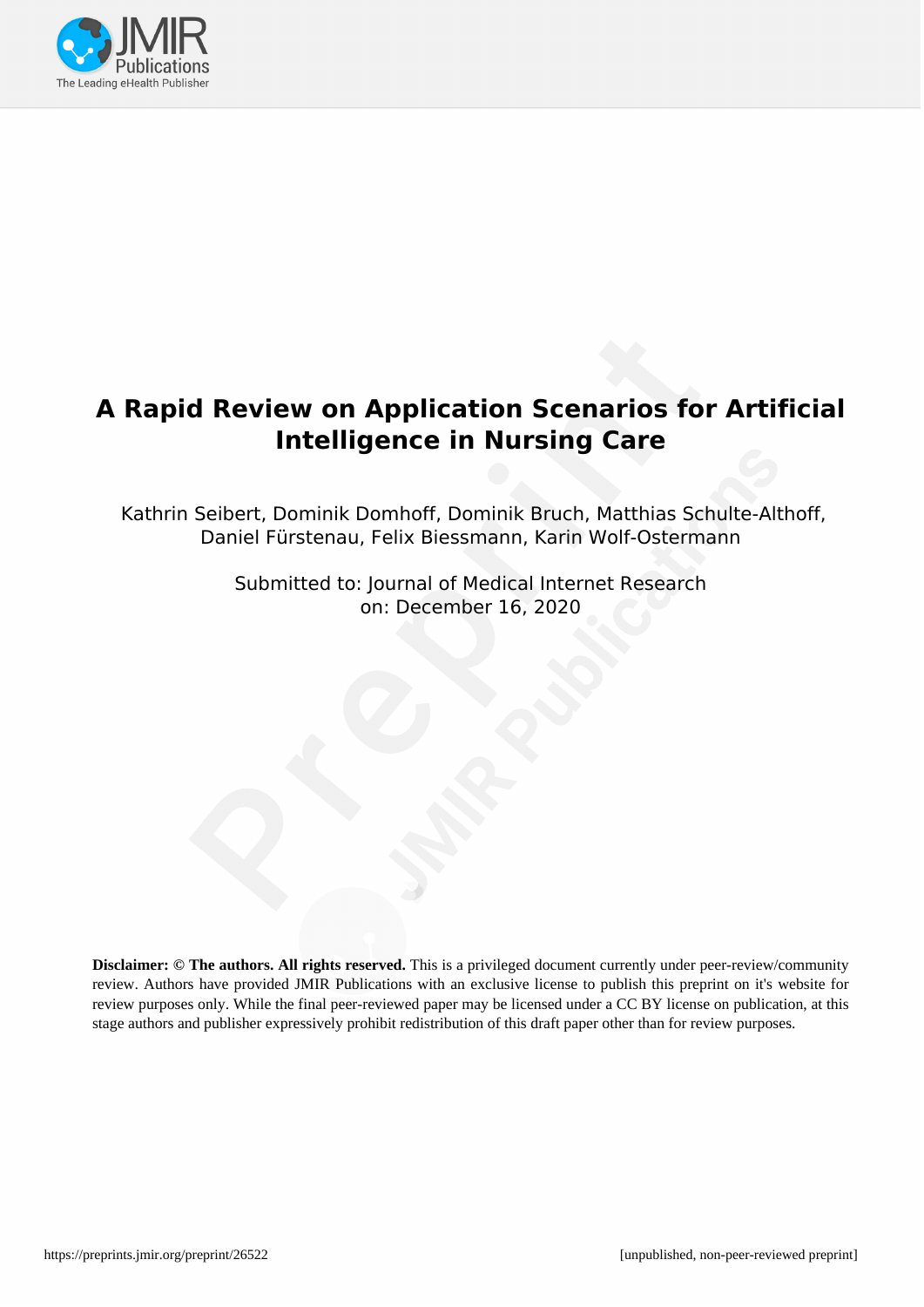

# **A Rapid Review on Application Scenarios for Artificial Intelligence in Nursing Care**

Kathrin Seibert, Dominik Domhoff, Dominik Bruch, Matthias Schulte-Althoff, Daniel Fürstenau, Felix Biessmann, Karin Wolf-Ostermann

> Submitted to: Journal of Medical Internet Research on: December 16, 2020

**Disclaimer: © The authors. All rights reserved.** This is a privileged document currently under peer-review/community review. Authors have provided JMIR Publications with an exclusive license to publish this preprint on it's website for review purposes only. While the final peer-reviewed paper may be licensed under a CC BY license on publication, at this stage authors and publisher expressively prohibit redistribution of this draft paper other than for review purposes.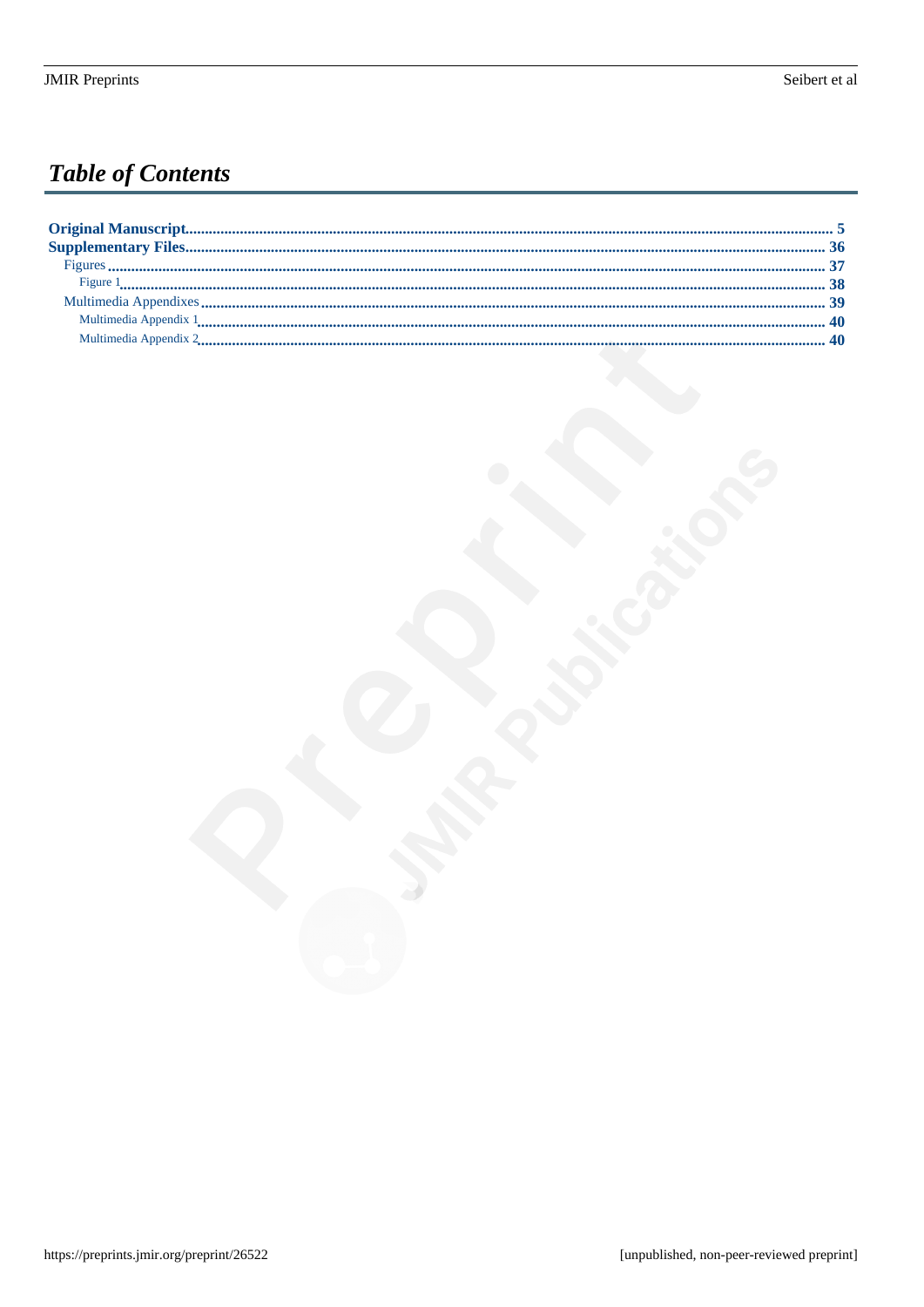# **Table of Contents**

| Multimedia Appendix 2 |
|-----------------------|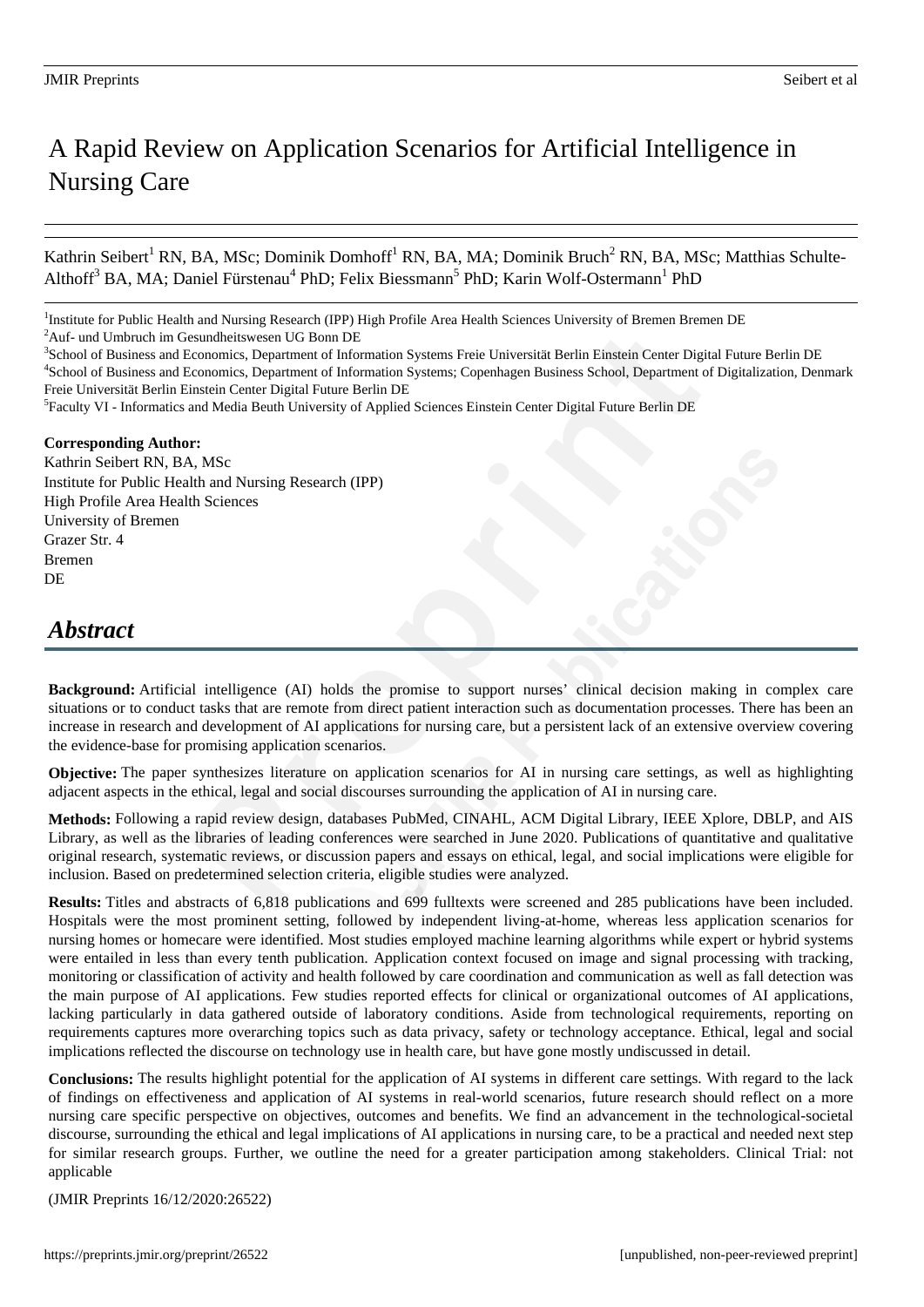# A Rapid Review on Application Scenarios for Artificial Intelligence in Nursing Care

Kathrin Seibert<sup>1</sup> RN, BA, MSc; Dominik Domhoff<sup>1</sup> RN, BA, MA; Dominik Bruch<sup>2</sup> RN, BA, MSc; Matthias Schulte-Althoff<sup>3</sup> BA, MA; Daniel Fürstenau<sup>4</sup> PhD; Felix Biessmann<sup>5</sup> PhD; Karin Wolf-Ostermann<sup>1</sup> PhD

<sup>3</sup>School of Business and Economics, Department of Information Systems Freie Universität Berlin Einstein Center Digital Future Berlin DE <sup>4</sup>School of Business and Economics, Department of Information Systems; Copenhagen Business School, Department of Digitalization, Denmark Freie Universität Berlin Einstein Center Digital Future Berlin DE

<sup>5</sup> Faculty VI - Informatics and Media Beuth University of Applied Sciences Einstein Center Digital Future Berlin DE

#### **Corresponding Author:**

Kathrin Seibert RN, BA, MSc Institute for Public Health and Nursing Research (IPP) High Profile Area Health Sciences University of Bremen Grazer Str. 4 Bremen DE

# *Abstract*

**Background:** Artificial intelligence (AI) holds the promise to support nurses' clinical decision making in complex care situations or to conduct tasks that are remote from direct patient interaction such as documentation processes. There has been an increase in research and development of AI applications for nursing care, but a persistent lack of an extensive overview covering the evidence-base for promising application scenarios.

**Objective:** The paper synthesizes literature on application scenarios for AI in nursing care settings, as well as highlighting adjacent aspects in the ethical, legal and social discourses surrounding the application of AI in nursing care.

**Methods:** Following a rapid review design, databases PubMed, CINAHL, ACM Digital Library, IEEE Xplore, DBLP, and AIS Library, as well as the libraries of leading conferences were searched in June 2020. Publications of quantitative and qualitative original research, systematic reviews, or discussion papers and essays on ethical, legal, and social implications were eligible for inclusion. Based on predetermined selection criteria, eligible studies were analyzed.

**Results:** Titles and abstracts of 6,818 publications and 699 fulltexts were screened and 285 publications have been included. Hospitals were the most prominent setting, followed by independent living-at-home, whereas less application scenarios for nursing homes or homecare were identified. Most studies employed machine learning algorithms while expert or hybrid systems were entailed in less than every tenth publication. Application context focused on image and signal processing with tracking, monitoring or classification of activity and health followed by care coordination and communication as well as fall detection was the main purpose of AI applications. Few studies reported effects for clinical or organizational outcomes of AI applications, lacking particularly in data gathered outside of laboratory conditions. Aside from technological requirements, reporting on requirements captures more overarching topics such as data privacy, safety or technology acceptance. Ethical, legal and social implications reflected the discourse on technology use in health care, but have gone mostly undiscussed in detail.

**Conclusions:** The results highlight potential for the application of AI systems in different care settings. With regard to the lack of findings on effectiveness and application of AI systems in real-world scenarios, future research should reflect on a more nursing care specific perspective on objectives, outcomes and benefits. We find an advancement in the technological-societal discourse, surrounding the ethical and legal implications of AI applications in nursing care, to be a practical and needed next step for similar research groups. Further, we outline the need for a greater participation among stakeholders. Clinical Trial: not applicable

(JMIR Preprints 16/12/2020:26522)

<sup>&</sup>lt;sup>1</sup>Institute for Public Health and Nursing Research (IPP) High Profile Area Health Sciences University of Bremen Bremen DE  $^{2}\!$  Auf- und Umbruch im Gesundheitswesen UG Bonn DE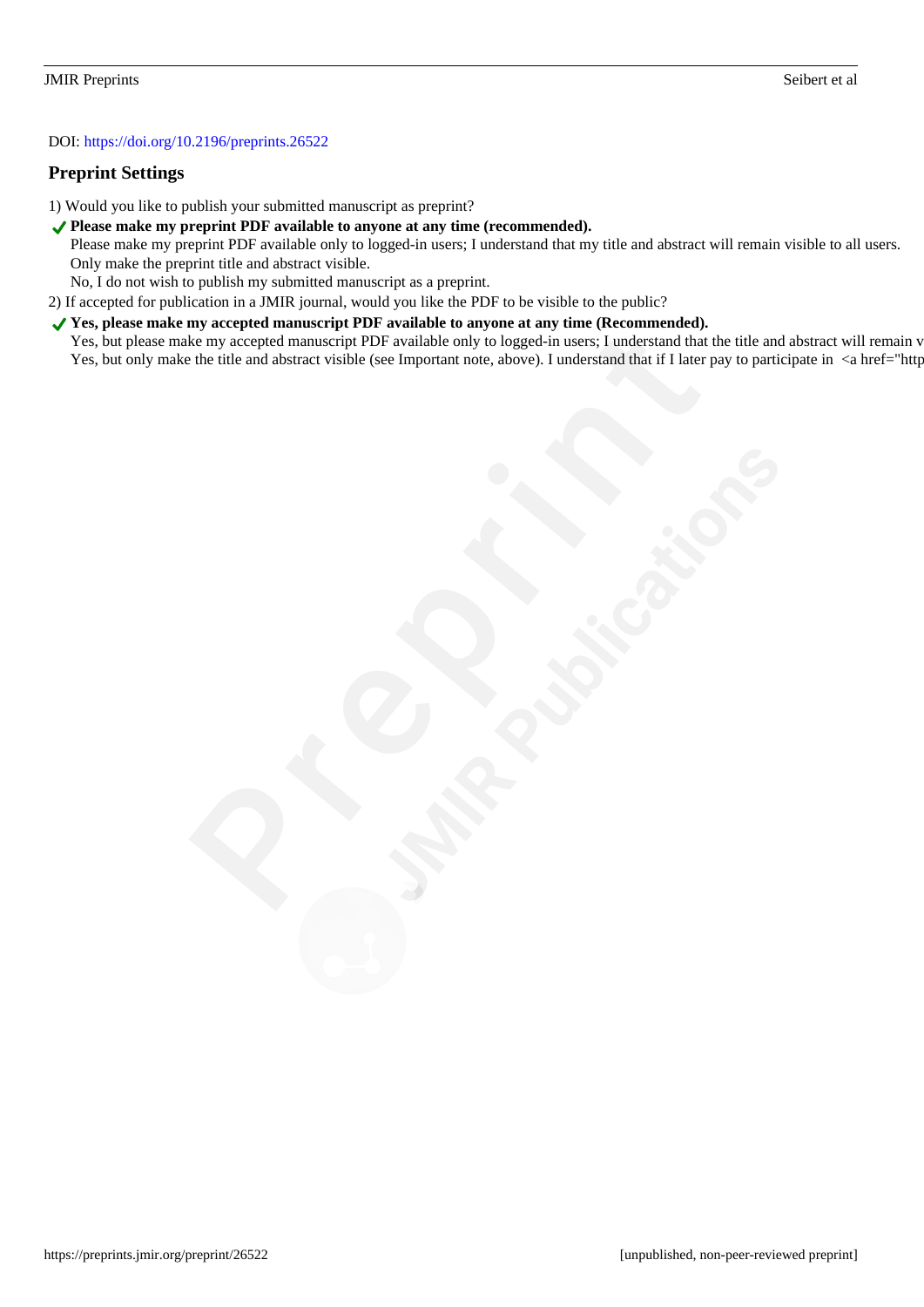#### DOI: https://doi.org/10.2196/preprints.26522

#### **Preprint Settings**

- 1) Would you like to publish your submitted manuscript as preprint?
- ◆ Please make my preprint PDF available to anyone at any time (recommended).
	- Please make my preprint PDF available only to logged-in users; I understand that my title and abstract will remain visible to all users. Only make the preprint title and abstract visible.
	- No, I do not wish to publish my submitted manuscript as a preprint.
- 2) If accepted for publication in a JMIR journal, would you like the PDF to be visible to the public?
- ◆ Yes, please make my accepted manuscript PDF available to anyone at any time (Recommended). Yes, but please make my accepted manuscript PDF available only to logged-in users; I understand that the title and abstract will remain v Yes, but only make the title and abstract visible (see Important note, above). I understand that if I later pay to participate in <a href="http://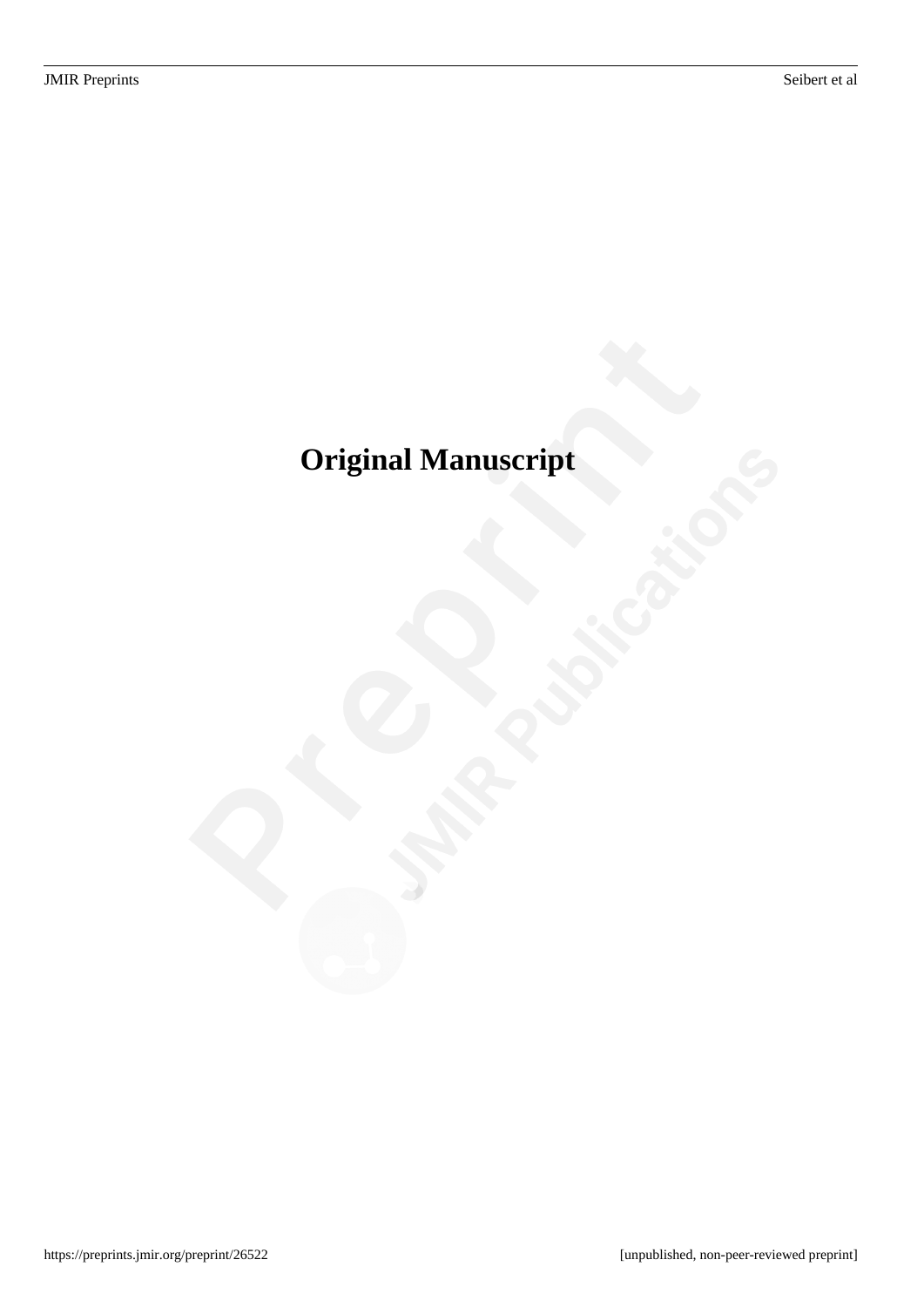# <span id="page-4-0"></span>**Original Manuscript**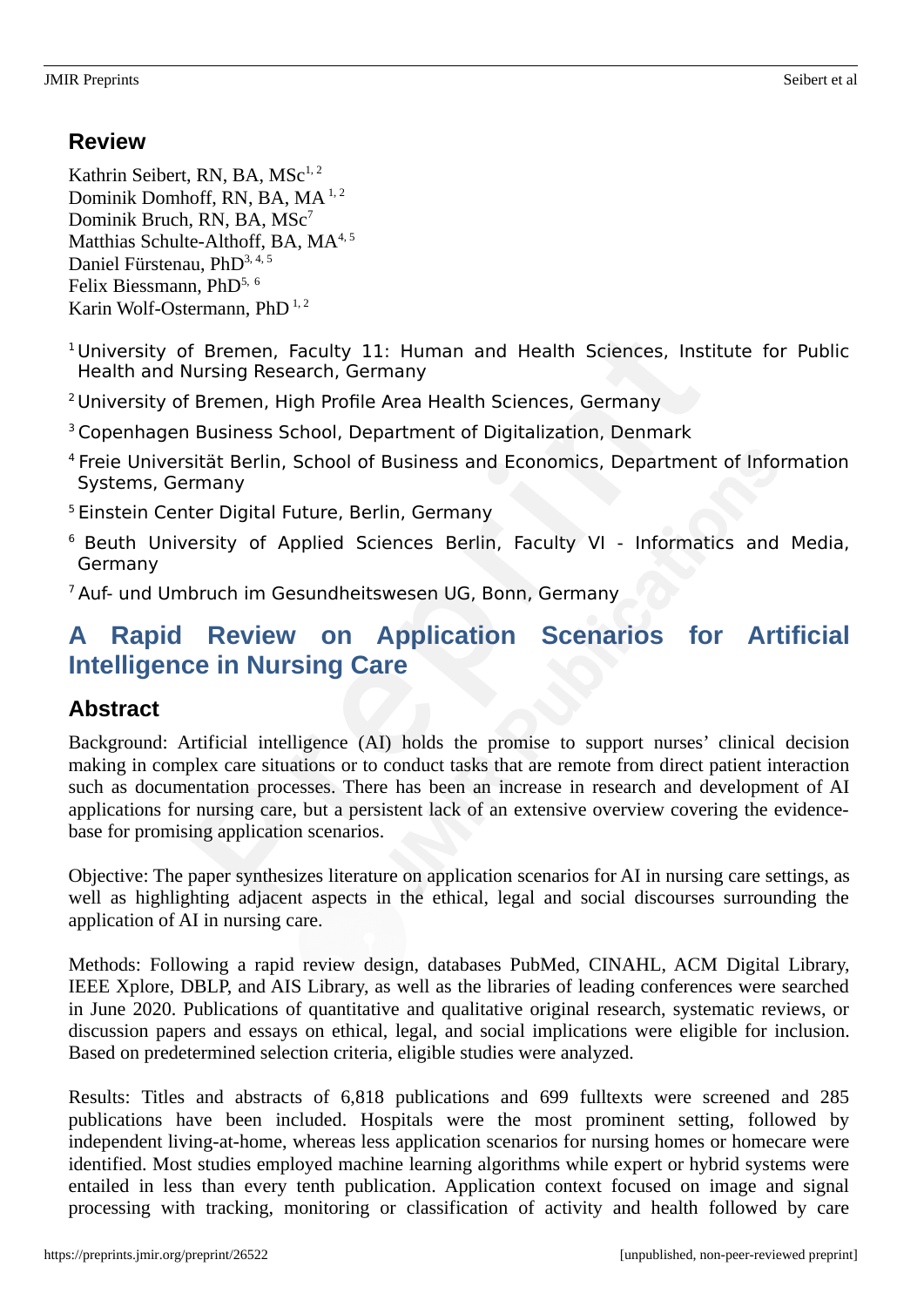# **Review**

Kathrin Seibert, RN, BA,  $MSc^{1,2}$ Dominik Domhoff, RN, BA, MA<sup>1,2</sup> Dominik Bruch, RN, BA, MSc<sup>7</sup> Matthias Schulte-Althoff, BA,  $MA<sup>4,5</sup>$ Daniel Fürstenau, PhD<sup>3, 4, 5</sup> Felix Biessmann, PhD5, <sup>6</sup> Karin Wolf-Ostermann, PhD<sup>1,2</sup>

- <sup>1</sup> University of Bremen, Faculty 11: Human and Health Sciences, Institute for Public Health and Nursing Research, Germany
- <sup>2</sup> University of Bremen, High Profile Area Health Sciences, Germany
- <sup>3</sup>Copenhagen Business School, Department of Digitalization, Denmark
- <sup>4</sup> Freie Universität Berlin, School of Business and Economics, Department of Information Systems, Germany
- <sup>5</sup> Einstein Center Digital Future, Berlin, Germany
- <sup>6</sup> Beuth University of Applied Sciences Berlin, Faculty VI Informatics and Media, Germany

<sup>7</sup> Auf- und Umbruch im Gesundheitswesen UG, Bonn, Germany

# **A Rapid Review on Application Scenarios for Artificial Intelligence in Nursing Care**

# **Abstract**

Background: Artificial intelligence (AI) holds the promise to support nurses' clinical decision making in complex care situations or to conduct tasks that are remote from direct patient interaction such as documentation processes. There has been an increase in research and development of AI applications for nursing care, but a persistent lack of an extensive overview covering the evidencebase for promising application scenarios.

Objective: The paper synthesizes literature on application scenarios for AI in nursing care settings, as well as highlighting adjacent aspects in the ethical, legal and social discourses surrounding the application of AI in nursing care.

Methods: Following a rapid review design, databases PubMed, CINAHL, ACM Digital Library, IEEE Xplore, DBLP, and AIS Library, as well as the libraries of leading conferences were searched in June 2020. Publications of quantitative and qualitative original research, systematic reviews, or discussion papers and essays on ethical, legal, and social implications were eligible for inclusion. Based on predetermined selection criteria, eligible studies were analyzed.

Results: Titles and abstracts of 6,818 publications and 699 fulltexts were screened and 285 publications have been included. Hospitals were the most prominent setting, followed by independent living-at-home, whereas less application scenarios for nursing homes or homecare were identified. Most studies employed machine learning algorithms while expert or hybrid systems were entailed in less than every tenth publication. Application context focused on image and signal processing with tracking, monitoring or classification of activity and health followed by care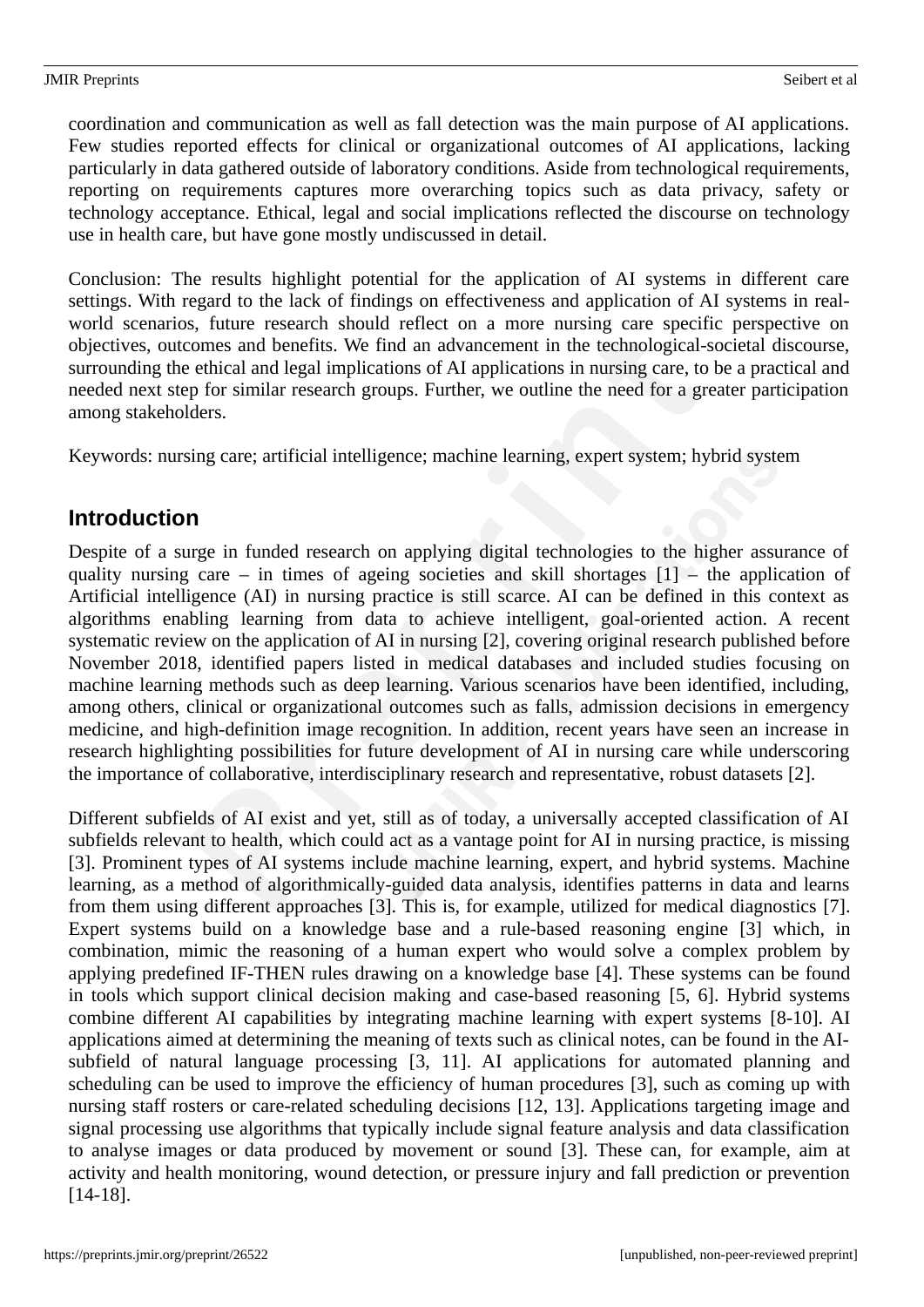coordination and communication as well as fall detection was the main purpose of AI applications. Few studies reported effects for clinical or organizational outcomes of AI applications, lacking particularly in data gathered outside of laboratory conditions. Aside from technological requirements, reporting on requirements captures more overarching topics such as data privacy, safety or technology acceptance. Ethical, legal and social implications reflected the discourse on technology use in health care, but have gone mostly undiscussed in detail.

Conclusion: The results highlight potential for the application of AI systems in different care settings. With regard to the lack of findings on effectiveness and application of AI systems in realworld scenarios, future research should reflect on a more nursing care specific perspective on objectives, outcomes and benefits. We find an advancement in the technological-societal discourse, surrounding the ethical and legal implications of AI applications in nursing care, to be a practical and needed next step for similar research groups. Further, we outline the need for a greater participation among stakeholders.

Keywords: nursing care; artificial intelligence; machine learning, expert system; hybrid system

# **Introduction**

Despite of a surge in funded research on applying digital technologies to the higher assurance of quality nursing care – in times of ageing societies and skill shortages  $[1]$  – the application of Artificial intelligence (AI) in nursing practice is still scarce. AI can be defined in this context as algorithms enabling learning from data to achieve intelligent, goal-oriented action. A recent systematic review on the application of AI in nursing [2], covering original research published before November 2018, identified papers listed in medical databases and included studies focusing on machine learning methods such as deep learning. Various scenarios have been identified, including, among others, clinical or organizational outcomes such as falls, admission decisions in emergency medicine, and high-definition image recognition. In addition, recent years have seen an increase in research highlighting possibilities for future development of AI in nursing care while underscoring the importance of collaborative, interdisciplinary research and representative, robust datasets [2].

Different subfields of AI exist and yet, still as of today, a universally accepted classification of AI subfields relevant to health, which could act as a vantage point for AI in nursing practice, is missing [3]. Prominent types of AI systems include machine learning, expert, and hybrid systems. Machine learning, as a method of algorithmically-guided data analysis, identifies patterns in data and learns from them using different approaches [3]. This is, for example, utilized for medical diagnostics [7]. Expert systems build on a knowledge base and a rule-based reasoning engine [3] which, in combination, mimic the reasoning of a human expert who would solve a complex problem by applying predefined IF-THEN rules drawing on a knowledge base [4]. These systems can be found in tools which support clinical decision making and case-based reasoning [5, 6]. Hybrid systems combine different AI capabilities by integrating machine learning with expert systems [8-10]. AI applications aimed at determining the meaning of texts such as clinical notes, can be found in the AIsubfield of natural language processing [3, 11]. AI applications for automated planning and scheduling can be used to improve the efficiency of human procedures [3], such as coming up with nursing staff rosters or care-related scheduling decisions [12, 13]. Applications targeting image and signal processing use algorithms that typically include signal feature analysis and data classification to analyse images or data produced by movement or sound [3]. These can, for example, aim at activity and health monitoring, wound detection, or pressure injury and fall prediction or prevention [14-18].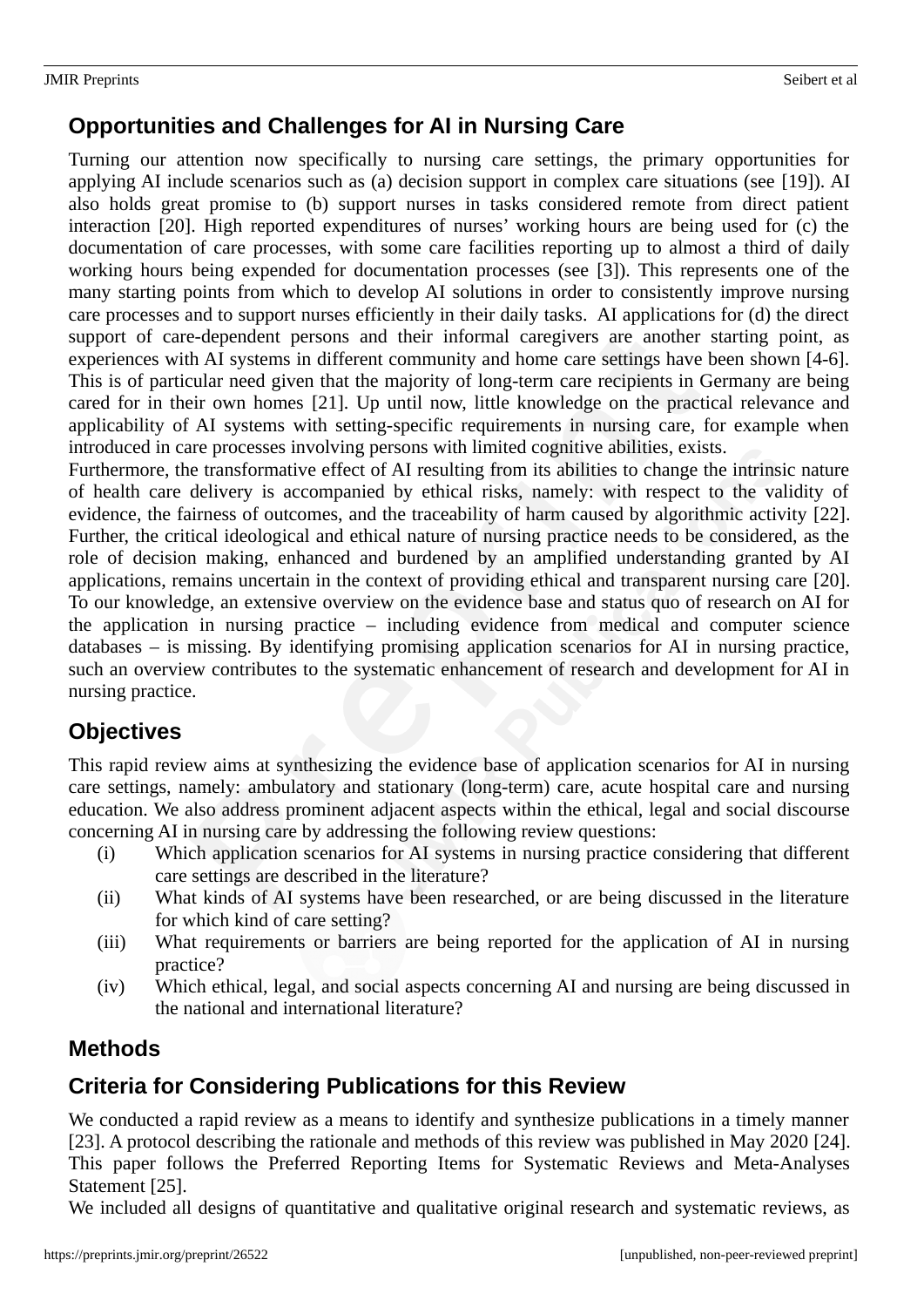# **Opportunities and Challenges for AI in Nursing Care**

Turning our attention now specifically to nursing care settings, the primary opportunities for applying AI include scenarios such as (a) decision support in complex care situations (see [19]). AI also holds great promise to (b) support nurses in tasks considered remote from direct patient interaction [20]. High reported expenditures of nurses' working hours are being used for (c) the documentation of care processes, with some care facilities reporting up to almost a third of daily working hours being expended for documentation processes (see [3]). This represents one of the many starting points from which to develop AI solutions in order to consistently improve nursing care processes and to support nurses efficiently in their daily tasks. AI applications for (d) the direct support of care-dependent persons and their informal caregivers are another starting point, as experiences with AI systems in different community and home care settings have been shown [4-6]. This is of particular need given that the majority of long-term care recipients in Germany are being cared for in their own homes [21]. Up until now, little knowledge on the practical relevance and applicability of AI systems with setting-specific requirements in nursing care, for example when introduced in care processes involving persons with limited cognitive abilities, exists.

Furthermore, the transformative effect of AI resulting from its abilities to change the intrinsic nature of health care delivery is accompanied by ethical risks, namely: with respect to the validity of evidence, the fairness of outcomes, and the traceability of harm caused by algorithmic activity [22]. Further, the critical ideological and ethical nature of nursing practice needs to be considered, as the role of decision making, enhanced and burdened by an amplified understanding granted by AI applications, remains uncertain in the context of providing ethical and transparent nursing care [20]. To our knowledge, an extensive overview on the evidence base and status quo of research on AI for the application in nursing practice – including evidence from medical and computer science databases – is missing. By identifying promising application scenarios for AI in nursing practice, such an overview contributes to the systematic enhancement of research and development for AI in nursing practice.

# **Objectives**

This rapid review aims at synthesizing the evidence base of application scenarios for AI in nursing care settings, namely: ambulatory and stationary (long-term) care, acute hospital care and nursing education. We also address prominent adjacent aspects within the ethical, legal and social discourse concerning AI in nursing care by addressing the following review questions:

- (i) Which application scenarios for AI systems in nursing practice considering that different care settings are described in the literature?
- (ii) What kinds of AI systems have been researched, or are being discussed in the literature for which kind of care setting?
- (iii) What requirements or barriers are being reported for the application of AI in nursing practice?
- (iv) Which ethical, legal, and social aspects concerning AI and nursing are being discussed in the national and international literature?

# **Methods**

# **Criteria for Considering Publications for this Review**

We conducted a rapid review as a means to identify and synthesize publications in a timely manner [23]. A protocol describing the rationale and methods of this review was published in May 2020 [24]. This paper follows the Preferred Reporting Items for Systematic Reviews and Meta-Analyses Statement [25].

We included all designs of quantitative and qualitative original research and systematic reviews, as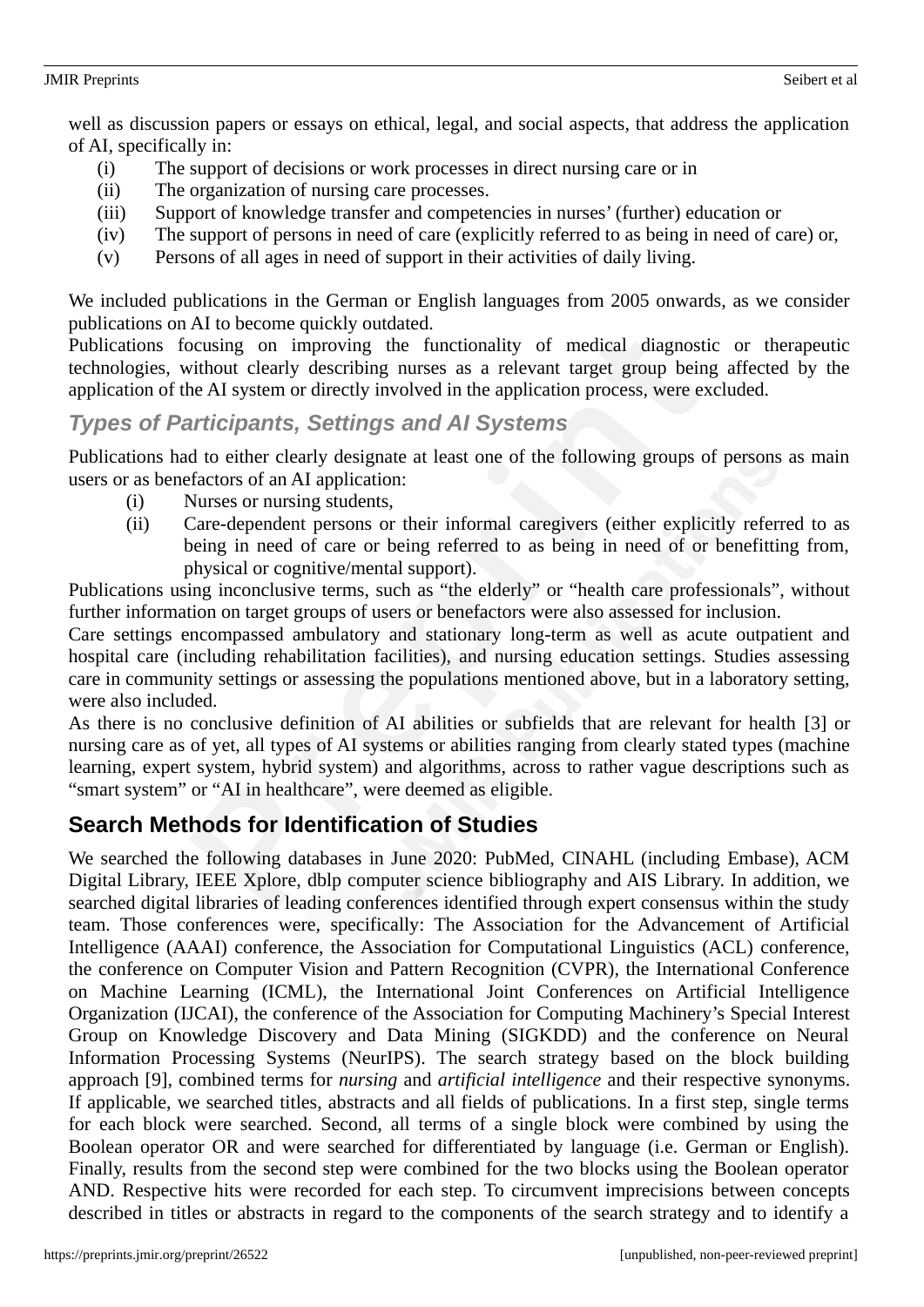#### JMIR Preprints Seibert et al.

well as discussion papers or essays on ethical, legal, and social aspects, that address the application of AI, specifically in:

- (i) The support of decisions or work processes in direct nursing care or in
- (ii) The organization of nursing care processes.
- (iii) Support of knowledge transfer and competencies in nurses' (further) education or
- (iv) The support of persons in need of care (explicitly referred to as being in need of care) or,
- (v) Persons of all ages in need of support in their activities of daily living.

We included publications in the German or English languages from 2005 onwards, as we consider publications on AI to become quickly outdated.

Publications focusing on improving the functionality of medical diagnostic or therapeutic technologies, without clearly describing nurses as a relevant target group being affected by the application of the AI system or directly involved in the application process, were excluded.

### *Types of Participants, Settings and AI Systems*

Publications had to either clearly designate at least one of the following groups of persons as main users or as benefactors of an AI application:

- (i) Nurses or nursing students,
- (ii) Care-dependent persons or their informal caregivers (either explicitly referred to as being in need of care or being referred to as being in need of or benefitting from, physical or cognitive/mental support).

Publications using inconclusive terms, such as "the elderly" or "health care professionals", without further information on target groups of users or benefactors were also assessed for inclusion.

Care settings encompassed ambulatory and stationary long-term as well as acute outpatient and hospital care (including rehabilitation facilities), and nursing education settings. Studies assessing care in community settings or assessing the populations mentioned above, but in a laboratory setting, were also included.

As there is no conclusive definition of AI abilities or subfields that are relevant for health [3] or nursing care as of yet, all types of AI systems or abilities ranging from clearly stated types (machine learning, expert system, hybrid system) and algorithms, across to rather vague descriptions such as "smart system" or "AI in healthcare", were deemed as eligible.

# **Search Methods for Identification of Studies**

We searched the following databases in June 2020: PubMed, CINAHL (including Embase), ACM Digital Library, IEEE Xplore, dblp computer science bibliography and AIS Library. In addition, we searched digital libraries of leading conferences identified through expert consensus within the study team. Those conferences were, specifically: The Association for the Advancement of Artificial Intelligence (AAAI) conference, the Association for Computational Linguistics (ACL) conference, the conference on Computer Vision and Pattern Recognition (CVPR), the International Conference on Machine Learning (ICML), the International Joint Conferences on Artificial Intelligence Organization (IJCAI), the conference of the Association for Computing Machinery's Special Interest Group on Knowledge Discovery and Data Mining (SIGKDD) and the conference on Neural Information Processing Systems (NeurIPS). The search strategy based on the block building approach [9], combined terms for *nursing* and *artificial intelligence* and their respective synonyms. If applicable, we searched titles, abstracts and all fields of publications. In a first step, single terms for each block were searched. Second, all terms of a single block were combined by using the Boolean operator OR and were searched for differentiated by language (i.e. German or English). Finally, results from the second step were combined for the two blocks using the Boolean operator AND. Respective hits were recorded for each step. To circumvent imprecisions between concepts described in titles or abstracts in regard to the components of the search strategy and to identify a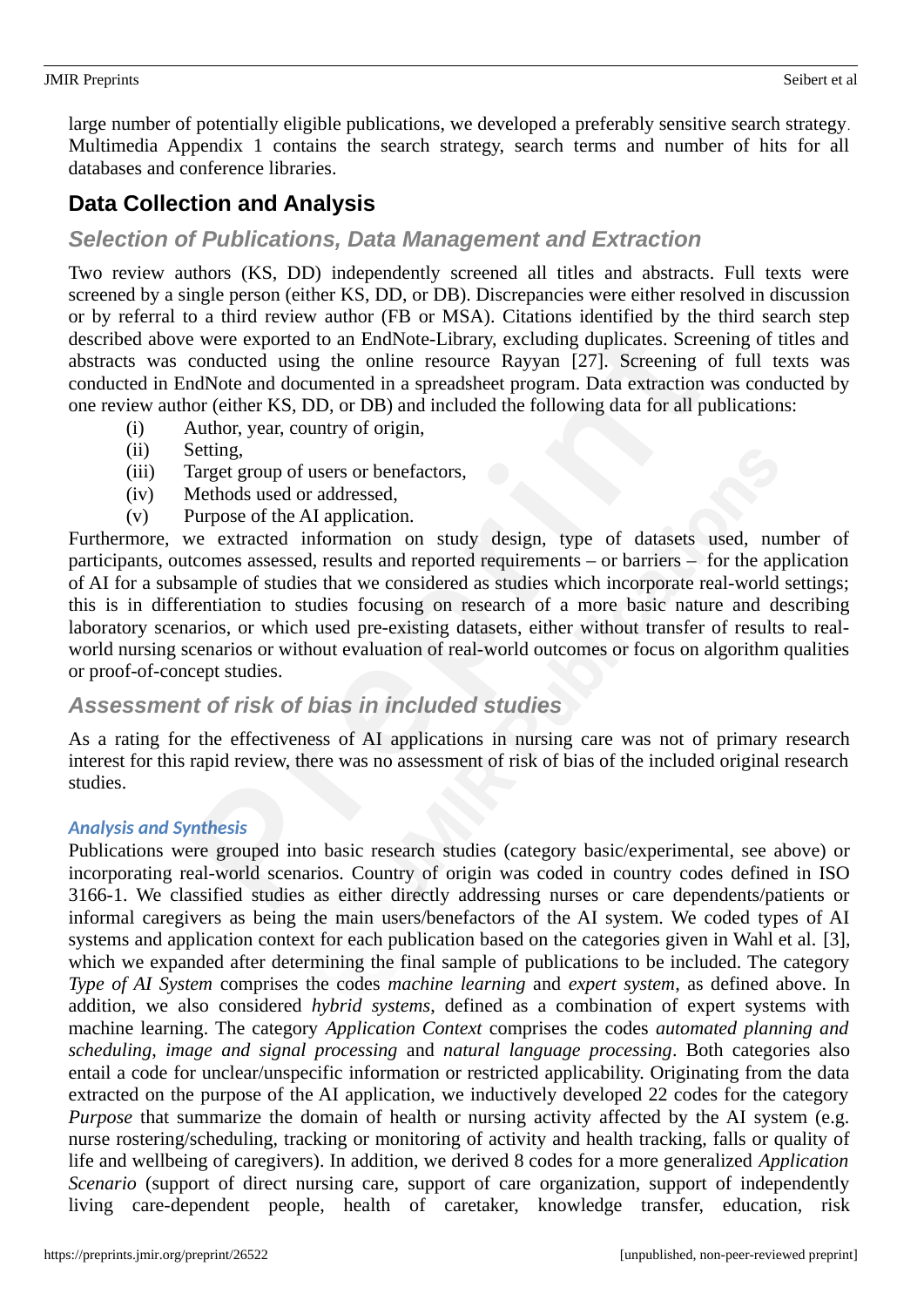large number of potentially eligible publications, we developed a preferably sensitive search strategy. Multimedia Appendix 1 contains the search strategy, search terms and number of hits for all databases and conference libraries.

# **Data Collection and Analysis**

### *Selection of Publications, Data Management and Extraction*

Two review authors (KS, DD) independently screened all titles and abstracts. Full texts were screened by a single person (either KS, DD, or DB). Discrepancies were either resolved in discussion or by referral to a third review author (FB or MSA). Citations identified by the third search step described above were exported to an EndNote-Library, excluding duplicates. Screening of titles and abstracts was conducted using the online resource Rayyan [27]. Screening of full texts was conducted in EndNote and documented in a spreadsheet program. Data extraction was conducted by one review author (either KS, DD, or DB) and included the following data for all publications:

- (i) Author, year, country of origin,
- (ii) Setting,
- (iii) Target group of users or benefactors,
- (iv) Methods used or addressed,
- (v) Purpose of the AI application.

Furthermore, we extracted information on study design, type of datasets used, number of participants, outcomes assessed, results and reported requirements – or barriers – for the application of AI for a subsample of studies that we considered as studies which incorporate real-world settings; this is in differentiation to studies focusing on research of a more basic nature and describing laboratory scenarios, or which used pre-existing datasets, either without transfer of results to realworld nursing scenarios or without evaluation of real-world outcomes or focus on algorithm qualities or proof-of-concept studies.

### *Assessment of risk of bias in included studies*

As a rating for the effectiveness of AI applications in nursing care was not of primary research interest for this rapid review, there was no assessment of risk of bias of the included original research studies.

#### *Analysis and Synthesis*

Publications were grouped into basic research studies (category basic/experimental, see above) or incorporating real-world scenarios. Country of origin was coded in country codes defined in ISO 3166-1. We classified studies as either directly addressing nurses or care dependents/patients or informal caregivers as being the main users/benefactors of the AI system. We coded types of AI systems and application context for each publication based on the categories given in Wahl et al. [3], which we expanded after determining the final sample of publications to be included. The category *Type of AI System* comprises the codes *machine learning* and *expert system,* as defined above. In addition, we also considered *hybrid systems*, defined as a combination of expert systems with machine learning. The category *Application Context* comprises the codes *automated planning and scheduling*, *image and signal processing* and *natural language processing*. Both categories also entail a code for unclear/unspecific information or restricted applicability. Originating from the data extracted on the purpose of the AI application, we inductively developed 22 codes for the category *Purpose* that summarize the domain of health or nursing activity affected by the AI system (e.g. nurse rostering/scheduling, tracking or monitoring of activity and health tracking, falls or quality of life and wellbeing of caregivers). In addition, we derived 8 codes for a more generalized *Application Scenario* (support of direct nursing care, support of care organization, support of independently living care-dependent people, health of caretaker, knowledge transfer, education, risk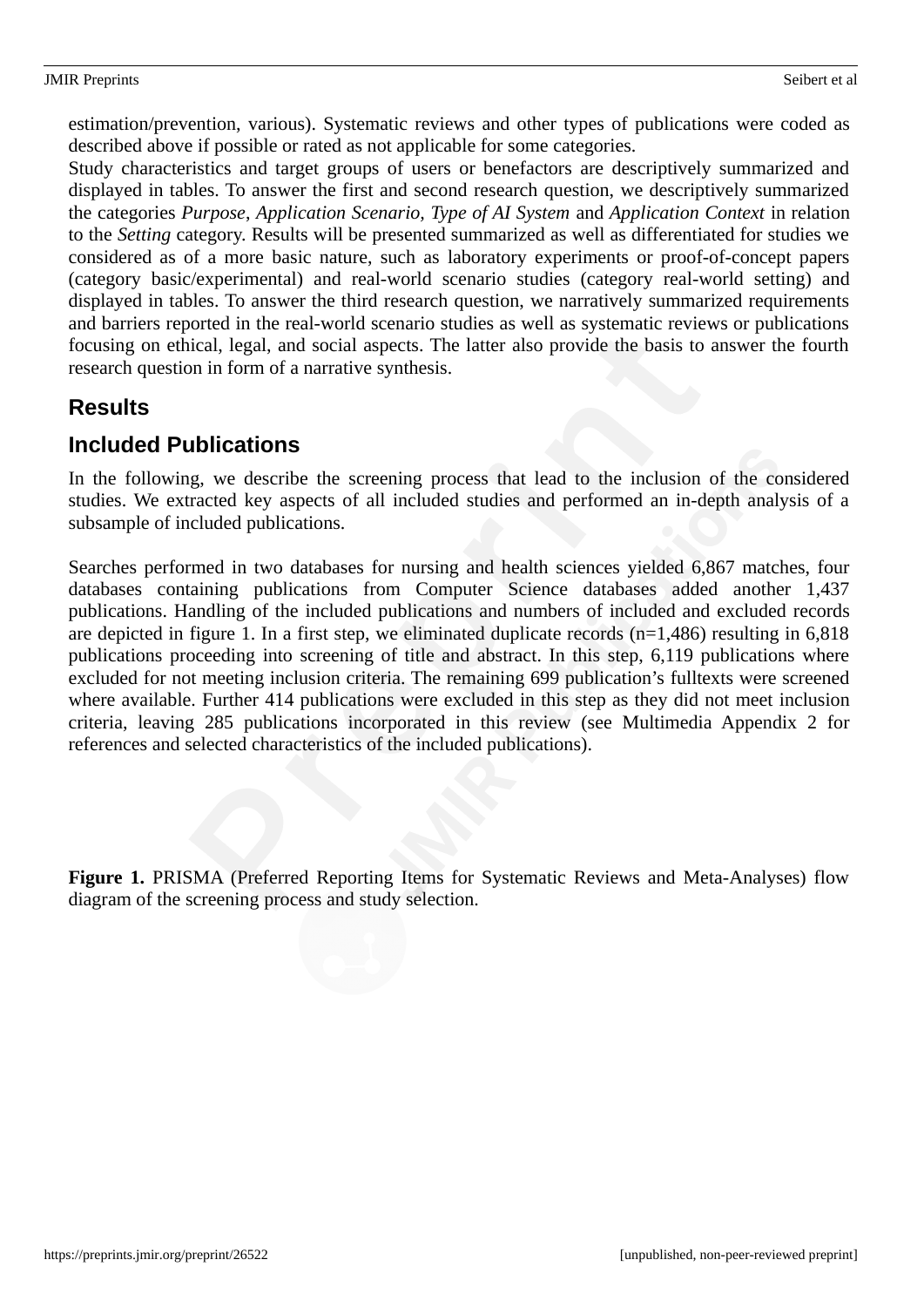#### JMIR Preprints Seibert et al.

estimation/prevention, various). Systematic reviews and other types of publications were coded as described above if possible or rated as not applicable for some categories.

Study characteristics and target groups of users or benefactors are descriptively summarized and displayed in tables. To answer the first and second research question, we descriptively summarized the categories *Purpose*, *Application Scenario, Type of AI System* and *Application Context* in relation to the *Setting* category. Results will be presented summarized as well as differentiated for studies we considered as of a more basic nature, such as laboratory experiments or proof-of-concept papers (category basic/experimental) and real-world scenario studies (category real-world setting) and displayed in tables. To answer the third research question, we narratively summarized requirements and barriers reported in the real-world scenario studies as well as systematic reviews or publications focusing on ethical, legal, and social aspects. The latter also provide the basis to answer the fourth research question in form of a narrative synthesis.

### **Results**

# **Included Publications**

In the following, we describe the screening process that lead to the inclusion of the considered studies. We extracted key aspects of all included studies and performed an in-depth analysis of a subsample of included publications.

Searches performed in two databases for nursing and health sciences yielded 6,867 matches, four databases containing publications from Computer Science databases added another 1,437 publications. Handling of the included publications and numbers of included and excluded records are depicted in figure 1. In a first step, we eliminated duplicate records (n=1,486) resulting in 6,818 publications proceeding into screening of title and abstract. In this step, 6,119 publications where excluded for not meeting inclusion criteria. The remaining 699 publication's fulltexts were screened where available. Further 414 publications were excluded in this step as they did not meet inclusion criteria, leaving 285 publications incorporated in this review (see Multimedia Appendix 2 for references and selected characteristics of the included publications).

Figure 1. PRISMA (Preferred Reporting Items for Systematic Reviews and Meta-Analyses) flow diagram of the screening process and study selection.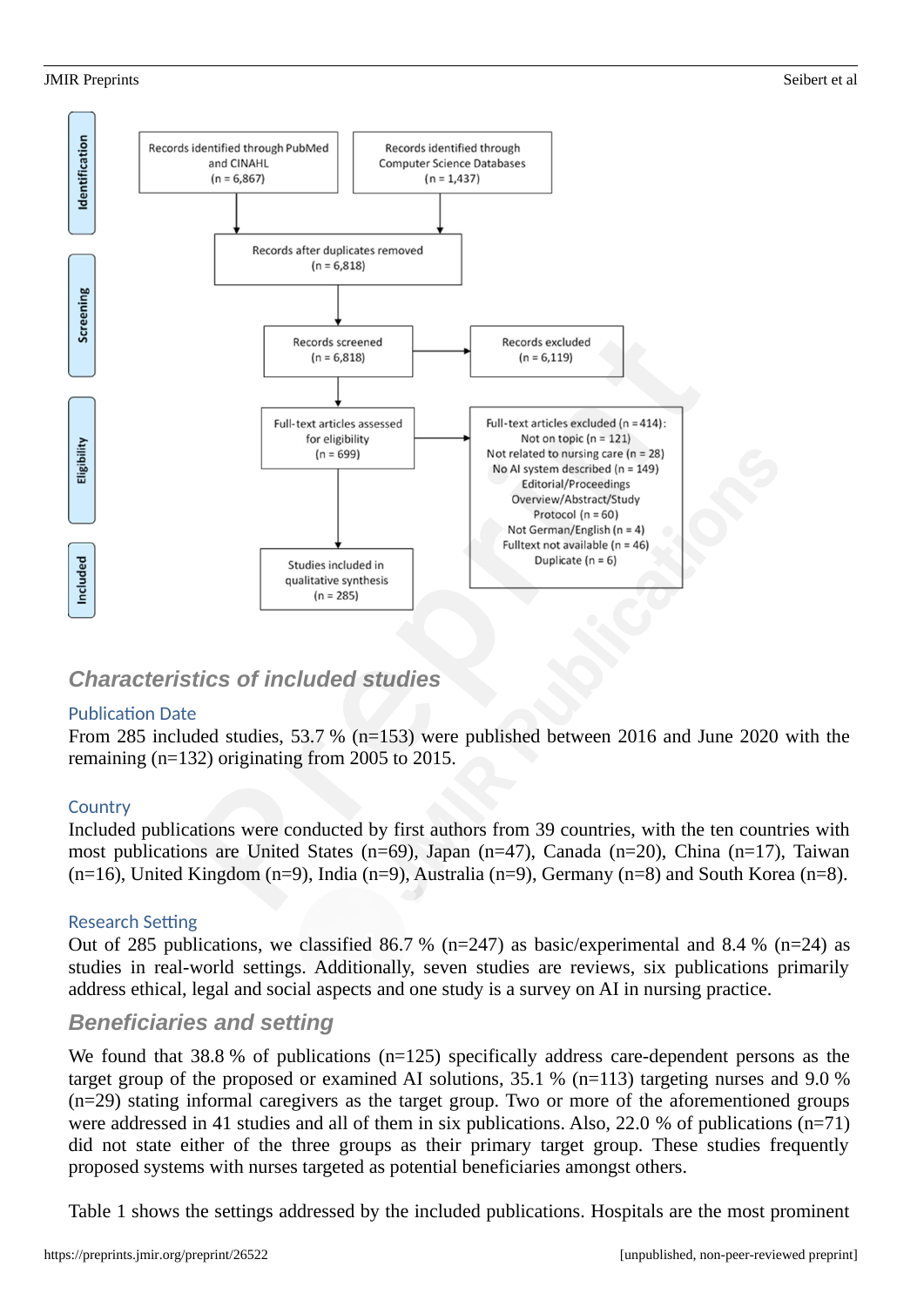#### JMIR Preprints Seibert et al.



# *Characteristics of included studies*

#### Publication Date

From 285 included studies, 53.7 % (n=153) were published between 2016 and June 2020 with the remaining (n=132) originating from 2005 to 2015.

#### **Country**

Included publications were conducted by first authors from 39 countries, with the ten countries with most publications are United States (n=69), Japan (n=47), Canada (n=20), China (n=17), Taiwan (n=16), United Kingdom (n=9), India (n=9), Australia (n=9), Germany (n=8) and South Korea (n=8).

#### Research Setting

Out of 285 publications, we classified 86.7 % ( $n=247$ ) as basic/experimental and 8.4 % ( $n=24$ ) as studies in real-world settings. Additionally, seven studies are reviews, six publications primarily address ethical, legal and social aspects and one study is a survey on AI in nursing practice.

### *Beneficiaries and setting*

We found that 38.8 % of publications (n=125) specifically address care-dependent persons as the target group of the proposed or examined AI solutions, 35.1 % (n=113) targeting nurses and 9.0 % (n=29) stating informal caregivers as the target group. Two or more of the aforementioned groups were addressed in 41 studies and all of them in six publications. Also, 22.0 % of publications (n=71) did not state either of the three groups as their primary target group. These studies frequently proposed systems with nurses targeted as potential beneficiaries amongst others.

Table 1 shows the settings addressed by the included publications. Hospitals are the most prominent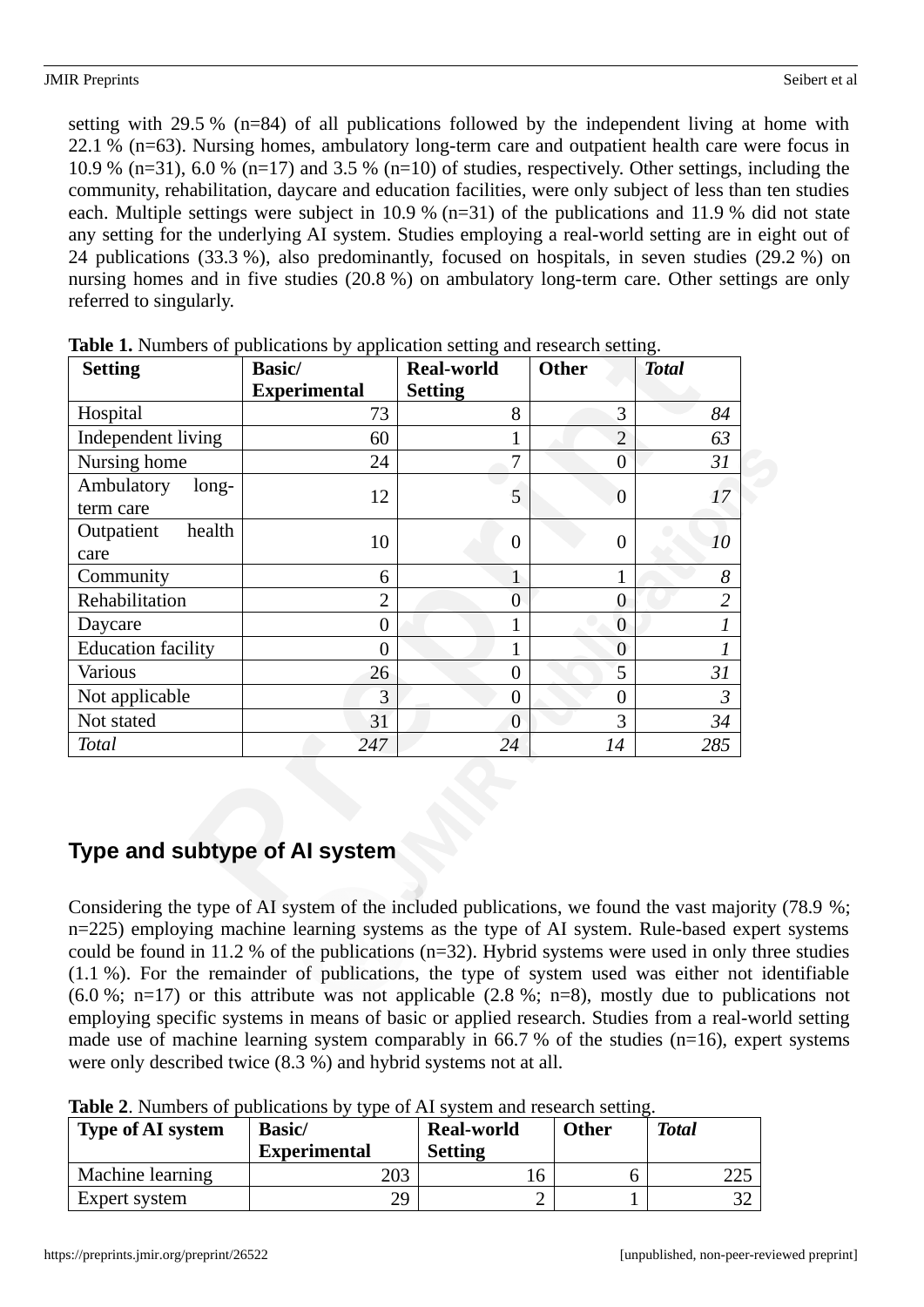setting with 29.5 % (n=84) of all publications followed by the independent living at home with 22.1 % (n=63). Nursing homes, ambulatory long-term care and outpatient health care were focus in 10.9 % (n=31), 6.0 % (n=17) and 3.5 % (n=10) of studies, respectively. Other settings, including the community, rehabilitation, daycare and education facilities, were only subject of less than ten studies each. Multiple settings were subject in 10.9 % (n=31) of the publications and 11.9 % did not state any setting for the underlying AI system. Studies employing a real-world setting are in eight out of 24 publications (33.3 %), also predominantly, focused on hospitals, in seven studies (29.2 %) on nursing homes and in five studies (20.8 %) on ambulatory long-term care. Other settings are only referred to singularly.

| <b>Setting</b>            | <b>Basic/</b>       | <b>Real-world</b> | <b>Other</b>   | <b>Total</b>   |
|---------------------------|---------------------|-------------------|----------------|----------------|
|                           | <b>Experimental</b> | <b>Setting</b>    |                |                |
| Hospital                  | 73                  | 8                 | 3              | 84             |
| Independent living        | 60                  |                   | $\overline{2}$ | 63             |
| Nursing home              | 24                  | 7                 | $\overline{0}$ | 31             |
| Ambulatory<br>long-       | 12                  | 5                 | $\overline{0}$ | 17             |
| term care                 |                     |                   |                |                |
| health<br>Outpatient      | 10                  | 0                 | $\overline{0}$ | 10             |
| care                      |                     |                   |                |                |
| Community                 | 6                   | 1                 | 1              | 8              |
| Rehabilitation            | $\overline{2}$      | $\overline{0}$    | $\theta$       | $\overline{2}$ |
| Daycare                   | $\overline{0}$      | 1                 | $\overline{0}$ | $\mathbf{1}$   |
| <b>Education facility</b> | $\overline{0}$      | $\mathbf 1$       | $\overline{0}$ | 1              |
| <b>Various</b>            | 26                  | 0                 | 5              | 31             |
| Not applicable            | 3                   | $\theta$          | $\overline{0}$ | 3              |
| Not stated                | 31                  | 0                 | 3              | 34             |
| Total                     | 247                 | 24                | 14             | 285            |

**Table 1.** Numbers of publications by application setting and research setting.

# **Type and subtype of AI system**

Considering the type of AI system of the included publications, we found the vast majority (78.9 %; n=225) employing machine learning systems as the type of AI system. Rule-based expert systems could be found in 11.2 % of the publications (n=32). Hybrid systems were used in only three studies (1.1 %). For the remainder of publications, the type of system used was either not identifiable (6.0 %; n=17) or this attribute was not applicable (2.8 %; n=8), mostly due to publications not employing specific systems in means of basic or applied research. Studies from a real-world setting made use of machine learning system comparably in 66.7 % of the studies (n=16), expert systems were only described twice (8.3 %) and hybrid systems not at all.

| Table 2. Numbers of publications by type of AI system and research setting. |
|-----------------------------------------------------------------------------|
|-----------------------------------------------------------------------------|

| <b>Type of AI system</b> | <b>Basic</b> /<br><b>Experimental</b> | <b>Real-world</b><br><b>Setting</b> | <b>Other</b> | <b>Total</b> |
|--------------------------|---------------------------------------|-------------------------------------|--------------|--------------|
| Machine learning         | 203                                   |                                     |              | 225          |
| <b>Expert system</b>     | 29                                    |                                     |              |              |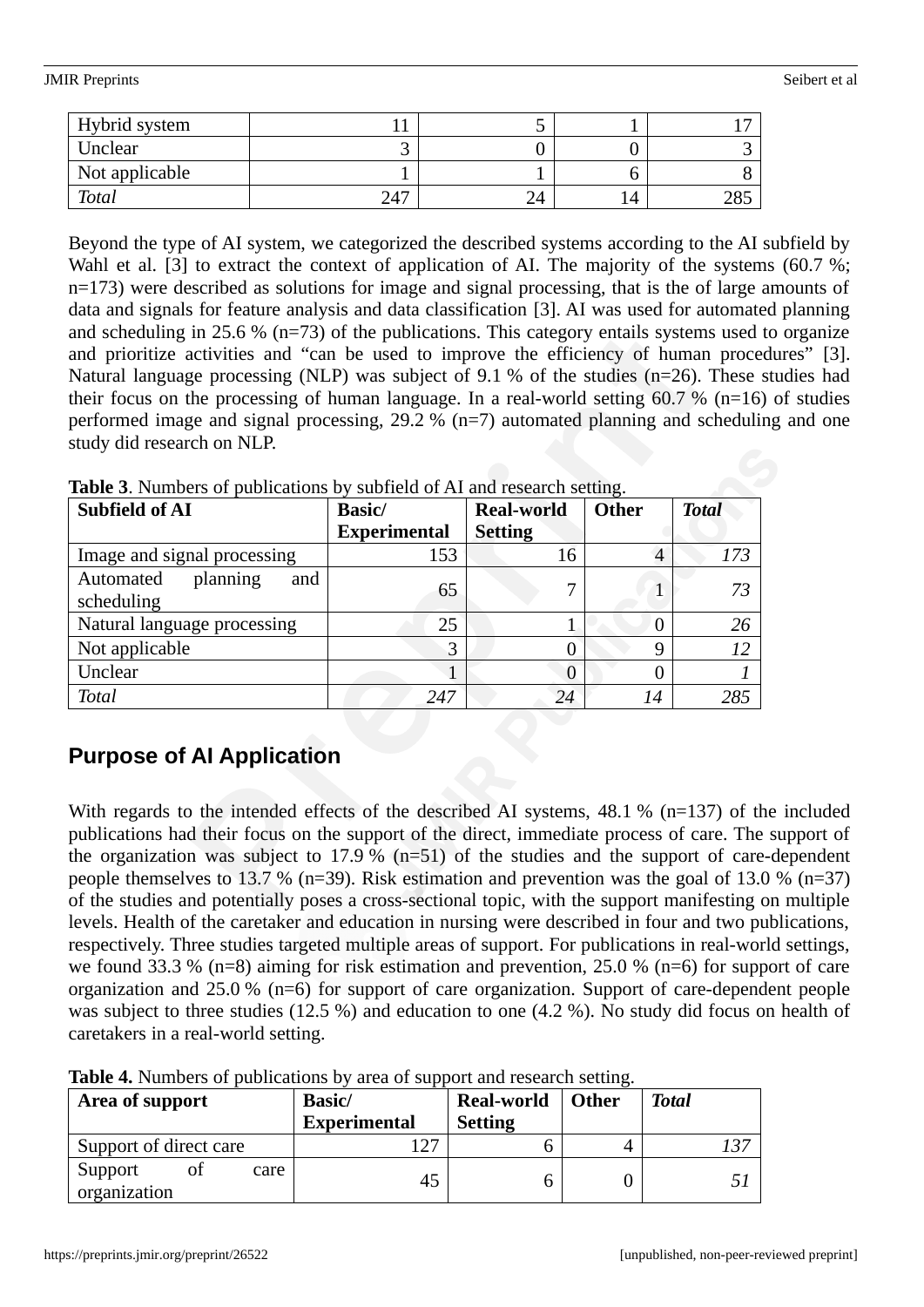#### JMIR Preprints Seibert et al.

| Hybrid system  |     |          |            |
|----------------|-----|----------|------------|
| Unclear        |     |          |            |
| Not applicable |     |          |            |
| Total          | 247 | n.<br>∠⊶ | ⊐סר<br>∠ں∠ |

Beyond the type of AI system, we categorized the described systems according to the AI subfield by Wahl et al. [3] to extract the context of application of AI. The majority of the systems (60.7 %; n=173) were described as solutions for image and signal processing, that is the of large amounts of data and signals for feature analysis and data classification [3]. AI was used for automated planning and scheduling in 25.6 % (n=73) of the publications. This category entails systems used to organize and prioritize activities and "can be used to improve the efficiency of human procedures" [3]. Natural language processing (NLP) was subject of 9.1 % of the studies (n=26). These studies had their focus on the processing of human language. In a real-world setting 60.7 % (n=16) of studies performed image and signal processing, 29.2 % (n=7) automated planning and scheduling and one study did research on NLP.

| <b>Subfield of AI</b>                      | Basic/              | <b>Real-world</b> | <b>Other</b> | <b>Total</b> |
|--------------------------------------------|---------------------|-------------------|--------------|--------------|
|                                            | <b>Experimental</b> | <b>Setting</b>    |              |              |
| Image and signal processing                | 153                 | 16                | 4            | 173          |
| Automated<br>planning<br>and<br>scheduling | 65                  | 7                 |              | 73           |
| Natural language processing                | 25                  | 1                 | 0            | 26           |
| Not applicable                             | 3                   | 0                 | 9            | 12           |
| Unclear                                    |                     | 0                 |              |              |
| <b>Total</b>                               | 247                 | 24                | 14           | 285          |

**Table 3**. Numbers of publications by subfield of AI and research setting.

# **Purpose of AI Application**

With regards to the intended effects of the described AI systems, 48.1 % (n=137) of the included publications had their focus on the support of the direct, immediate process of care. The support of the organization was subject to 17.9 % ( $n=51$ ) of the studies and the support of care-dependent people themselves to 13.7 % (n=39). Risk estimation and prevention was the goal of 13.0 % (n=37) of the studies and potentially poses a cross-sectional topic, with the support manifesting on multiple levels. Health of the caretaker and education in nursing were described in four and two publications, respectively. Three studies targeted multiple areas of support. For publications in real-world settings, we found 33.3 % (n=8) aiming for risk estimation and prevention, 25.0 % (n=6) for support of care organization and 25.0 % (n=6) for support of care organization. Support of care-dependent people was subject to three studies (12.5 %) and education to one (4.2 %). No study did focus on health of caretakers in a real-world setting.

| <b>Table 4.</b> INDITIONS OF PUBLICATIONS BY AFTER OF Support and research Setting. |                     |                   |              |              |  |  |  |
|-------------------------------------------------------------------------------------|---------------------|-------------------|--------------|--------------|--|--|--|
| Area of support                                                                     | <b>Basic</b> /      | <b>Real-world</b> | <b>Other</b> | <b>Total</b> |  |  |  |
|                                                                                     | <b>Experimental</b> | <b>Setting</b>    |              |              |  |  |  |
| Support of direct care                                                              | 1 7 7               | 6                 |              | 137          |  |  |  |
| Support<br>care<br>organization                                                     | 45                  | h                 |              |              |  |  |  |

**Table 4.** Numbers of publications by area of support and research setting.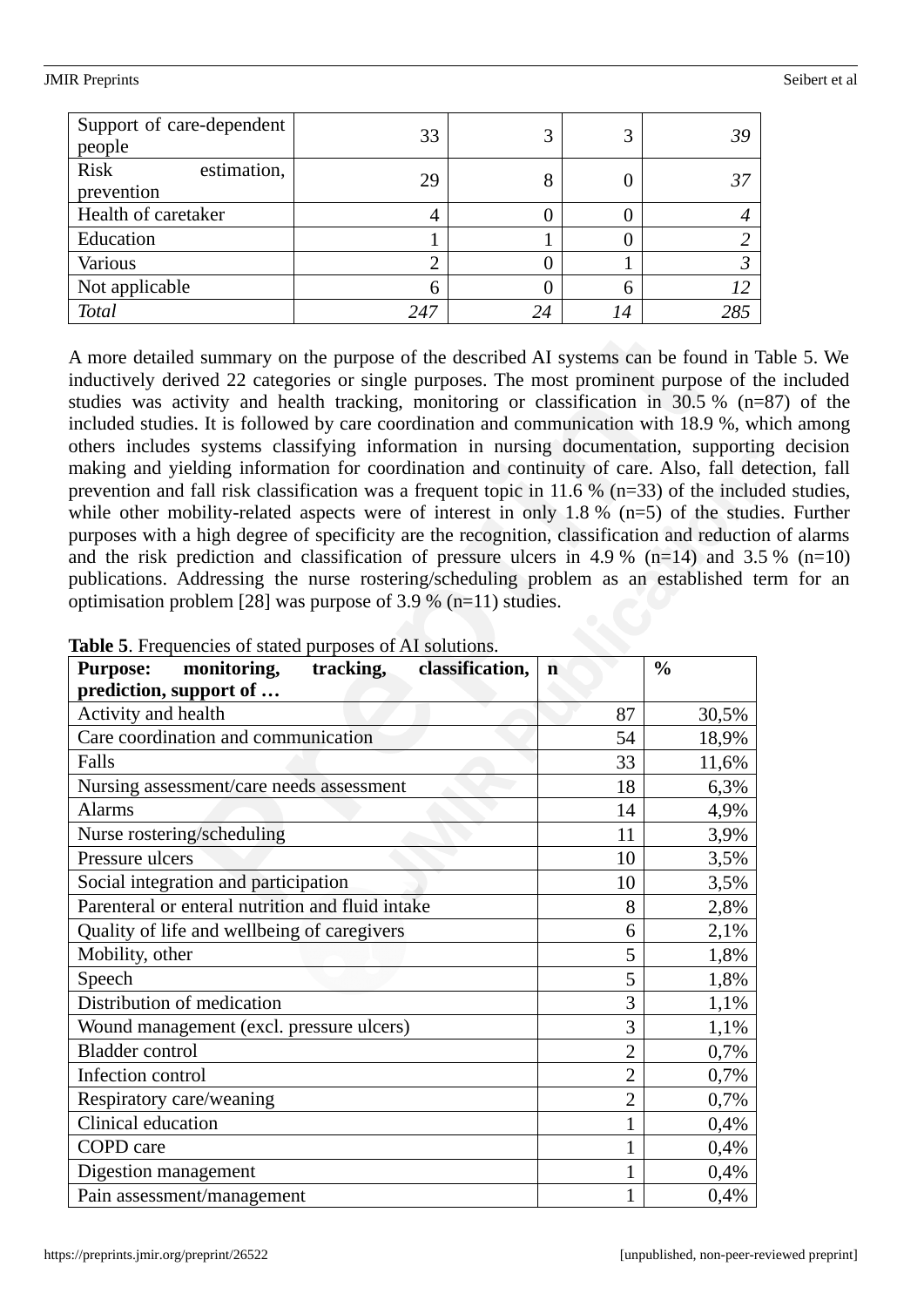#### JMIR Preprints Seibert et al.

| Support of care-dependent<br>people | 33  | 3  | 3  | 39  |
|-------------------------------------|-----|----|----|-----|
| Risk<br>estimation,<br>prevention   | 29  | 8  |    | 37  |
| Health of caretaker                 |     |    |    |     |
| Education                           |     |    |    |     |
| <b>Various</b>                      |     |    |    |     |
| Not applicable                      | 6   |    | 6  |     |
| <b>Total</b>                        | 247 | 24 | 14 | 285 |

A more detailed summary on the purpose of the described AI systems can be found in Table 5. We inductively derived 22 categories or single purposes. The most prominent purpose of the included studies was activity and health tracking, monitoring or classification in 30.5 % (n=87) of the included studies. It is followed by care coordination and communication with 18.9 %, which among others includes systems classifying information in nursing documentation, supporting decision making and yielding information for coordination and continuity of care. Also, fall detection, fall prevention and fall risk classification was a frequent topic in 11.6 % (n=33) of the included studies, while other mobility-related aspects were of interest in only 1.8 % (n=5) of the studies. Further purposes with a high degree of specificity are the recognition, classification and reduction of alarms and the risk prediction and classification of pressure ulcers in 4.9 % (n=14) and 3.5 % (n=10) publications. Addressing the nurse rostering/scheduling problem as an established term for an optimisation problem [28] was purpose of 3.9 % (n=11) studies.

| monitoring,<br>tracking,<br>classification,<br><b>Purpose:</b> | $\mathbf n$    | $\frac{0}{0}$ |
|----------------------------------------------------------------|----------------|---------------|
| prediction, support of                                         |                |               |
| Activity and health                                            | 87             | 30,5%         |
| Care coordination and communication                            | 54             | 18,9%         |
| Falls                                                          | 33             | 11,6%         |
| Nursing assessment/care needs assessment                       | 18             | 6,3%          |
| <b>Alarms</b>                                                  | 14             | 4,9%          |
| Nurse rostering/scheduling                                     | 11             | 3,9%          |
| Pressure ulcers                                                | 10             | 3,5%          |
| Social integration and participation                           | 10             | 3,5%          |
| Parenteral or enteral nutrition and fluid intake               | 8              | 2,8%          |
| Quality of life and wellbeing of caregivers                    | 6              | 2,1%          |
| Mobility, other                                                | 5              | 1,8%          |
| Speech                                                         | 5              | 1,8%          |
| Distribution of medication                                     | 3              | 1,1%          |
| Wound management (excl. pressure ulcers)                       | 3              | 1,1%          |
| <b>Bladder</b> control                                         | $\overline{2}$ | 0,7%          |
| Infection control                                              | $\overline{2}$ | 0,7%          |
| Respiratory care/weaning                                       | $\overline{2}$ | 0,7%          |
| Clinical education                                             |                | 0,4%          |
| COPD care                                                      | $\mathbf{1}$   | 0,4%          |
| Digestion management                                           |                | 0,4%          |
| Pain assessment/management                                     | $\mathbf{1}$   | 0,4%          |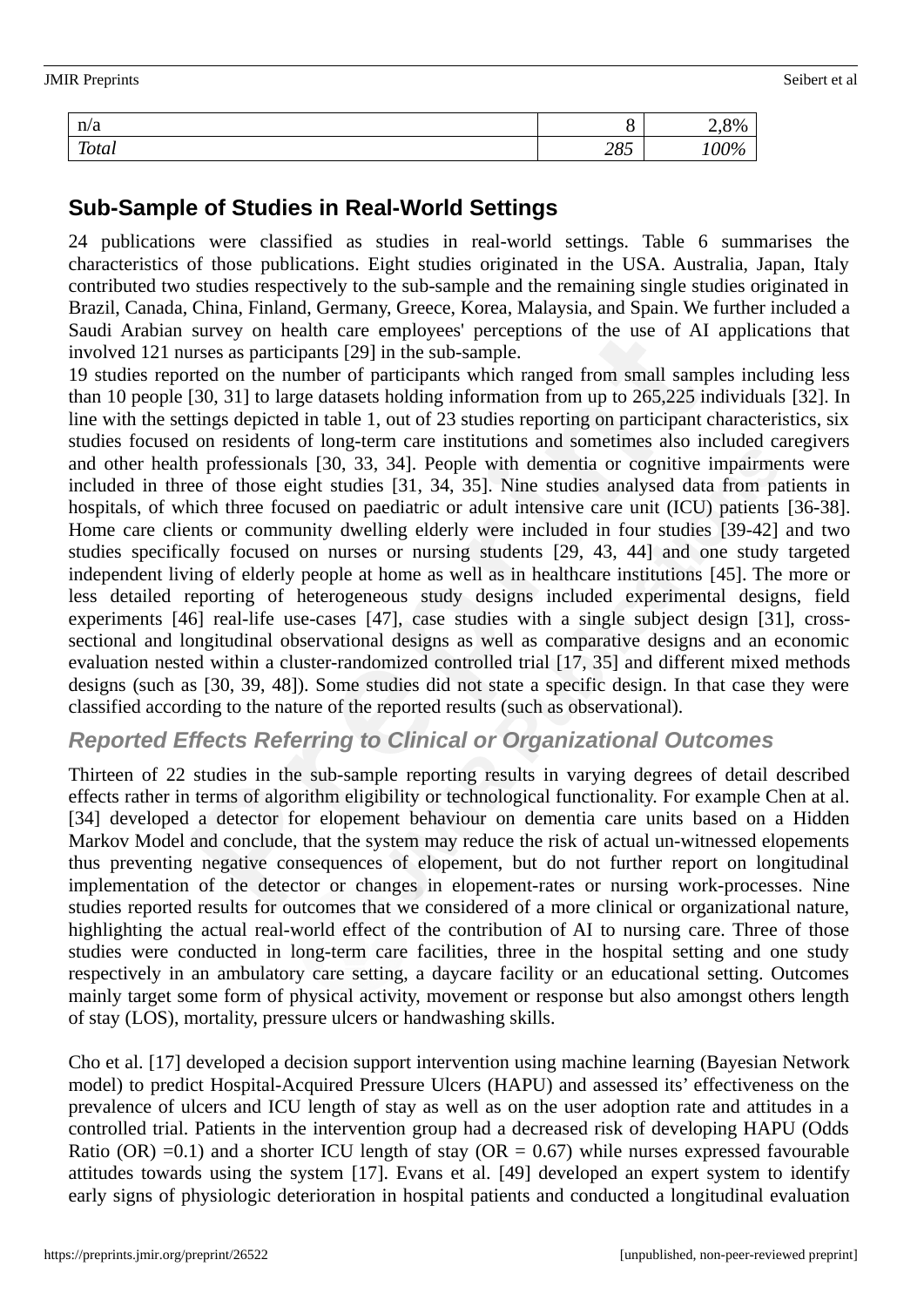| <b>JMIR Preprints</b> |     |      | Seibert et al |
|-----------------------|-----|------|---------------|
| n/a                   | Ο   | 2,8% |               |
| <b>Total</b>          | 285 | 100% |               |

# **Sub-Sample of Studies in Real-World Settings**

24 publications were classified as studies in real-world settings. Table 6 summarises the characteristics of those publications. Eight studies originated in the USA. Australia, Japan, Italy contributed two studies respectively to the sub-sample and the remaining single studies originated in Brazil, Canada, China, Finland, Germany, Greece, Korea, Malaysia, and Spain. We further included a Saudi Arabian survey on health care employees' perceptions of the use of AI applications that involved 121 nurses as participants [29] in the sub-sample.

19 studies reported on the number of participants which ranged from small samples including less than 10 people [30, 31] to large datasets holding information from up to 265,225 individuals [32]. In line with the settings depicted in table 1, out of 23 studies reporting on participant characteristics, six studies focused on residents of long-term care institutions and sometimes also included caregivers and other health professionals [30, 33, 34]. People with dementia or cognitive impairments were included in three of those eight studies [31, 34, 35]. Nine studies analysed data from patients in hospitals, of which three focused on paediatric or adult intensive care unit (ICU) patients [36-38]. Home care clients or community dwelling elderly were included in four studies [39-42] and two studies specifically focused on nurses or nursing students [29, 43, 44] and one study targeted independent living of elderly people at home as well as in healthcare institutions [45]. The more or less detailed reporting of heterogeneous study designs included experimental designs, field experiments [46] real-life use-cases [47], case studies with a single subject design [31], crosssectional and longitudinal observational designs as well as comparative designs and an economic evaluation nested within a cluster-randomized controlled trial [17, 35] and different mixed methods designs (such as [30, 39, 48]). Some studies did not state a specific design. In that case they were classified according to the nature of the reported results (such as observational).

### *Reported Effects Referring to Clinical or Organizational Outcomes*

Thirteen of 22 studies in the sub-sample reporting results in varying degrees of detail described effects rather in terms of algorithm eligibility or technological functionality. For example Chen at al. [34] developed a detector for elopement behaviour on dementia care units based on a Hidden Markov Model and conclude, that the system may reduce the risk of actual un-witnessed elopements thus preventing negative consequences of elopement, but do not further report on longitudinal implementation of the detector or changes in elopement-rates or nursing work-processes. Nine studies reported results for outcomes that we considered of a more clinical or organizational nature, highlighting the actual real-world effect of the contribution of AI to nursing care. Three of those studies were conducted in long-term care facilities, three in the hospital setting and one study respectively in an ambulatory care setting, a daycare facility or an educational setting. Outcomes mainly target some form of physical activity, movement or response but also amongst others length of stay (LOS), mortality, pressure ulcers or handwashing skills.

Cho et al. [17] developed a decision support intervention using machine learning (Bayesian Network model) to predict Hospital-Acquired Pressure Ulcers (HAPU) and assessed its' effectiveness on the prevalence of ulcers and ICU length of stay as well as on the user adoption rate and attitudes in a controlled trial. Patients in the intervention group had a decreased risk of developing HAPU (Odds Ratio (OR) =0.1) and a shorter ICU length of stay (OR = 0.67) while nurses expressed favourable attitudes towards using the system [17]. Evans et al. [49] developed an expert system to identify early signs of physiologic deterioration in hospital patients and conducted a longitudinal evaluation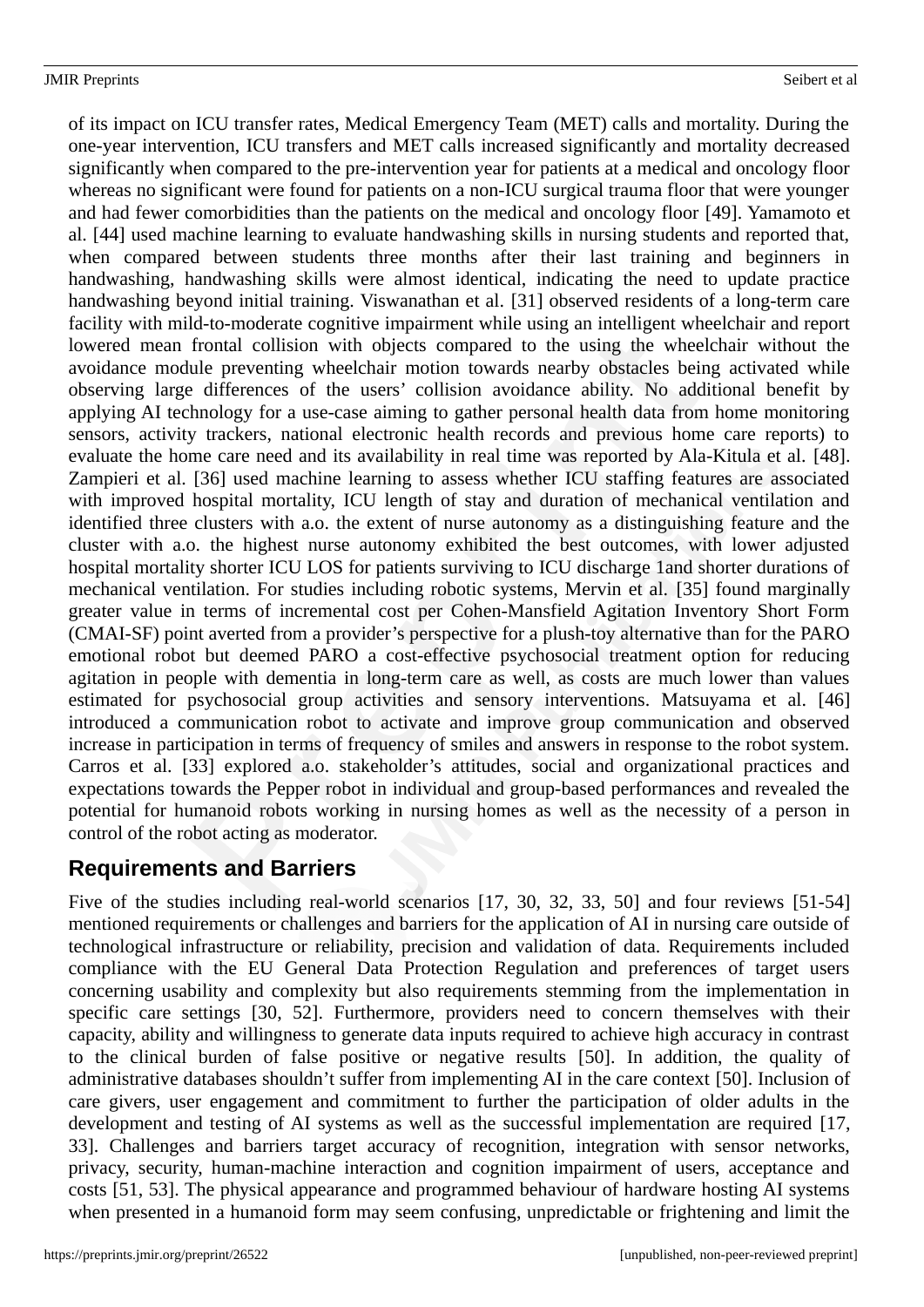#### JMIR Preprints Seibert et al

of its impact on ICU transfer rates, Medical Emergency Team (MET) calls and mortality. During the one-year intervention, ICU transfers and MET calls increased significantly and mortality decreased significantly when compared to the pre-intervention year for patients at a medical and oncology floor whereas no significant were found for patients on a non-ICU surgical trauma floor that were younger and had fewer comorbidities than the patients on the medical and oncology floor [49]. Yamamoto et al. [44] used machine learning to evaluate handwashing skills in nursing students and reported that, when compared between students three months after their last training and beginners in handwashing, handwashing skills were almost identical, indicating the need to update practice handwashing beyond initial training. Viswanathan et al. [31] observed residents of a long-term care facility with mild-to-moderate cognitive impairment while using an intelligent wheelchair and report lowered mean frontal collision with objects compared to the using the wheelchair without the avoidance module preventing wheelchair motion towards nearby obstacles being activated while observing large differences of the users' collision avoidance ability. No additional benefit by applying AI technology for a use-case aiming to gather personal health data from home monitoring sensors, activity trackers, national electronic health records and previous home care reports) to evaluate the home care need and its availability in real time was reported by Ala-Kitula et al. [48]. Zampieri et al. [36] used machine learning to assess whether ICU staffing features are associated with improved hospital mortality, ICU length of stay and duration of mechanical ventilation and identified three clusters with a.o. the extent of nurse autonomy as a distinguishing feature and the cluster with a.o. the highest nurse autonomy exhibited the best outcomes, with lower adjusted hospital mortality shorter ICU LOS for patients surviving to ICU discharge 1and shorter durations of mechanical ventilation. For studies including robotic systems, Mervin et al. [35] found marginally greater value in terms of incremental cost per Cohen-Mansfield Agitation Inventory Short Form (CMAI-SF) point averted from a provider's perspective for a plush-toy alternative than for the PARO emotional robot but deemed PARO a cost-effective psychosocial treatment option for reducing agitation in people with dementia in long-term care as well, as costs are much lower than values estimated for psychosocial group activities and sensory interventions. Matsuyama et al. [46] introduced a communication robot to activate and improve group communication and observed increase in participation in terms of frequency of smiles and answers in response to the robot system. Carros et al. [33] explored a.o. stakeholder's attitudes, social and organizational practices and expectations towards the Pepper robot in individual and group-based performances and revealed the potential for humanoid robots working in nursing homes as well as the necessity of a person in control of the robot acting as moderator.

# **Requirements and Barriers**

Five of the studies including real-world scenarios [17, 30, 32, 33, 50] and four reviews [51-54] mentioned requirements or challenges and barriers for the application of AI in nursing care outside of technological infrastructure or reliability, precision and validation of data. Requirements included compliance with the EU General Data Protection Regulation and preferences of target users concerning usability and complexity but also requirements stemming from the implementation in specific care settings [30, 52]. Furthermore, providers need to concern themselves with their capacity, ability and willingness to generate data inputs required to achieve high accuracy in contrast to the clinical burden of false positive or negative results [50]. In addition, the quality of administrative databases shouldn't suffer from implementing AI in the care context [50]. Inclusion of care givers, user engagement and commitment to further the participation of older adults in the development and testing of AI systems as well as the successful implementation are required [17, 33]. Challenges and barriers target accuracy of recognition, integration with sensor networks, privacy, security, human-machine interaction and cognition impairment of users, acceptance and costs [51, 53]. The physical appearance and programmed behaviour of hardware hosting AI systems when presented in a humanoid form may seem confusing, unpredictable or frightening and limit the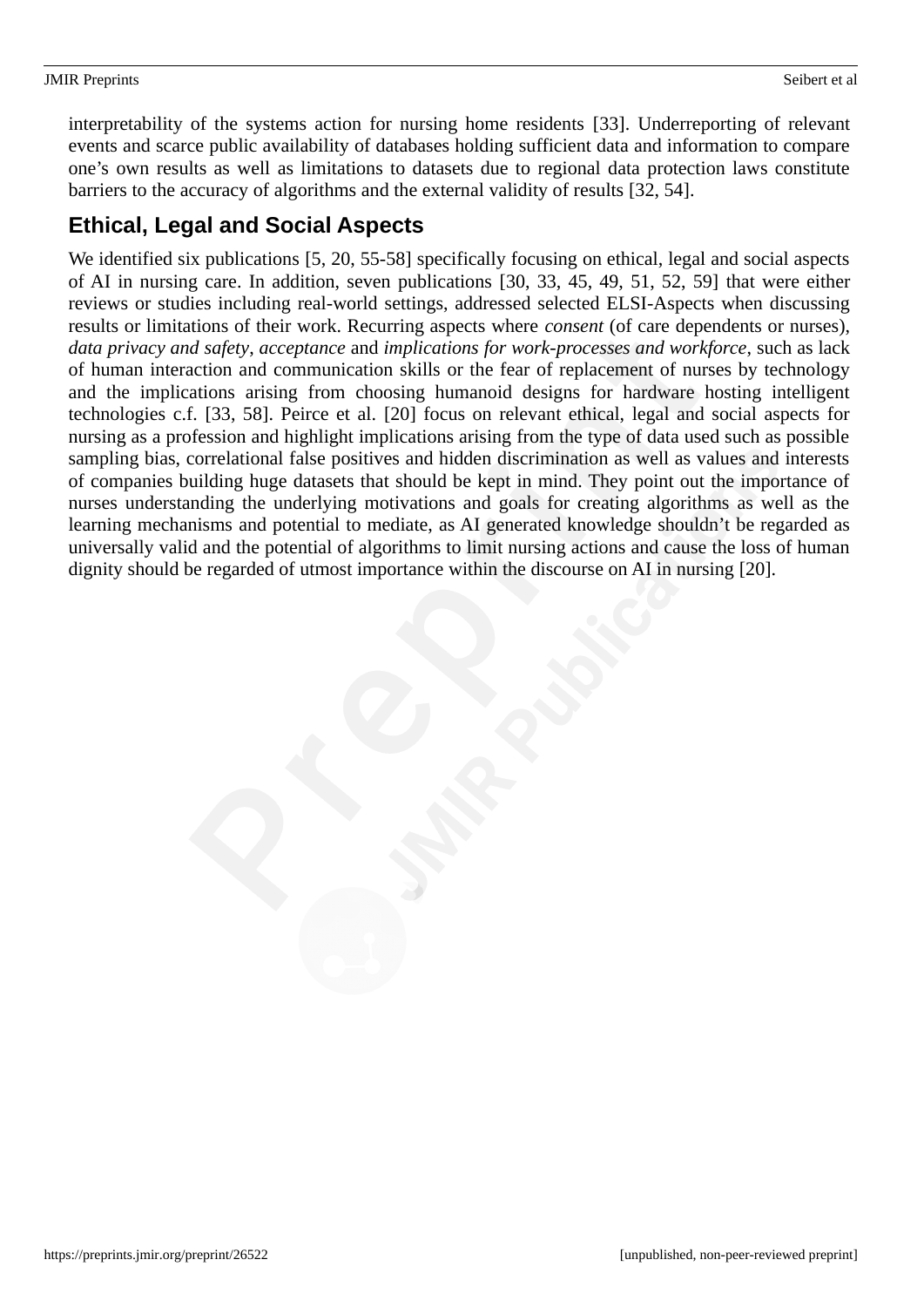#### JMIR Preprints Seibert et al.

interpretability of the systems action for nursing home residents [33]. Underreporting of relevant events and scarce public availability of databases holding sufficient data and information to compare one's own results as well as limitations to datasets due to regional data protection laws constitute barriers to the accuracy of algorithms and the external validity of results [32, 54].

# **Ethical, Legal and Social Aspects**

We identified six publications [5, 20, 55-58] specifically focusing on ethical, legal and social aspects of AI in nursing care. In addition, seven publications [30, 33, 45, 49, 51, 52, 59] that were either reviews or studies including real-world settings, addressed selected ELSI-Aspects when discussing results or limitations of their work. Recurring aspects where *consent* (of care dependents or nurses), *data privacy and safety*, *acceptance* and *implications for work-processes and workforce*, such as lack of human interaction and communication skills or the fear of replacement of nurses by technology and the implications arising from choosing humanoid designs for hardware hosting intelligent technologies c.f. [33, 58]. Peirce et al. [20] focus on relevant ethical, legal and social aspects for nursing as a profession and highlight implications arising from the type of data used such as possible sampling bias, correlational false positives and hidden discrimination as well as values and interests of companies building huge datasets that should be kept in mind. They point out the importance of nurses understanding the underlying motivations and goals for creating algorithms as well as the learning mechanisms and potential to mediate, as AI generated knowledge shouldn't be regarded as universally valid and the potential of algorithms to limit nursing actions and cause the loss of human dignity should be regarded of utmost importance within the discourse on AI in nursing [20].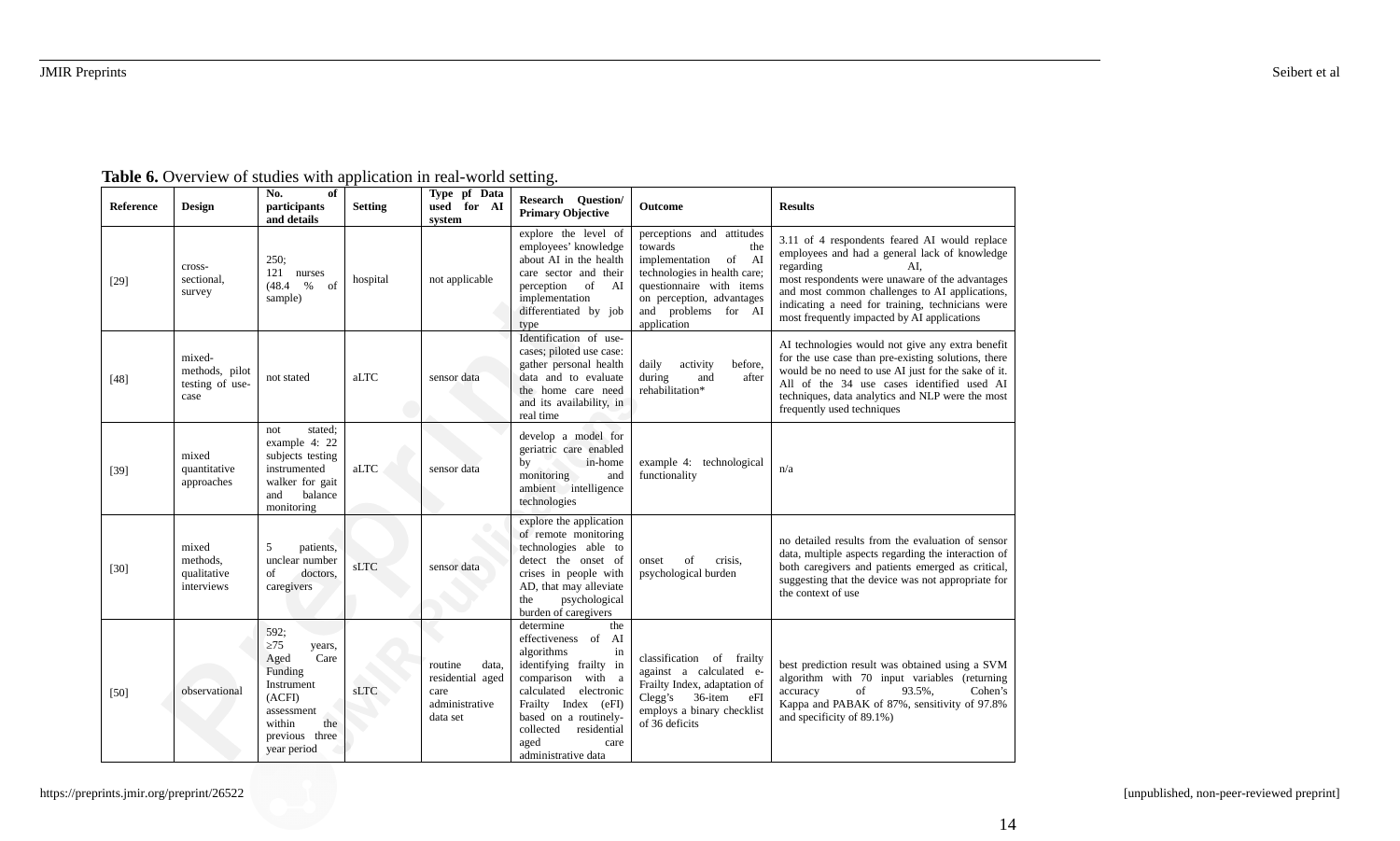| Reference | Design                                              | of<br>No.<br>participants<br>and details                                                                                                       | <b>Setting</b> | Type pf Data<br>used for AI<br>system                                      | <b>Research Question/</b><br><b>Primary Objective</b>                                                                                                                                                                                                     | Outcome                                                                                                                                                                                               | <b>Results</b>                                                                                                                                                                                                                                                                                                             |
|-----------|-----------------------------------------------------|------------------------------------------------------------------------------------------------------------------------------------------------|----------------|----------------------------------------------------------------------------|-----------------------------------------------------------------------------------------------------------------------------------------------------------------------------------------------------------------------------------------------------------|-------------------------------------------------------------------------------------------------------------------------------------------------------------------------------------------------------|----------------------------------------------------------------------------------------------------------------------------------------------------------------------------------------------------------------------------------------------------------------------------------------------------------------------------|
| $[29]$    | cross-<br>sectional,<br>survey                      | 250;<br>121 nurses<br>(48.4 %<br>sample)                                                                                                       | hospital       | not applicable                                                             | explore the level of<br>employees' knowledge<br>about AI in the health<br>care sector and their<br>perception of AI<br>implementation<br>differentiated by job<br>type                                                                                    | perceptions and attitudes<br>towards<br>the<br>of AI<br>implementation<br>technologies in health care;<br>questionnaire with items<br>on perception, advantages<br>and problems for AI<br>application | 3.11 of 4 respondents feared AI would replace<br>employees and had a general lack of knowledge<br>regarding<br>AI,<br>most respondents were unaware of the advantages<br>and most common challenges to AI applications,<br>indicating a need for training, technicians were<br>most frequently impacted by AI applications |
| $[48]$    | mixed-<br>methods, pilot<br>testing of use-<br>case | not stated                                                                                                                                     | aLTC           | sensor data                                                                | Identification of use-<br>cases; piloted use case:<br>gather personal health<br>data and to evaluate<br>the home care need<br>and its availability, in<br>real time                                                                                       | before,<br>daily<br>activity<br>during<br>after<br>and<br>rehabilitation*                                                                                                                             | AI technologies would not give any extra benefit<br>for the use case than pre-existing solutions, there<br>would be no need to use AI just for the sake of it.<br>All of the 34 use cases identified used AI<br>techniques, data analytics and NLP were the most<br>frequently used techniques                             |
| $[39]$    | mixed<br>quantitative<br>approaches                 | stated;<br>not<br>example 4: 22<br>subjects testing<br>instrumented<br>walker for gait<br>and<br>balance<br>monitoring                         | aLTC           | sensor data                                                                | develop a model for<br>geriatric care enabled<br>in-home<br>by<br>monitoring<br>and<br>ambient intelligence<br>technologies                                                                                                                               | example 4: technological<br>functionality                                                                                                                                                             | n/a                                                                                                                                                                                                                                                                                                                        |
| $[30]$    | mixed<br>methods,<br>qualitative<br>interviews      | 5<br>patients,<br>unclear number<br>doctors,<br>of<br>caregivers                                                                               | sLTC           | sensor data                                                                | explore the application<br>of remote monitoring<br>technologies able to<br>detect the onset of<br>crises in people with<br>AD, that may alleviate<br>the<br>psychological<br>burden of caregivers                                                         | of<br>crisis,<br>onset<br>psychological burden                                                                                                                                                        | no detailed results from the evaluation of sensor<br>data, multiple aspects regarding the interaction of<br>both caregivers and patients emerged as critical,<br>suggesting that the device was not appropriate for<br>the context of use                                                                                  |
| $[50]$    | observational                                       | 592;<br>$\geq 75$<br>years,<br>Care<br>Aged<br>Funding<br>Instrument<br>(ACFI)<br>assessment<br>the<br>within<br>previous three<br>year period | sLTC           | data,<br>routine<br>residential aged<br>care<br>administrative<br>data set | determine<br>the<br>effectiveness of AI<br>algorithms<br>in<br>identifying frailty in<br>comparison with a<br>calculated<br>electronic<br>Frailty Index (eFI)<br>based on a routinely-<br>residential<br>collected<br>aged<br>care<br>administrative data | classification of frailty<br>against a calculated e-<br>Frailty Index, adaptation of<br>36-item<br>Clegg's<br>eFI<br>employs a binary checklist<br>of 36 deficits                                     | best prediction result was obtained using a SVM<br>algorithm with 70 input variables (returning<br>accuracy<br>of<br>93.5%,<br>Cohen's<br>Kappa and PABAK of 87%, sensitivity of 97.8%<br>and specificity of 89.1%)                                                                                                        |

**Table 6.** Overview of studies with application in real-world setting.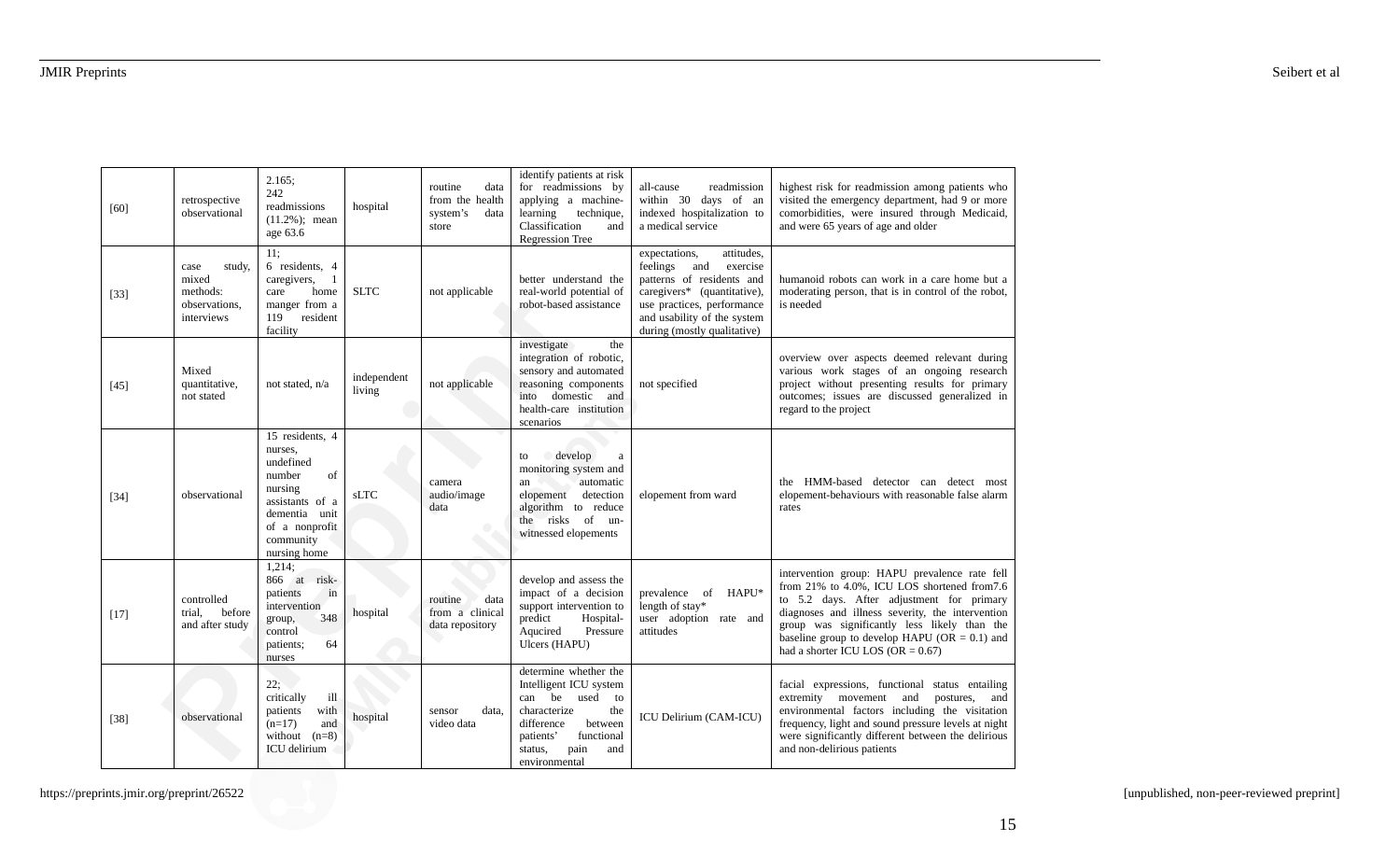| [60]   | retrospective<br>observational                                     | 2.165:<br>242<br>readmissions<br>$(11.2\%)$ ; mean<br>age 63.6                                                                                        | hospital              | data<br>routine<br>from the health<br>system's<br>data<br>store | identify patients at risk<br>for readmissions by<br>applying a machine-<br>learning<br>technique,<br>Classification<br>and<br><b>Regression Tree</b>                                          | all-cause<br>readmission<br>within 30 days of an<br>indexed hospitalization to<br>a medical service                                                                                                                | highest risk for readmission among patients who<br>visited the emergency department, had 9 or more<br>comorbidities, were insured through Medicaid,<br>and were 65 years of age and older                                                                                                                                              |
|--------|--------------------------------------------------------------------|-------------------------------------------------------------------------------------------------------------------------------------------------------|-----------------------|-----------------------------------------------------------------|-----------------------------------------------------------------------------------------------------------------------------------------------------------------------------------------------|--------------------------------------------------------------------------------------------------------------------------------------------------------------------------------------------------------------------|----------------------------------------------------------------------------------------------------------------------------------------------------------------------------------------------------------------------------------------------------------------------------------------------------------------------------------------|
| $[33]$ | study,<br>case<br>mixed<br>methods:<br>observations,<br>interviews | 11:<br>6 residents, 4<br>caregivers,<br>1<br>home<br>care<br>manger from a<br>119<br>resident<br>facility                                             | <b>SLTC</b>           | not applicable                                                  | better understand the<br>real-world potential of<br>robot-based assistance                                                                                                                    | expectations,<br>attitudes,<br>and<br>feelings<br>exercise<br>patterns of residents and<br>caregivers* (quantitative),<br>use practices, performance<br>and usability of the system<br>during (mostly qualitative) | humanoid robots can work in a care home but a<br>moderating person, that is in control of the robot,<br>is needed                                                                                                                                                                                                                      |
| $[45]$ | Mixed<br>quantitative,<br>not stated                               | not stated, n/a                                                                                                                                       | independent<br>living | not applicable                                                  | the<br>investigate<br>integration of robotic,<br>sensory and automated<br>reasoning components<br>into domestic and<br>health-care institution<br>scenarios                                   | not specified                                                                                                                                                                                                      | overview over aspects deemed relevant during<br>various work stages of an ongoing research<br>project without presenting results for primary<br>outcomes; issues are discussed generalized in<br>regard to the project                                                                                                                 |
| $[34]$ | observational                                                      | 15 residents, 4<br>nurses,<br>undefined<br>of<br>number<br>nursing<br>assistants of a<br>dementia unit<br>of a nonprofit<br>community<br>nursing home | <b>sLTC</b>           | camera<br>audio/image<br>data                                   | $\bigcirc$ develop<br>to<br>$\mathbf a$<br>monitoring system and<br>automatic<br>an<br>elopement<br>detection<br>algorithm to reduce<br>the risks of un-<br>witnessed elopements              | elopement from ward                                                                                                                                                                                                | the HMM-based detector can detect most<br>elopement-behaviours with reasonable false alarm<br>rates                                                                                                                                                                                                                                    |
| $[17]$ | controlled<br>trial.<br>before<br>and after study                  | 1,214;<br>866 at risk-<br>in<br>patients<br>intervention<br>348<br>group,<br>control<br>64<br>patients;<br>nurses                                     | hospital              | data<br>routine<br>from a clinical<br>data repository           | develop and assess the<br>impact of a decision<br>support intervention to<br>predict<br>Hospital-<br>Aqucired<br>Pressure<br>Ulcers (HAPU)                                                    | prevalence of HAPU*<br>length of stay*<br>user adoption rate and<br>attitudes                                                                                                                                      | intervention group: HAPU prevalence rate fell<br>from 21% to 4.0%, ICU LOS shortened from7.6<br>to 5.2 days. After adjustment for primary<br>diagnoses and illness severity, the intervention<br>group was significantly less likely than the<br>baseline group to develop HAPU (OR = 0.1) and<br>had a shorter ICU LOS (OR $= 0.67$ ) |
| $[38]$ | observational                                                      | 22;<br>critically<br>ill<br>patients<br>with<br>$(n=17)$<br>and<br>without $(n=8)$<br>ICU delirium                                                    | hospital              | data.<br>sensor<br>video data                                   | determine whether the<br>Intelligent ICU system<br>can be<br>used<br>to<br>characterize<br>the<br>difference<br>between<br>functional<br>patients'<br>pain<br>and<br>status,<br>environmental | ICU Delirium (CAM-ICU)                                                                                                                                                                                             | facial expressions, functional status entailing<br>extremity movement<br>and<br>postures,<br>and<br>environmental factors including the visitation<br>frequency, light and sound pressure levels at night<br>were significantly different between the delirious<br>and non-delirious patients                                          |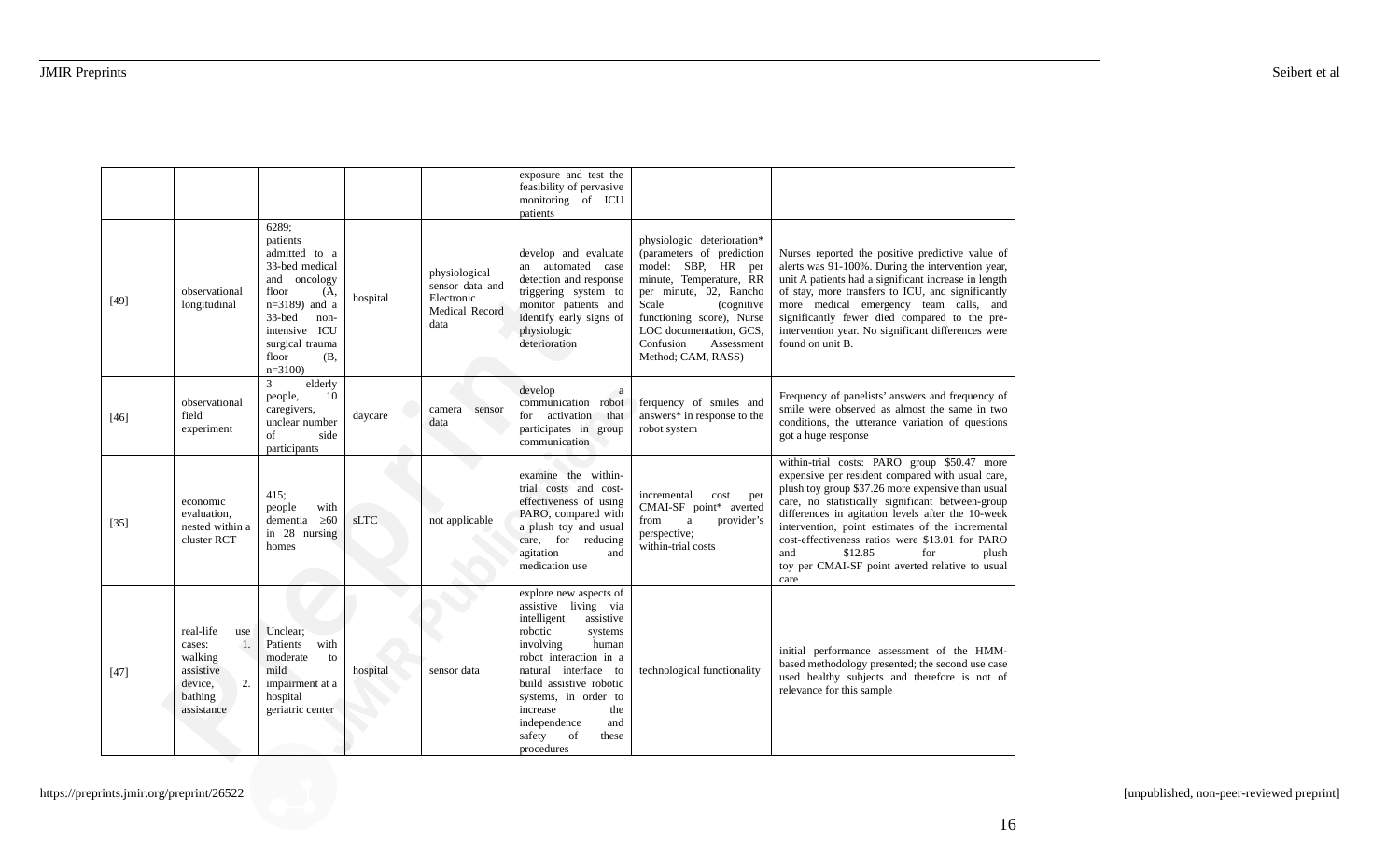|        |                                                                                                    |                                                                                                                                                                                            |          |                                                                          | exposure and test the<br>feasibility of pervasive<br>monitoring of ICU<br>patients                                                                                                                                                                                                                           |                                                                                                                                                                                                                                                                    |                                                                                                                                                                                                                                                                                                                                                                                                                                                                   |
|--------|----------------------------------------------------------------------------------------------------|--------------------------------------------------------------------------------------------------------------------------------------------------------------------------------------------|----------|--------------------------------------------------------------------------|--------------------------------------------------------------------------------------------------------------------------------------------------------------------------------------------------------------------------------------------------------------------------------------------------------------|--------------------------------------------------------------------------------------------------------------------------------------------------------------------------------------------------------------------------------------------------------------------|-------------------------------------------------------------------------------------------------------------------------------------------------------------------------------------------------------------------------------------------------------------------------------------------------------------------------------------------------------------------------------------------------------------------------------------------------------------------|
| [49]   | observational<br>longitudinal                                                                      | 6289;<br>patients<br>admitted to a<br>33-bed medical<br>and oncology<br>floor<br>(A,<br>$n=3189$ ) and a<br>33-bed<br>non-<br>intensive ICU<br>surgical trauma<br>floor<br>(B,<br>$n=3100$ | hospital | physiological<br>sensor data and<br>Electronic<br>Medical Record<br>data | develop and evaluate<br>an automated case<br>detection and response<br>triggering system to<br>monitor patients and<br>identify early signs of<br>physiologic<br>deterioration                                                                                                                               | physiologic deterioration*<br>(parameters of prediction<br>model: SBP, HR per<br>minute, Temperature, RR<br>per minute, 02, Rancho<br>Scale<br>(cognitive<br>functioning score), Nurse<br>LOC documentation, GCS,<br>Confusion<br>Assessment<br>Method; CAM, RASS) | Nurses reported the positive predictive value of<br>alerts was 91-100%. During the intervention year,<br>unit A patients had a significant increase in length<br>of stay, more transfers to ICU, and significantly<br>more medical emergency team calls, and<br>significantly fewer died compared to the pre-<br>intervention year. No significant differences were<br>found on unit B.                                                                           |
| $[46]$ | observational<br>field<br>experiment                                                               | elderly<br>3<br>people,<br>10<br>caregivers,<br>unclear number<br>of<br>side<br>participants                                                                                               | daycare  | sensor<br>camera<br>data                                                 | develop<br><sub>a</sub><br>communication<br>robot<br>for activation<br>that<br>participates in group<br>communication                                                                                                                                                                                        | ferquency of smiles and<br>answers* in response to the<br>robot system                                                                                                                                                                                             | Frequency of panelists' answers and frequency of<br>smile were observed as almost the same in two<br>conditions, the utterance variation of questions<br>got a huge response                                                                                                                                                                                                                                                                                      |
| $[35]$ | economic<br>evaluation,<br>nested within a<br>cluster RCT                                          | 415;<br>people<br>with<br>dementia<br>$\geq 60$<br>in 28 nursing<br>homes                                                                                                                  | sLTC     | not applicable                                                           | examine the within-<br>trial costs and cost-<br>effectiveness of using<br>PARO, compared with<br>a plush toy and usual<br>care, for reducing<br>agitation<br>and<br>medication use                                                                                                                           | incremental<br>cost<br>per<br>CMAI-SF point* averted<br>from<br>provider's<br>a<br>perspective;<br>within-trial costs                                                                                                                                              | within-trial costs: PARO group \$50.47 more<br>expensive per resident compared with usual care,<br>plush toy group \$37.26 more expensive than usual<br>care, no statistically significant between-group<br>differences in agitation levels after the 10-week<br>intervention, point estimates of the incremental<br>cost-effectiveness ratios were \$13.01 for PARO<br>and<br>\$12.85<br>for<br>plush<br>toy per CMAI-SF point averted relative to usual<br>care |
| $[47]$ | real-life<br>use<br>1.<br>cases:<br>walking<br>assistive<br>2.<br>device,<br>bathing<br>assistance | Unclear:<br>Patients<br>with<br>moderate<br>to<br>mild<br>impairment at a<br>hospital<br>geriatric center                                                                                  | hospital | sensor data                                                              | explore new aspects of<br>assistive living via<br>intelligent<br>assistive<br>robotic<br>systems<br>involving<br>human<br>robot interaction in a<br>natural interface to<br>build assistive robotic<br>systems, in order to<br>increase<br>the<br>independence<br>and<br>safety<br>of<br>these<br>procedures | technological functionality                                                                                                                                                                                                                                        | initial performance assessment of the HMM-<br>based methodology presented; the second use case<br>used healthy subjects and therefore is not of<br>relevance for this sample                                                                                                                                                                                                                                                                                      |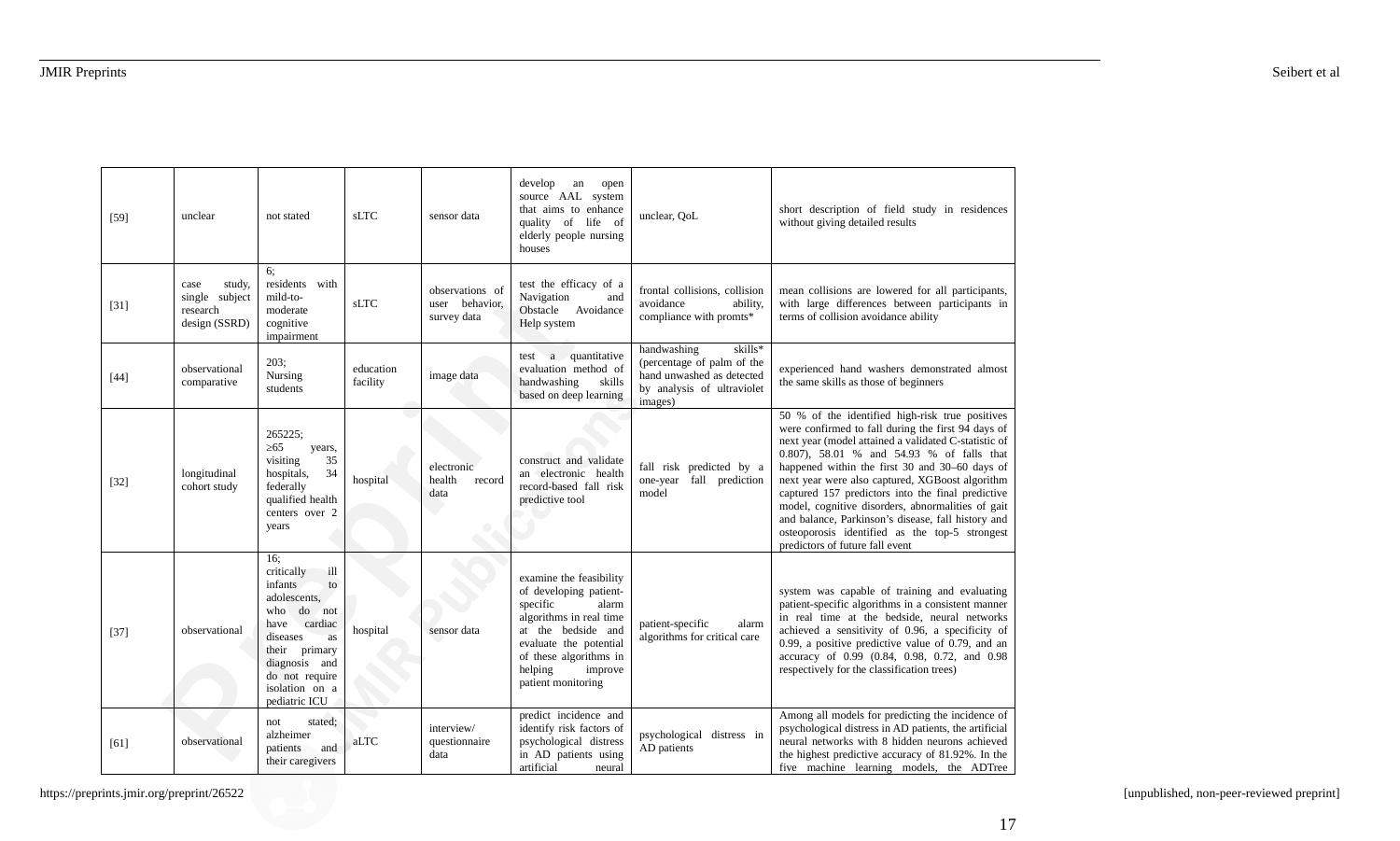| $[59]$ | unclear                                                       | not stated                                                                                                                                                                                                        | <b>sLTC</b>           | sensor data                                      | develop<br>an<br>open<br>source AAL system<br>that aims to enhance<br>quality of life of<br>elderly people nursing<br>houses                                                                                            | unclear, QoL                                                                                                               | short description of field study in residences<br>without giving detailed results                                                                                                                                                                                                                                                                                                                                                                                                                                                                                    |
|--------|---------------------------------------------------------------|-------------------------------------------------------------------------------------------------------------------------------------------------------------------------------------------------------------------|-----------------------|--------------------------------------------------|-------------------------------------------------------------------------------------------------------------------------------------------------------------------------------------------------------------------------|----------------------------------------------------------------------------------------------------------------------------|----------------------------------------------------------------------------------------------------------------------------------------------------------------------------------------------------------------------------------------------------------------------------------------------------------------------------------------------------------------------------------------------------------------------------------------------------------------------------------------------------------------------------------------------------------------------|
| $[31]$ | study,<br>case<br>single subject<br>research<br>design (SSRD) | 6:<br>residents with<br>mild-to-<br>moderate<br>cognitive<br>impairment                                                                                                                                           | sLTC                  | observations of<br>user behavior,<br>survey data | test the efficacy of a<br>Navigation<br>and<br>Obstacle Avoidance<br>Help system                                                                                                                                        | frontal collisions, collision<br>avoidance<br>ability,<br>compliance with promts*                                          | mean collisions are lowered for all participants,<br>with large differences between participants in<br>terms of collision avoidance ability                                                                                                                                                                                                                                                                                                                                                                                                                          |
| $[44]$ | observational<br>comparative                                  | 203;<br>Nursing<br>students                                                                                                                                                                                       | education<br>facility | image data                                       | a quantitative<br>test<br>evaluation method of<br>handwashing<br>skills<br>based on deep learning                                                                                                                       | skills*<br>handwashing<br>(percentage of palm of the<br>hand unwashed as detected<br>by analysis of ultraviolet<br>images) | experienced hand washers demonstrated almost<br>the same skills as those of beginners                                                                                                                                                                                                                                                                                                                                                                                                                                                                                |
| $[32]$ | longitudinal<br>cohort study                                  | 265225;<br>$\geq 65$<br>years,<br>35<br>visiting<br>34<br>hospitals,<br>federally<br>qualified health<br>centers over 2<br>years                                                                                  | hospital              | electronic<br>health<br>record<br>data           | construct and validate<br>an electronic health<br>record-based fall risk<br>predictive tool                                                                                                                             | fall risk predicted by a<br>one-year fall prediction<br>model                                                              | 50 % of the identified high-risk true positives<br>were confirmed to fall during the first 94 days of<br>next year (model attained a validated C-statistic of<br>0.807), 58.01 % and 54.93 % of falls that<br>happened within the first 30 and 30–60 days of<br>next year were also captured, XGBoost algorithm<br>captured 157 predictors into the final predictive<br>model, cognitive disorders, abnormalities of gait<br>and balance, Parkinson's disease, fall history and<br>osteoporosis identified as the top-5 strongest<br>predictors of future fall event |
| $[37]$ | observational                                                 | 16:<br>critically<br>ill<br>infants<br>to<br>adolescents,<br>$d\sigma$<br>who<br>$/$ not<br>have cardiac<br>diseases<br>as<br>their primary<br>diagnosis and<br>do not require<br>isolation on a<br>pediatric ICU | hospital              | sensor data                                      | examine the feasibility<br>of developing patient-<br>specific<br>alarm<br>algorithms in real time<br>at the bedside and<br>evaluate the potential<br>of these algorithms in<br>helping<br>improve<br>patient monitoring | patient-specific<br>alarm<br>algorithms for critical care                                                                  | system was capable of training and evaluating<br>patient-specific algorithms in a consistent manner<br>in real time at the bedside, neural networks<br>achieved a sensitivity of 0.96, a specificity of<br>0.99, a positive predictive value of 0.79, and an<br>accuracy of 0.99 (0.84, 0.98, 0.72, and 0.98<br>respectively for the classification trees)                                                                                                                                                                                                           |
| [61]   | observational                                                 | stated;<br>not<br>alzheimer<br>and<br>patients<br>their caregivers                                                                                                                                                | aLTC                  | interview/<br>questionnaire<br>data              | predict incidence and<br>identify risk factors of<br>psychological distress<br>in AD patients using<br>artificial<br>neural                                                                                             | psychological distress in<br>AD patients                                                                                   | Among all models for predicting the incidence of<br>psychological distress in AD patients, the artificial<br>neural networks with 8 hidden neurons achieved<br>the highest predictive accuracy of 81.92%. In the<br>five machine learning models, the ADTree                                                                                                                                                                                                                                                                                                         |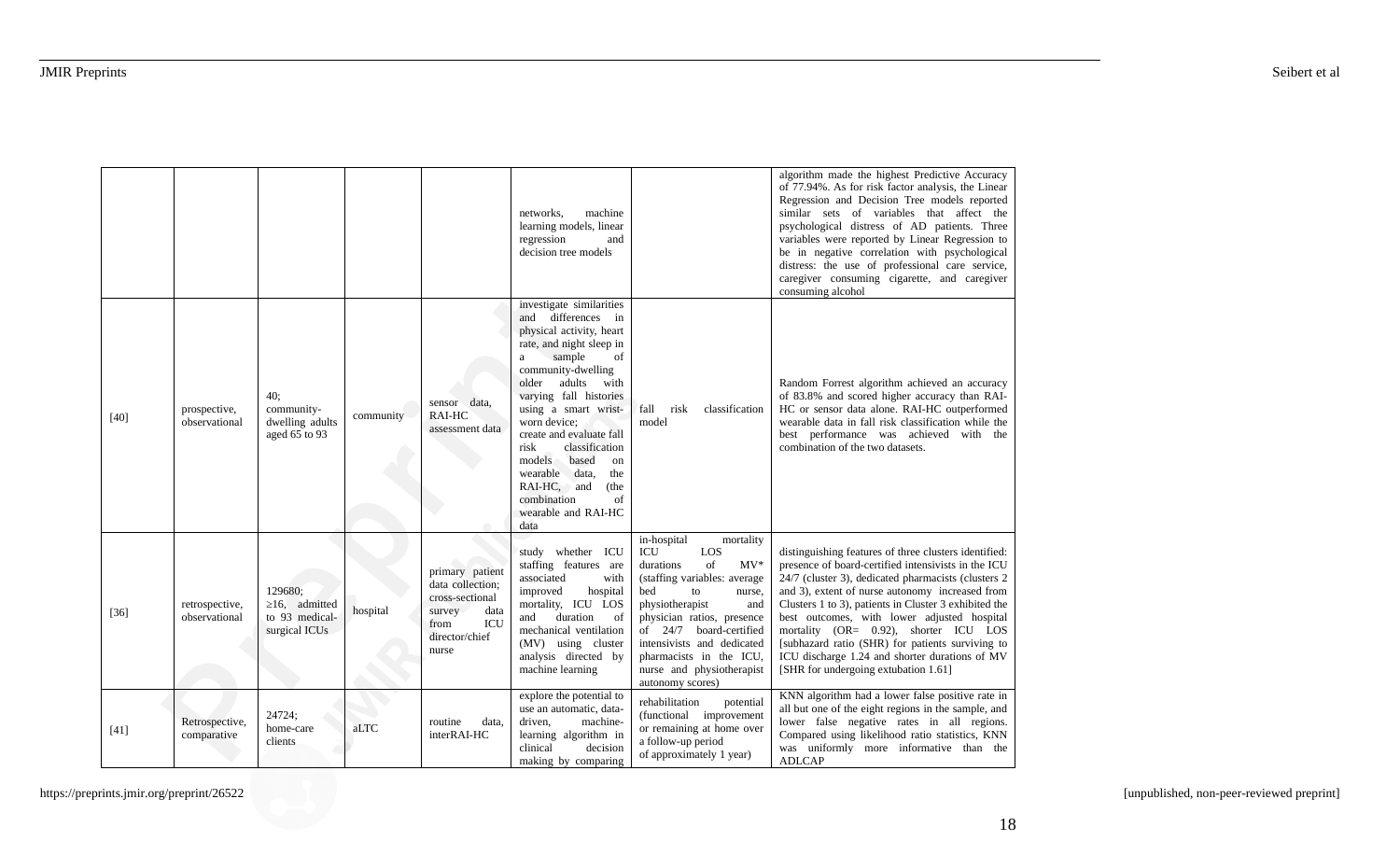|        |                                 |                                                                   |           |                                                                                                                    | networks,<br>machine<br>learning models, linear<br>regression<br>and<br>decision tree models                                                                                                                                                                                                                                                                                                                                   |                                                                                                                                                                                                                                                                                                                        | algorithm made the highest Predictive Accuracy<br>of 77.94%. As for risk factor analysis, the Linear<br>Regression and Decision Tree models reported<br>similar sets of variables that affect the<br>psychological distress of AD patients. Three<br>variables were reported by Linear Regression to<br>be in negative correlation with psychological<br>distress: the use of professional care service,<br>caregiver consuming cigarette, and caregiver<br>consuming alcohol                                         |
|--------|---------------------------------|-------------------------------------------------------------------|-----------|--------------------------------------------------------------------------------------------------------------------|--------------------------------------------------------------------------------------------------------------------------------------------------------------------------------------------------------------------------------------------------------------------------------------------------------------------------------------------------------------------------------------------------------------------------------|------------------------------------------------------------------------------------------------------------------------------------------------------------------------------------------------------------------------------------------------------------------------------------------------------------------------|-----------------------------------------------------------------------------------------------------------------------------------------------------------------------------------------------------------------------------------------------------------------------------------------------------------------------------------------------------------------------------------------------------------------------------------------------------------------------------------------------------------------------|
| $[40]$ | prospective,<br>observational   | 40;<br>community-<br>dwelling adults<br>aged 65 to 93             | community | sensor data,<br>RAI-HC<br>assessment data                                                                          | investigate similarities<br>and differences in<br>physical activity, heart<br>rate, and night sleep in<br>sample<br>of<br>a<br>community-dwelling<br>older adults<br>with<br>varying fall histories<br>using a smart wrist-<br>worn device;<br>create and evaluate fall<br>risk<br>classification<br>models<br>based<br>on<br>wearable data,<br>the<br>RAI-HC, and<br>(the<br>combination<br>of<br>wearable and RAI-HC<br>data | classification<br>fall<br>risk<br>model                                                                                                                                                                                                                                                                                | Random Forrest algorithm achieved an accuracy<br>of 83.8% and scored higher accuracy than RAI-<br>HC or sensor data alone. RAI-HC outperformed<br>wearable data in fall risk classification while the<br>best performance was achieved with the<br>combination of the two datasets.                                                                                                                                                                                                                                   |
| $[36]$ | retrospective,<br>observational | 129680;<br>$\geq$ 16, admitted<br>to 93 medical-<br>surgical ICUs | hospital  | primary patient<br>data collection;<br>cross-sectional<br>survey<br>data<br>ICU<br>from<br>director/chief<br>nurse | study whether ICU<br>staffing features are<br>associated<br>with<br>improved<br>hospital<br>mortality, ICU LOS<br>duration<br>and<br>of<br>mechanical ventilation<br>(MV) using cluster<br>analysis directed by<br>machine learning                                                                                                                                                                                            | in-hospital<br>mortality<br>ICU<br>LOS<br>of<br>$MV*$<br>durations<br>(staffing variables: average<br>bed<br>to<br>nurse,<br>physiotherapist<br>and<br>physician ratios, presence<br>of 24/7 board-certified<br>intensivists and dedicated<br>pharmacists in the ICU,<br>nurse and physiotherapist<br>autonomy scores) | distinguishing features of three clusters identified:<br>presence of board-certified intensivists in the ICU<br>24/7 (cluster 3), dedicated pharmacists (clusters 2<br>and 3), extent of nurse autonomy increased from<br>Clusters 1 to 3), patients in Cluster 3 exhibited the<br>best outcomes, with lower adjusted hospital<br>mortality (OR= 0.92), shorter ICU LOS<br>[subhazard ratio (SHR) for patients surviving to<br>ICU discharge 1.24 and shorter durations of MV<br>[SHR for undergoing extubation 1.61] |
| $[41]$ | Retrospective,<br>comparative   | 24724;<br>home-care<br>clients                                    | aLTC      | routine<br>data,<br>interRAI-HC                                                                                    | explore the potential to<br>use an automatic, data-<br>driven,<br>machine-<br>learning algorithm in<br>decision<br>clinical<br>making by comparing                                                                                                                                                                                                                                                                             | rehabilitation<br>potential<br>(functional improvement<br>or remaining at home over<br>a follow-up period<br>of approximately 1 year)                                                                                                                                                                                  | KNN algorithm had a lower false positive rate in<br>all but one of the eight regions in the sample, and<br>lower false negative rates in all regions.<br>Compared using likelihood ratio statistics, KNN<br>was uniformly more informative than the<br><b>ADLCAP</b>                                                                                                                                                                                                                                                  |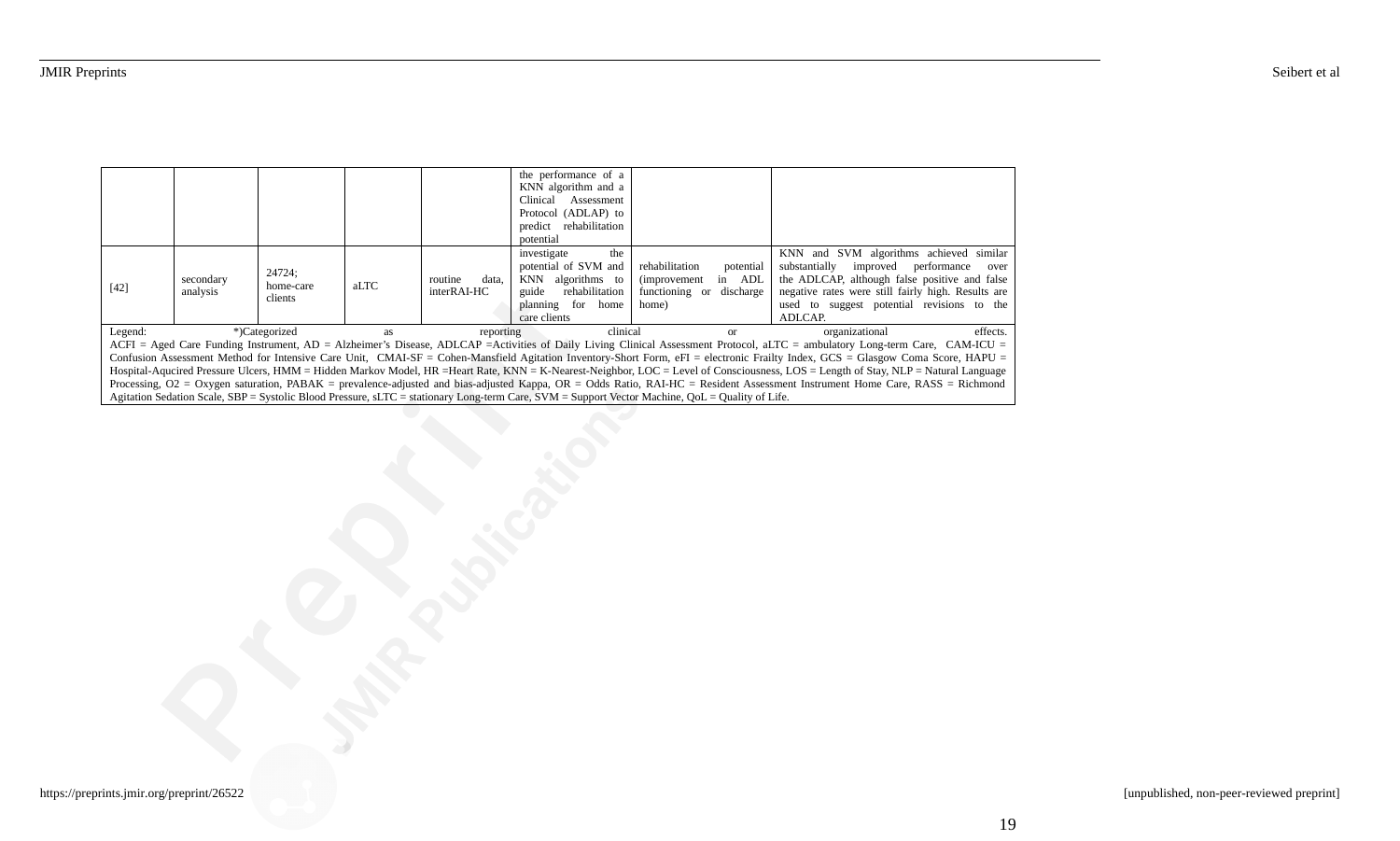|                                                                                                                                                                                    |                                                                                                                                                 |               |           |                  | the performance of a    |                                |                                                    |  |  |
|------------------------------------------------------------------------------------------------------------------------------------------------------------------------------------|-------------------------------------------------------------------------------------------------------------------------------------------------|---------------|-----------|------------------|-------------------------|--------------------------------|----------------------------------------------------|--|--|
|                                                                                                                                                                                    |                                                                                                                                                 |               |           |                  | KNN algorithm and a     |                                |                                                    |  |  |
|                                                                                                                                                                                    |                                                                                                                                                 |               |           |                  | Assessment<br>Clinical  |                                |                                                    |  |  |
|                                                                                                                                                                                    |                                                                                                                                                 |               |           |                  | Protocol (ADLAP) to     |                                |                                                    |  |  |
|                                                                                                                                                                                    |                                                                                                                                                 |               |           |                  | predict rehabilitation  |                                |                                                    |  |  |
|                                                                                                                                                                                    |                                                                                                                                                 |               |           |                  | potential               |                                |                                                    |  |  |
|                                                                                                                                                                                    |                                                                                                                                                 |               |           |                  | the<br>investigate      |                                | KNN and SVM algorithms achieved similar            |  |  |
|                                                                                                                                                                                    |                                                                                                                                                 |               |           |                  | potential of SVM and    | rehabilitation<br>potential    | substantially<br>improved<br>performance<br>over   |  |  |
|                                                                                                                                                                                    | secondary                                                                                                                                       | 24724;        |           | routine<br>data, | KNN algorithms to       | in ADL<br><i>(improvement)</i> | the ADLCAP, although false positive and false      |  |  |
| $[42]$                                                                                                                                                                             | analysis                                                                                                                                        | home-care     | aLTC      | interRAI-HC      | rehabilitation<br>guide | functioning or<br>discharge    | negative rates were still fairly high. Results are |  |  |
|                                                                                                                                                                                    |                                                                                                                                                 | clients       |           |                  | home<br>planning<br>for | home)                          | used to suggest potential revisions to the         |  |  |
|                                                                                                                                                                                    |                                                                                                                                                 |               |           |                  | care clients            |                                | ADLCAP.                                            |  |  |
| Legend:                                                                                                                                                                            |                                                                                                                                                 | *)Categorized | <b>as</b> | reporting        | clinical                | <sub>or</sub>                  | effects.<br>organizational                         |  |  |
| ACFI = Aged Care Funding Instrument, AD = Alzheimer's Disease, ADLCAP =Activities of Daily Living Clinical Assessment Protocol, aLTC = ambulatory Long-term Care, CAM-ICU =        |                                                                                                                                                 |               |           |                  |                         |                                |                                                    |  |  |
| Confusion Assessment Method for Intensive Care Unit, CMAI-SF = Cohen-Mansfield Agitation Inventory-Short Form, eFI = electronic Frailty Index, GCS = Glasgow Coma Score, HAPU =    |                                                                                                                                                 |               |           |                  |                         |                                |                                                    |  |  |
| Hospital-Aqucired Pressure Ulcers, HMM = Hidden Markov Model, HR =Heart Rate, KNN = K-Nearest-Neighbor, LOC = Level of Consciousness, LOS = Length of Stay, NLP = Natural Language |                                                                                                                                                 |               |           |                  |                         |                                |                                                    |  |  |
| Processing, O2 = Oxygen saturation, PABAK = prevalence-adjusted and bias-adjusted Kappa, OR = Odds Ratio, RAI-HC = Resident Assessment Instrument Home Care, RASS = Richmond       |                                                                                                                                                 |               |           |                  |                         |                                |                                                    |  |  |
|                                                                                                                                                                                    | Agitation Sedation Scale, SBP = Systolic Blood Pressure, sLTC = stationary Long-term Care, SVM = Support Vector Machine, QoL = Quality of Life. |               |           |                  |                         |                                |                                                    |  |  |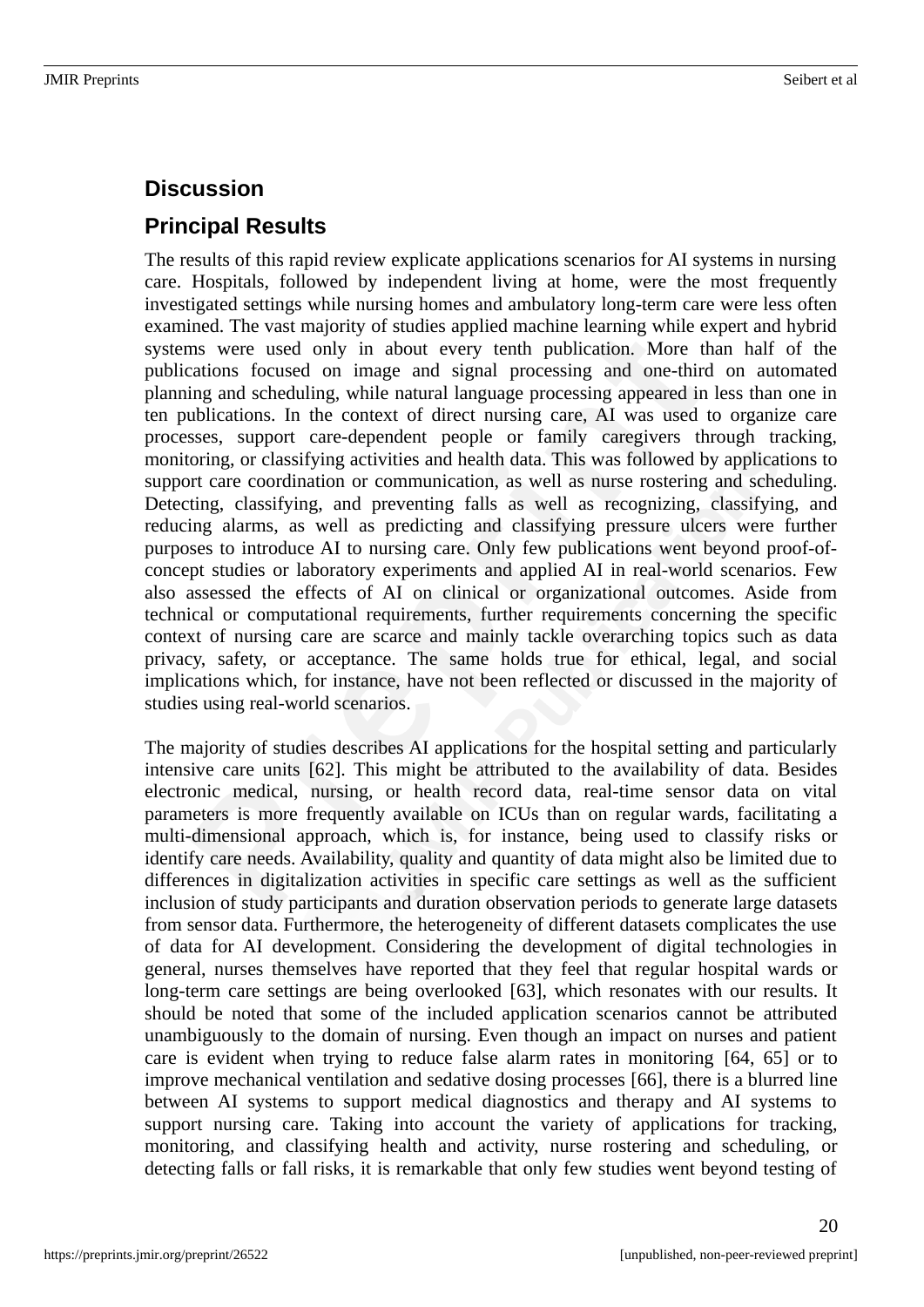# **Discussion**

# **Principal Results**

The results of this rapid review explicate applications scenarios for AI systems in nursing care. Hospitals, followed by independent living at home, were the most frequently investigated settings while nursing homes and ambulatory long-term care were less often examined. The vast majority of studies applied machine learning while expert and hybrid systems were used only in about every tenth publication. More than half of the publications focused on image and signal processing and one-third on automated planning and scheduling, while natural language processing appeared in less than one in ten publications. In the context of direct nursing care, AI was used to organize care processes, support care-dependent people or family caregivers through tracking, monitoring, or classifying activities and health data. This was followed by applications to support care coordination or communication, as well as nurse rostering and scheduling. Detecting, classifying, and preventing falls as well as recognizing, classifying, and reducing alarms, as well as predicting and classifying pressure ulcers were further purposes to introduce AI to nursing care. Only few publications went beyond proof-ofconcept studies or laboratory experiments and applied AI in real-world scenarios. Few also assessed the effects of AI on clinical or organizational outcomes. Aside from technical or computational requirements, further requirements concerning the specific context of nursing care are scarce and mainly tackle overarching topics such as data privacy, safety, or acceptance. The same holds true for ethical, legal, and social implications which, for instance, have not been reflected or discussed in the majority of studies using real-world scenarios.

The majority of studies describes AI applications for the hospital setting and particularly intensive care units [62]. This might be attributed to the availability of data. Besides electronic medical, nursing, or health record data, real-time sensor data on vital parameters is more frequently available on ICUs than on regular wards, facilitating a multi-dimensional approach, which is, for instance, being used to classify risks or identify care needs. Availability, quality and quantity of data might also be limited due to differences in digitalization activities in specific care settings as well as the sufficient inclusion of study participants and duration observation periods to generate large datasets from sensor data. Furthermore, the heterogeneity of different datasets complicates the use of data for AI development. Considering the development of digital technologies in general, nurses themselves have reported that they feel that regular hospital wards or long-term care settings are being overlooked [63], which resonates with our results. It should be noted that some of the included application scenarios cannot be attributed unambiguously to the domain of nursing. Even though an impact on nurses and patient care is evident when trying to reduce false alarm rates in monitoring [64, 65] or to improve mechanical ventilation and sedative dosing processes [66], there is a blurred line between AI systems to support medical diagnostics and therapy and AI systems to support nursing care. Taking into account the variety of applications for tracking, monitoring, and classifying health and activity, nurse rostering and scheduling, or detecting falls or fall risks, it is remarkable that only few studies went beyond testing of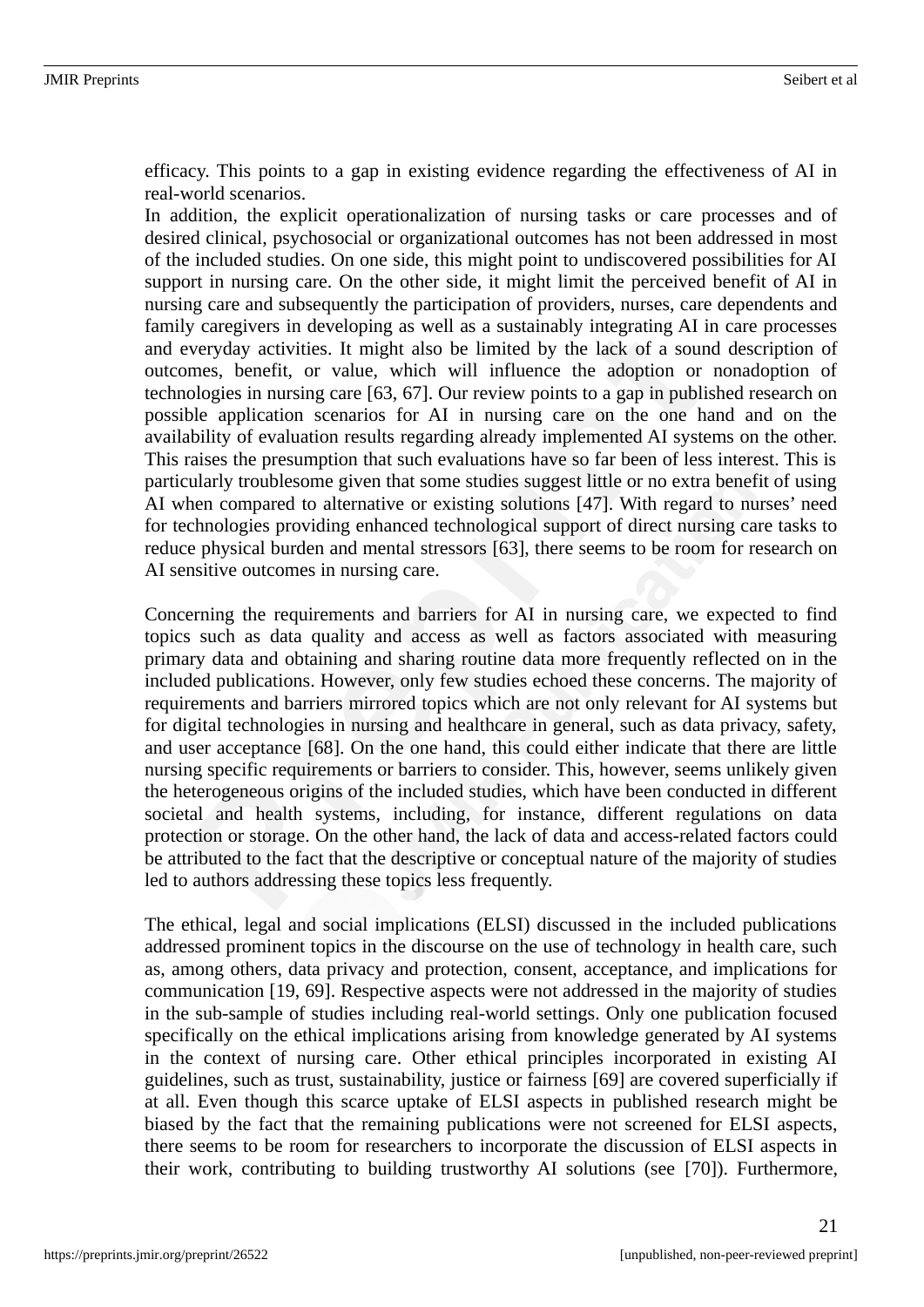efficacy. This points to a gap in existing evidence regarding the effectiveness of AI in real-world scenarios.

In addition, the explicit operationalization of nursing tasks or care processes and of desired clinical, psychosocial or organizational outcomes has not been addressed in most of the included studies. On one side, this might point to undiscovered possibilities for AI support in nursing care. On the other side, it might limit the perceived benefit of AI in nursing care and subsequently the participation of providers, nurses, care dependents and family caregivers in developing as well as a sustainably integrating AI in care processes and everyday activities. It might also be limited by the lack of a sound description of outcomes, benefit, or value, which will influence the adoption or nonadoption of technologies in nursing care [63, 67]. Our review points to a gap in published research on possible application scenarios for AI in nursing care on the one hand and on the availability of evaluation results regarding already implemented AI systems on the other. This raises the presumption that such evaluations have so far been of less interest. This is particularly troublesome given that some studies suggest little or no extra benefit of using AI when compared to alternative or existing solutions [47]. With regard to nurses' need for technologies providing enhanced technological support of direct nursing care tasks to reduce physical burden and mental stressors [63], there seems to be room for research on AI sensitive outcomes in nursing care.

Concerning the requirements and barriers for AI in nursing care, we expected to find topics such as data quality and access as well as factors associated with measuring primary data and obtaining and sharing routine data more frequently reflected on in the included publications. However, only few studies echoed these concerns. The majority of requirements and barriers mirrored topics which are not only relevant for AI systems but for digital technologies in nursing and healthcare in general, such as data privacy, safety, and user acceptance [68]. On the one hand, this could either indicate that there are little nursing specific requirements or barriers to consider. This, however, seems unlikely given the heterogeneous origins of the included studies, which have been conducted in different societal and health systems, including, for instance, different regulations on data protection or storage. On the other hand, the lack of data and access-related factors could be attributed to the fact that the descriptive or conceptual nature of the majority of studies led to authors addressing these topics less frequently.

The ethical, legal and social implications (ELSI) discussed in the included publications addressed prominent topics in the discourse on the use of technology in health care, such as, among others, data privacy and protection, consent, acceptance, and implications for communication [19, 69]. Respective aspects were not addressed in the majority of studies in the sub-sample of studies including real-world settings. Only one publication focused specifically on the ethical implications arising from knowledge generated by AI systems in the context of nursing care. Other ethical principles incorporated in existing AI guidelines, such as trust, sustainability, justice or fairness [69] are covered superficially if at all. Even though this scarce uptake of ELSI aspects in published research might be biased by the fact that the remaining publications were not screened for ELSI aspects, there seems to be room for researchers to incorporate the discussion of ELSI aspects in their work, contributing to building trustworthy AI solutions (see [70]). Furthermore,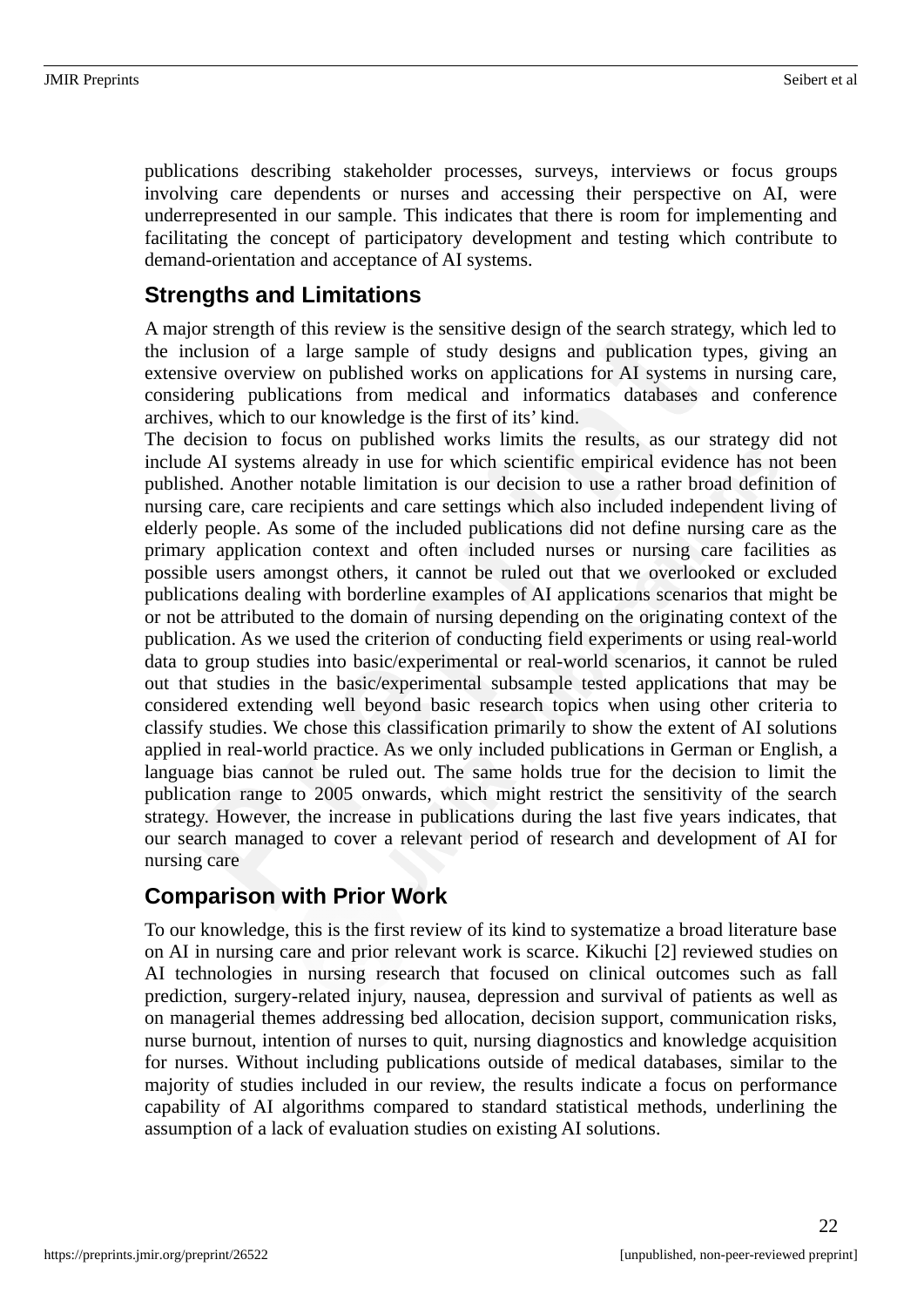publications describing stakeholder processes, surveys, interviews or focus groups involving care dependents or nurses and accessing their perspective on AI, were underrepresented in our sample. This indicates that there is room for implementing and facilitating the concept of participatory development and testing which contribute to demand-orientation and acceptance of AI systems.

### **Strengths and Limitations**

A major strength of this review is the sensitive design of the search strategy, which led to the inclusion of a large sample of study designs and publication types, giving an extensive overview on published works on applications for AI systems in nursing care, considering publications from medical and informatics databases and conference archives, which to our knowledge is the first of its' kind.

The decision to focus on published works limits the results, as our strategy did not include AI systems already in use for which scientific empirical evidence has not been published. Another notable limitation is our decision to use a rather broad definition of nursing care, care recipients and care settings which also included independent living of elderly people. As some of the included publications did not define nursing care as the primary application context and often included nurses or nursing care facilities as possible users amongst others, it cannot be ruled out that we overlooked or excluded publications dealing with borderline examples of AI applications scenarios that might be or not be attributed to the domain of nursing depending on the originating context of the publication. As we used the criterion of conducting field experiments or using real-world data to group studies into basic/experimental or real-world scenarios, it cannot be ruled out that studies in the basic/experimental subsample tested applications that may be considered extending well beyond basic research topics when using other criteria to classify studies. We chose this classification primarily to show the extent of AI solutions applied in real-world practice. As we only included publications in German or English, a language bias cannot be ruled out. The same holds true for the decision to limit the publication range to 2005 onwards, which might restrict the sensitivity of the search strategy. However, the increase in publications during the last five years indicates, that our search managed to cover a relevant period of research and development of AI for nursing care

### **Comparison with Prior Work**

To our knowledge, this is the first review of its kind to systematize a broad literature base on AI in nursing care and prior relevant work is scarce. Kikuchi [2] reviewed studies on AI technologies in nursing research that focused on clinical outcomes such as fall prediction, surgery-related injury, nausea, depression and survival of patients as well as on managerial themes addressing bed allocation, decision support, communication risks, nurse burnout, intention of nurses to quit, nursing diagnostics and knowledge acquisition for nurses. Without including publications outside of medical databases, similar to the majority of studies included in our review, the results indicate a focus on performance capability of AI algorithms compared to standard statistical methods, underlining the assumption of a lack of evaluation studies on existing AI solutions.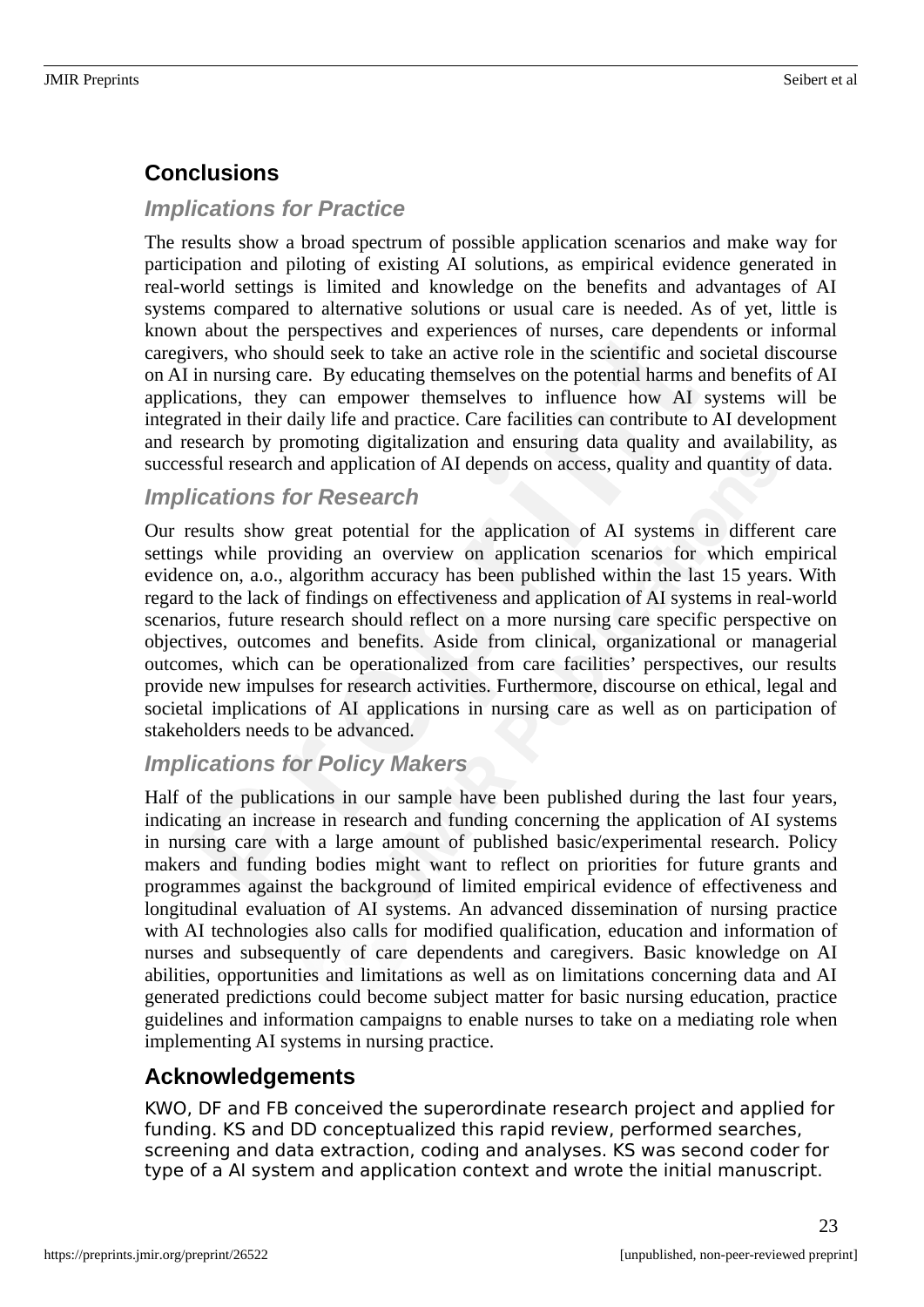## **Conclusions**

#### *Implications for Practice*

The results show a broad spectrum of possible application scenarios and make way for participation and piloting of existing AI solutions, as empirical evidence generated in real-world settings is limited and knowledge on the benefits and advantages of AI systems compared to alternative solutions or usual care is needed. As of yet, little is known about the perspectives and experiences of nurses, care dependents or informal caregivers, who should seek to take an active role in the scientific and societal discourse on AI in nursing care. By educating themselves on the potential harms and benefits of AI applications, they can empower themselves to influence how AI systems will be integrated in their daily life and practice. Care facilities can contribute to AI development and research by promoting digitalization and ensuring data quality and availability, as successful research and application of AI depends on access, quality and quantity of data.

#### *Implications for Research*

Our results show great potential for the application of AI systems in different care settings while providing an overview on application scenarios for which empirical evidence on, a.o., algorithm accuracy has been published within the last 15 years. With regard to the lack of findings on effectiveness and application of AI systems in real-world scenarios, future research should reflect on a more nursing care specific perspective on objectives, outcomes and benefits. Aside from clinical, organizational or managerial outcomes, which can be operationalized from care facilities' perspectives, our results provide new impulses for research activities. Furthermore, discourse on ethical, legal and societal implications of AI applications in nursing care as well as on participation of stakeholders needs to be advanced.

### *Implications for Policy Makers*

Half of the publications in our sample have been published during the last four years, indicating an increase in research and funding concerning the application of AI systems in nursing care with a large amount of published basic/experimental research. Policy makers and funding bodies might want to reflect on priorities for future grants and programmes against the background of limited empirical evidence of effectiveness and longitudinal evaluation of AI systems. An advanced dissemination of nursing practice with AI technologies also calls for modified qualification, education and information of nurses and subsequently of care dependents and caregivers. Basic knowledge on AI abilities, opportunities and limitations as well as on limitations concerning data and AI generated predictions could become subject matter for basic nursing education, practice guidelines and information campaigns to enable nurses to take on a mediating role when implementing AI systems in nursing practice.

### **Acknowledgements**

KWO, DF and FB conceived the superordinate research project and applied for funding. KS and DD conceptualized this rapid review, performed searches, screening and data extraction, coding and analyses. KS was second coder for type of a AI system and application context and wrote the initial manuscript.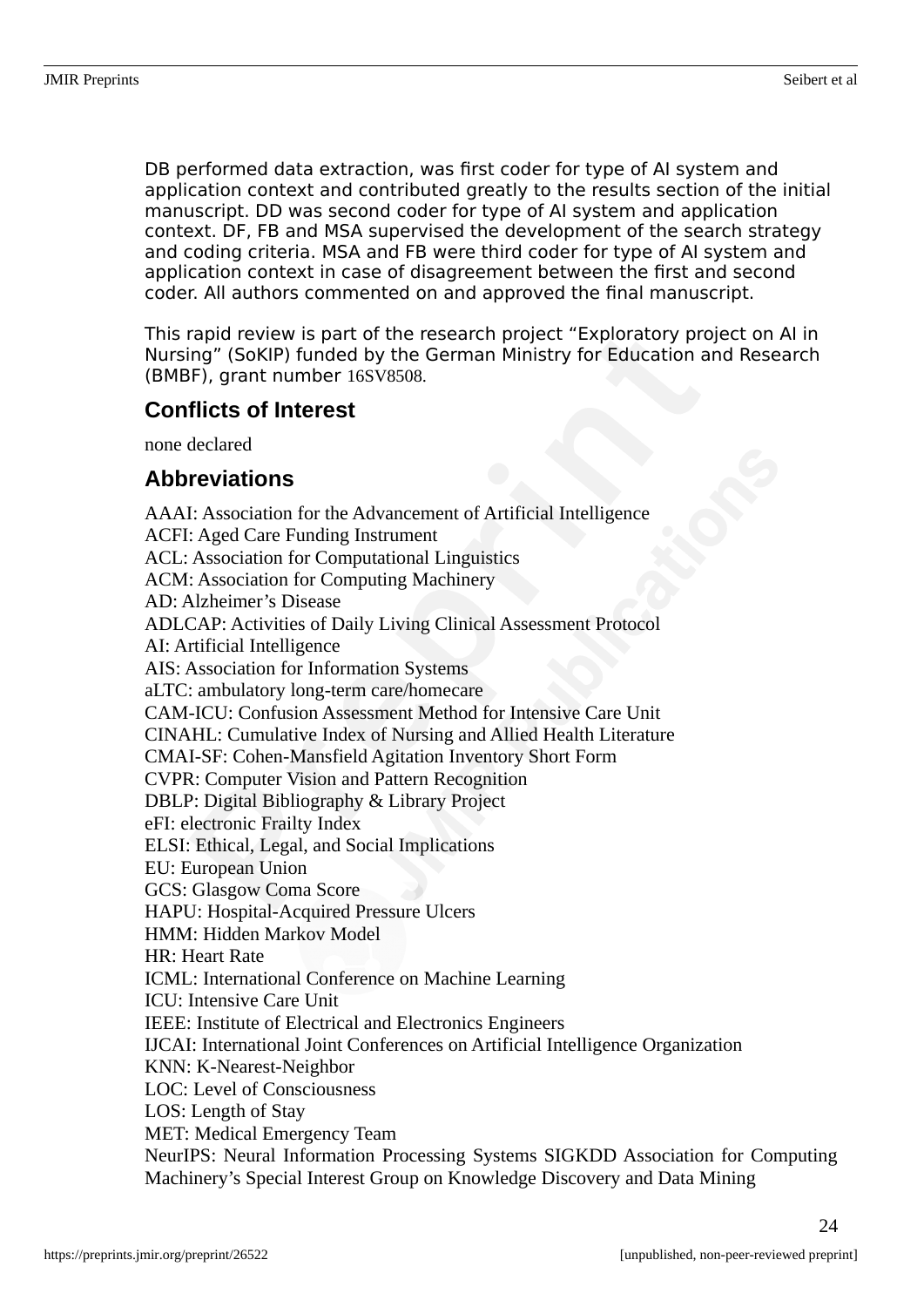DB performed data extraction, was first coder for type of AI system and application context and contributed greatly to the results section of the initial manuscript. DD was second coder for type of AI system and application context. DF, FB and MSA supervised the development of the search strategy and coding criteria. MSA and FB were third coder for type of AI system and application context in case of disagreement between the first and second coder. All authors commented on and approved the final manuscript.

This rapid review is part of the research project "Exploratory project on AI in Nursing" (SoKIP) funded by the German Ministry for Education and Research (BMBF), grant number 16SV8508.

### **Conflicts of Interest**

none declared

# **Abbreviations**

AAAI: Association for the Advancement of Artificial Intelligence ACFI: Aged Care Funding Instrument ACL: Association for Computational Linguistics ACM: Association for Computing Machinery AD: Alzheimer's Disease ADLCAP: Activities of Daily Living Clinical Assessment Protocol AI: Artificial Intelligence AIS: Association for Information Systems aLTC: ambulatory long-term care/homecare CAM-ICU: Confusion Assessment Method for Intensive Care Unit CINAHL: Cumulative Index of Nursing and Allied Health Literature CMAI-SF: Cohen-Mansfield Agitation Inventory Short Form CVPR: Computer Vision and Pattern Recognition DBLP: Digital Bibliography & Library Project eFI: electronic Frailty Index ELSI: Ethical, Legal, and Social Implications EU: European Union GCS: Glasgow Coma Score HAPU: Hospital-Acquired Pressure Ulcers HMM: Hidden Markov Model HR: Heart Rate ICML: International Conference on Machine Learning ICU: Intensive Care Unit IEEE: Institute of Electrical and Electronics Engineers IJCAI: International Joint Conferences on Artificial Intelligence Organization KNN: K-Nearest-Neighbor LOC: Level of Consciousness LOS: Length of Stay MET: Medical Emergency Team NeurIPS: Neural Information Processing Systems SIGKDD Association for Computing Machinery's Special Interest Group on Knowledge Discovery and Data Mining

24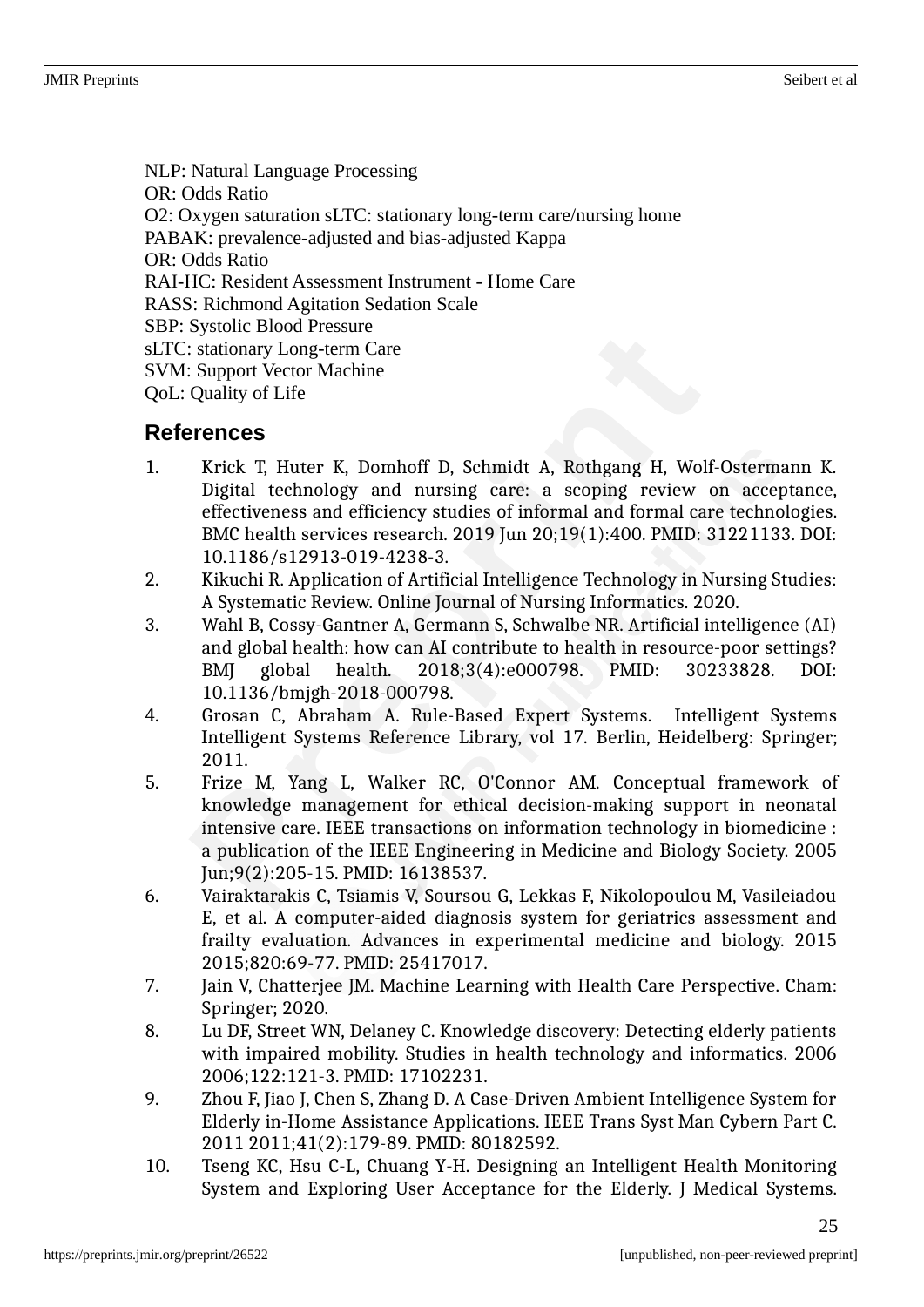NLP: Natural Language Processing OR: Odds Ratio O2: Oxygen saturation sLTC: stationary long-term care/nursing home PABAK: prevalence-adjusted and bias-adjusted Kappa OR: Odds Ratio RAI-HC: Resident Assessment Instrument - Home Care RASS: Richmond Agitation Sedation Scale SBP: Systolic Blood Pressure sLTC: stationary Long-term Care SVM: Support Vector Machine QoL: Quality of Life

### **References**

- 1. Krick T, Huter K, Domhoff D, Schmidt A, Rothgang H, Wolf-Ostermann K. Digital technology and nursing care: a scoping review on acceptance, effectiveness and efficiency studies of informal and formal care technologies. BMC health services research. 2019 Jun 20;19(1):400. PMID: 31221133. DOI: 10.1186/s12913-019-4238-3.
- 2. Kikuchi R. Application of Artificial Intelligence Technology in Nursing Studies: A Systematic Review. Online Journal of Nursing Informatics. 2020.
- 3. Wahl B, Cossy-Gantner A, Germann S, Schwalbe NR. Artificial intelligence (AI) and global health: how can AI contribute to health in resource-poor settings? BMJ global health. 2018;3(4):e000798. PMID: 30233828. DOI: 10.1136/bmjgh-2018-000798.
- 4. Grosan C, Abraham A. Rule-Based Expert Systems. Intelligent Systems Intelligent Systems Reference Library, vol 17. Berlin, Heidelberg: Springer; 2011.
- 5. Frize M, Yang L, Walker RC, O'Connor AM. Conceptual framework of knowledge management for ethical decision-making support in neonatal intensive care. IEEE transactions on information technology in biomedicine : a publication of the IEEE Engineering in Medicine and Biology Society. 2005 Jun;9(2):205-15. PMID: 16138537.
- 6. Vairaktarakis C, Tsiamis V, Soursou G, Lekkas F, Nikolopoulou M, Vasileiadou E, et al. A computer-aided diagnosis system for geriatrics assessment and frailty evaluation. Advances in experimental medicine and biology. 2015 2015;820:69-77. PMID: 25417017.
- 7. Jain V, Chatterjee JM. Machine Learning with Health Care Perspective. Cham: Springer; 2020.
- 8. Lu DF, Street WN, Delaney C. Knowledge discovery: Detecting elderly patients with impaired mobility. Studies in health technology and informatics. 2006 2006;122:121-3. PMID: 17102231.
- 9. Zhou F, Jiao J, Chen S, Zhang D. A Case-Driven Ambient Intelligence System for Elderly in-Home Assistance Applications. IEEE Trans Syst Man Cybern Part C. 2011 2011;41(2):179-89. PMID: 80182592.
- 10. Tseng KC, Hsu C-L, Chuang Y-H. Designing an Intelligent Health Monitoring System and Exploring User Acceptance for the Elderly. J Medical Systems.

25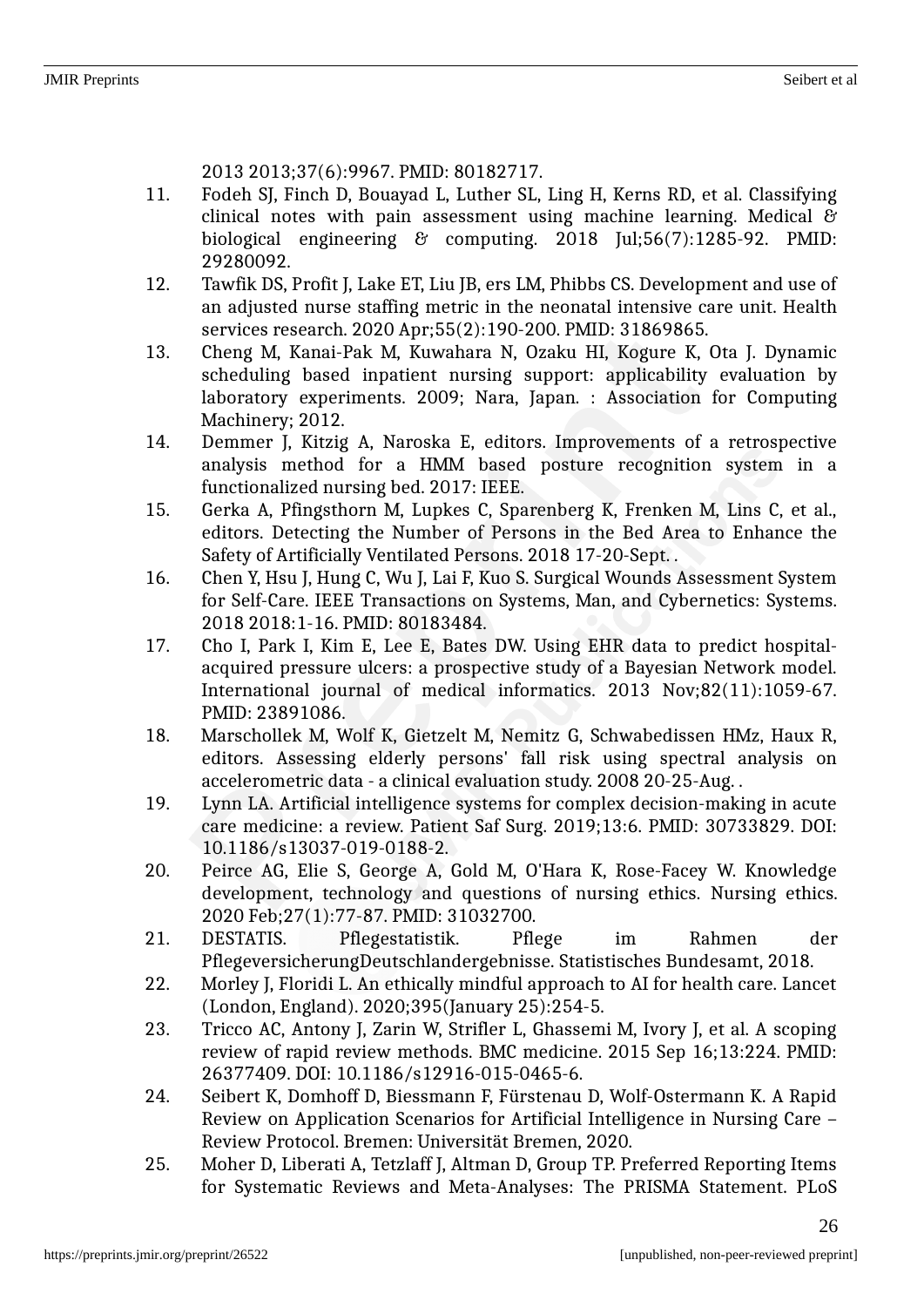2013 2013;37(6):9967. PMID: 80182717.

- 11. Fodeh SJ, Finch D, Bouayad L, Luther SL, Ling H, Kerns RD, et al. Classifying clinical notes with pain assessment using machine learning. Medical & biological engineering & computing. 2018 Jul;56(7):1285-92. PMID: 29280092.
- 12. Tawfik DS, Profit J, Lake ET, Liu JB, ers LM, Phibbs CS. Development and use of an adjusted nurse staffing metric in the neonatal intensive care unit. Health services research. 2020 Apr;55(2):190-200. PMID: 31869865.
- 13. Cheng M, Kanai-Pak M, Kuwahara N, Ozaku HI, Kogure K, Ota J. Dynamic scheduling based inpatient nursing support: applicability evaluation by laboratory experiments. 2009; Nara, Japan. : Association for Computing Machinery; 2012.
- 14. Demmer J, Kitzig A, Naroska E, editors. Improvements of a retrospective analysis method for a HMM based posture recognition system in a functionalized nursing bed. 2017: IEEE.
- 15. Gerka A, Pfingsthorn M, Lupkes C, Sparenberg K, Frenken M, Lins C, et al., editors. Detecting the Number of Persons in the Bed Area to Enhance the Safety of Artificially Ventilated Persons. 2018 17-20-Sept. .
- 16. Chen Y, Hsu J, Hung C, Wu J, Lai F, Kuo S. Surgical Wounds Assessment System for Self-Care. IEEE Transactions on Systems, Man, and Cybernetics: Systems. 2018 2018:1-16. PMID: 80183484.
- 17. Cho I, Park I, Kim E, Lee E, Bates DW. Using EHR data to predict hospitalacquired pressure ulcers: a prospective study of a Bayesian Network model. International journal of medical informatics. 2013 Nov;82(11):1059-67. PMID: 23891086.
- 18. Marschollek M, Wolf K, Gietzelt M, Nemitz G, Schwabedissen HMz, Haux R, editors. Assessing elderly persons' fall risk using spectral analysis on accelerometric data - a clinical evaluation study. 2008 20-25-Aug. .
- 19. Lynn LA. Artificial intelligence systems for complex decision-making in acute care medicine: a review. Patient Saf Surg. 2019;13:6. PMID: 30733829. DOI: 10.1186/s13037-019-0188-2.
- 20. Peirce AG, Elie S, George A, Gold M, O'Hara K, Rose-Facey W. Knowledge development, technology and questions of nursing ethics. Nursing ethics. 2020 Feb;27(1):77-87. PMID: 31032700.
- 21. DESTATIS. Pflegestatistik. Pflege im Rahmen der PflegeversicherungDeutschlandergebnisse. Statistisches Bundesamt, 2018.
- 22. Morley J, Floridi L. An ethically mindful approach to AI for health care. Lancet (London, England). 2020;395(January 25):254-5.
- 23. Tricco AC, Antony J, Zarin W, Strifler L, Ghassemi M, Ivory J, et al. A scoping review of rapid review methods. BMC medicine. 2015 Sep 16;13:224. PMID: 26377409. DOI: 10.1186/s12916-015-0465-6.
- 24. Seibert K, Domhoff D, Biessmann F, Fürstenau D, Wolf-Ostermann K. A Rapid Review on Application Scenarios for Artificial Intelligence in Nursing Care – Review Protocol. Bremen: Universität Bremen, 2020.
- 25. Moher D, Liberati A, Tetzlaff J, Altman D, Group TP. Preferred Reporting Items for Systematic Reviews and Meta-Analyses: The PRISMA Statement. PLoS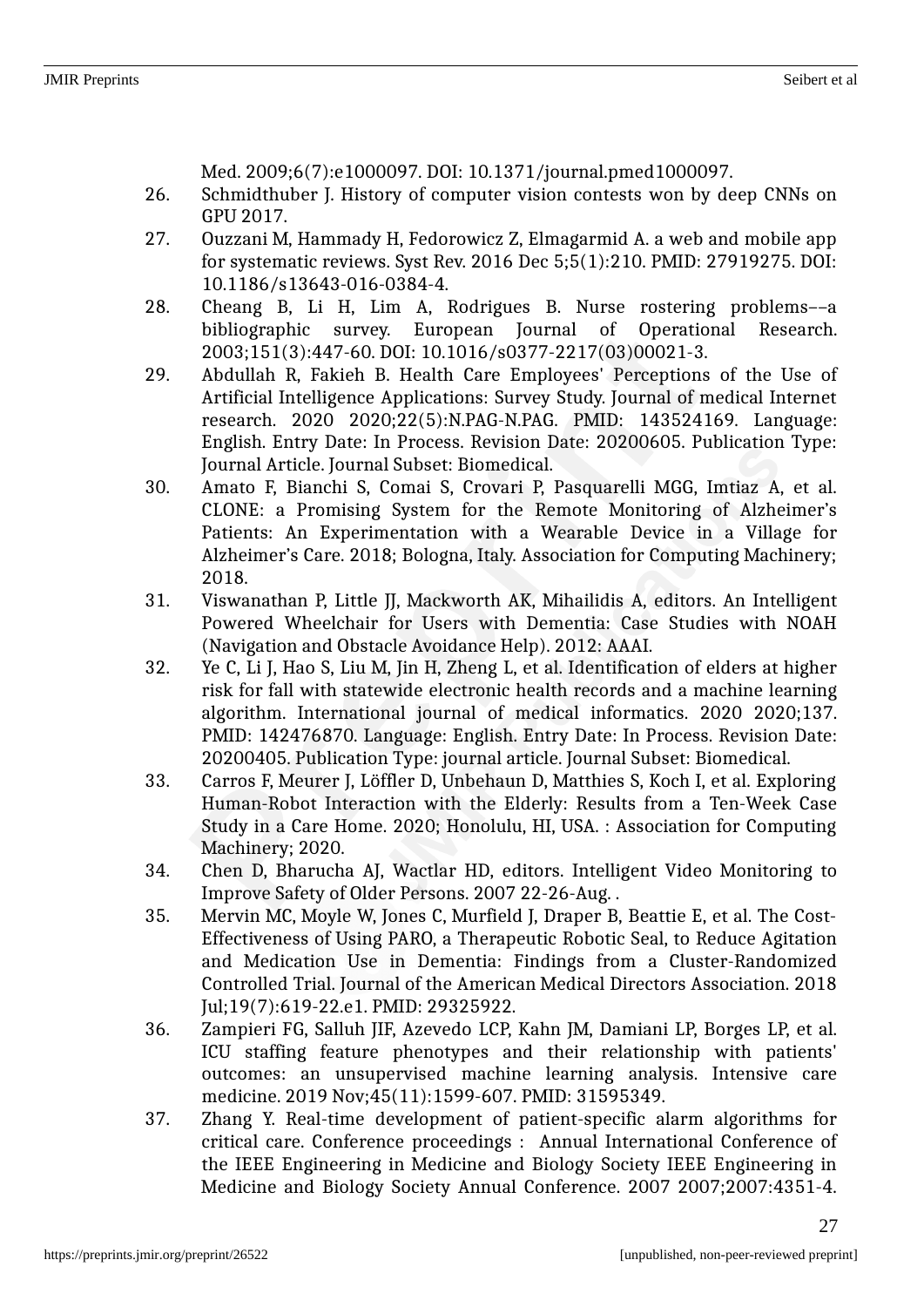Med. 2009;6(7):e1000097. DOI: 10.1371/journal.pmed1000097.

- 26. Schmidthuber J. History of computer vision contests won by deep CNNs on GPU 2017.
- 27. Ouzzani M, Hammady H, Fedorowicz Z, Elmagarmid A. a web and mobile app for systematic reviews. Syst Rev. 2016 Dec 5;5(1):210. PMID: 27919275. DOI: 10.1186/s13643-016-0384-4.
- 28. Cheang B, Li H, Lim A, Rodrigues B. Nurse rostering problems––a bibliographic survey. European Journal of Operational Research. 2003;151(3):447-60. DOI: 10.1016/s0377-2217(03)00021-3.
- 29. Abdullah R, Fakieh B. Health Care Employees' Perceptions of the Use of Artificial Intelligence Applications: Survey Study. Journal of medical Internet research. 2020 2020;22(5):N.PAG-N.PAG. PMID: 143524169. Language: English. Entry Date: In Process. Revision Date: 20200605. Publication Type: Journal Article. Journal Subset: Biomedical.
- 30. Amato F, Bianchi S, Comai S, Crovari P, Pasquarelli MGG, Imtiaz A, et al. CLONE: a Promising System for the Remote Monitoring of Alzheimer's Patients: An Experimentation with a Wearable Device in a Village for Alzheimer's Care. 2018; Bologna, Italy. Association for Computing Machinery; 2018.
- 31. Viswanathan P, Little JJ, Mackworth AK, Mihailidis A, editors. An Intelligent Powered Wheelchair for Users with Dementia: Case Studies with NOAH (Navigation and Obstacle Avoidance Help). 2012: AAAI.
- 32. Ye C, Li J, Hao S, Liu M, Jin H, Zheng L, et al. Identification of elders at higher risk for fall with statewide electronic health records and a machine learning algorithm. International journal of medical informatics. 2020 2020;137. PMID: 142476870. Language: English. Entry Date: In Process. Revision Date: 20200405. Publication Type: journal article. Journal Subset: Biomedical.
- 33. Carros F, Meurer J, Löffler D, Unbehaun D, Matthies S, Koch I, et al. Exploring Human-Robot Interaction with the Elderly: Results from a Ten-Week Case Study in a Care Home. 2020; Honolulu, HI, USA. : Association for Computing Machinery; 2020.
- 34. Chen D, Bharucha AJ, Wactlar HD, editors. Intelligent Video Monitoring to Improve Safety of Older Persons. 2007 22-26-Aug. .
- 35. Mervin MC, Moyle W, Jones C, Murfield J, Draper B, Beattie E, et al. The Cost-Effectiveness of Using PARO, a Therapeutic Robotic Seal, to Reduce Agitation and Medication Use in Dementia: Findings from a Cluster-Randomized Controlled Trial. Journal of the American Medical Directors Association. 2018 Jul;19(7):619-22.e1. PMID: 29325922.
- 36. Zampieri FG, Salluh JIF, Azevedo LCP, Kahn JM, Damiani LP, Borges LP, et al. ICU staffing feature phenotypes and their relationship with patients' outcomes: an unsupervised machine learning analysis. Intensive care medicine. 2019 Nov;45(11):1599-607. PMID: 31595349.
- 37. Zhang Y. Real-time development of patient-specific alarm algorithms for critical care. Conference proceedings : Annual International Conference of the IEEE Engineering in Medicine and Biology Society IEEE Engineering in Medicine and Biology Society Annual Conference. 2007 2007;2007:4351-4.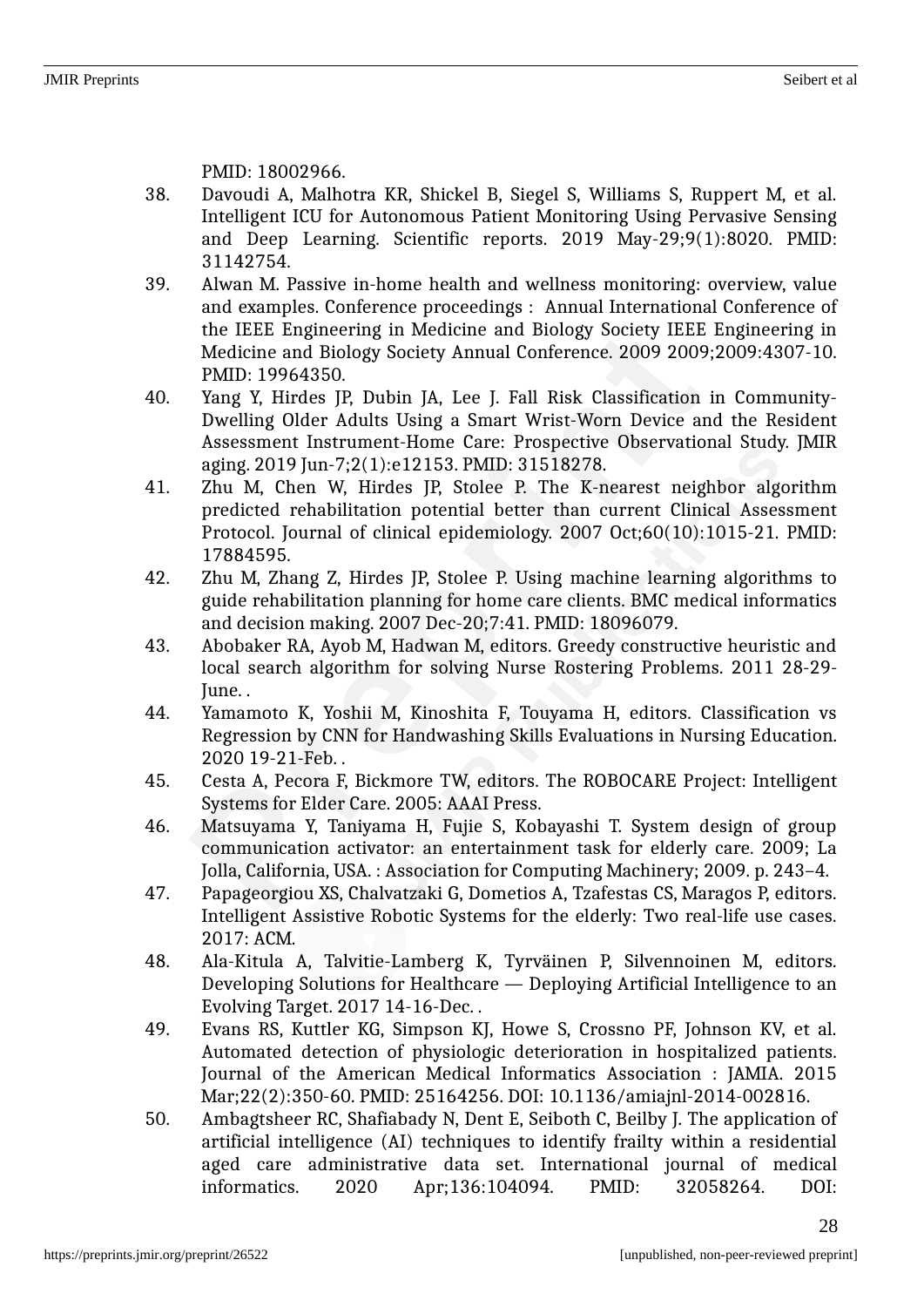PMID: 18002966.

- 38. Davoudi A, Malhotra KR, Shickel B, Siegel S, Williams S, Ruppert M, et al. Intelligent ICU for Autonomous Patient Monitoring Using Pervasive Sensing and Deep Learning. Scientific reports. 2019 May-29;9(1):8020. PMID: 31142754.
- 39. Alwan M. Passive in-home health and wellness monitoring: overview, value and examples. Conference proceedings : Annual International Conference of the IEEE Engineering in Medicine and Biology Society IEEE Engineering in Medicine and Biology Society Annual Conference. 2009 2009;2009:4307-10. PMID: 19964350.
- 40. Yang Y, Hirdes JP, Dubin JA, Lee J. Fall Risk Classification in Community-Dwelling Older Adults Using a Smart Wrist-Worn Device and the Resident Assessment Instrument-Home Care: Prospective Observational Study. JMIR aging. 2019 Jun-7;2(1):e12153. PMID: 31518278.
- 41. Zhu M, Chen W, Hirdes JP, Stolee P. The K-nearest neighbor algorithm predicted rehabilitation potential better than current Clinical Assessment Protocol. Journal of clinical epidemiology. 2007 Oct;60(10):1015-21. PMID: 17884595.
- 42. Zhu M, Zhang Z, Hirdes JP, Stolee P. Using machine learning algorithms to guide rehabilitation planning for home care clients. BMC medical informatics and decision making. 2007 Dec-20;7:41. PMID: 18096079.
- 43. Abobaker RA, Ayob M, Hadwan M, editors. Greedy constructive heuristic and local search algorithm for solving Nurse Rostering Problems. 2011 28-29- June. .
- 44. Yamamoto K, Yoshii M, Kinoshita F, Touyama H, editors. Classification vs Regression by CNN for Handwashing Skills Evaluations in Nursing Education. 2020 19-21-Feb. .
- 45. Cesta A, Pecora F, Bickmore TW, editors. The ROBOCARE Project: Intelligent Systems for Elder Care. 2005: AAAI Press.
- 46. Matsuyama Y, Taniyama H, Fujie S, Kobayashi T. System design of group communication activator: an entertainment task for elderly care. 2009; La Jolla, California, USA. : Association for Computing Machinery; 2009. p. 243–4.
- 47. Papageorgiou XS, Chalvatzaki G, Dometios A, Tzafestas CS, Maragos P, editors. Intelligent Assistive Robotic Systems for the elderly: Two real-life use cases. 2017: ACM.
- 48. Ala-Kitula A, Talvitie-Lamberg K, Tyrväinen P, Silvennoinen M, editors. Developing Solutions for Healthcare — Deploying Artificial Intelligence to an Evolving Target. 2017 14-16-Dec. .
- 49. Evans RS, Kuttler KG, Simpson KJ, Howe S, Crossno PF, Johnson KV, et al. Automated detection of physiologic deterioration in hospitalized patients. Journal of the American Medical Informatics Association : JAMIA. 2015 Mar;22(2):350-60. PMID: 25164256. DOI: 10.1136/amiajnl-2014-002816.
- 50. Ambagtsheer RC, Shafiabady N, Dent E, Seiboth C, Beilby J. The application of artificial intelligence (AI) techniques to identify frailty within a residential aged care administrative data set. International journal of medical informatics. 2020 Apr;136:104094. PMID: 32058264. DOI: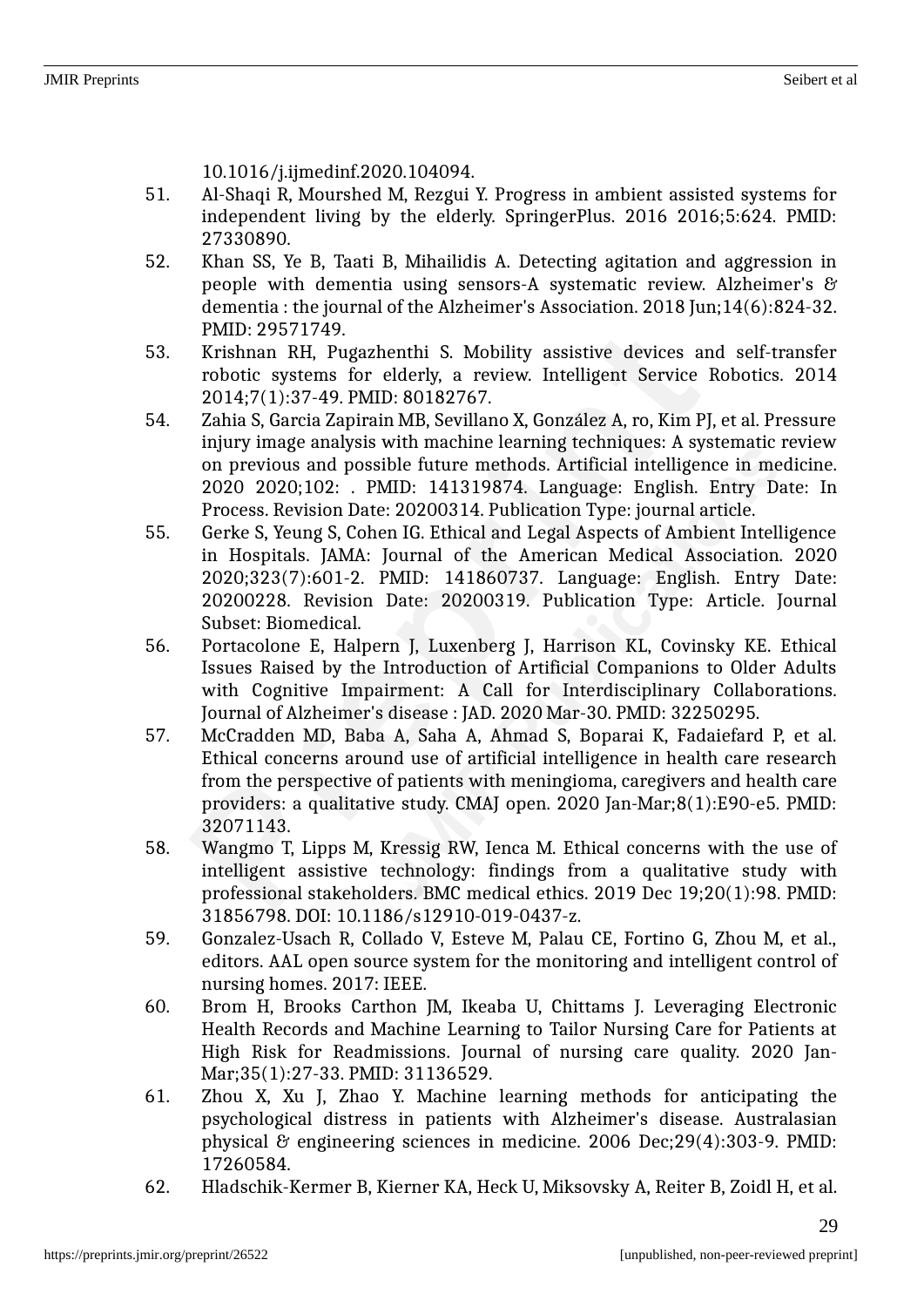10.1016/j.ijmedinf.2020.104094.

- 51. Al-Shaqi R, Mourshed M, Rezgui Y. Progress in ambient assisted systems for independent living by the elderly. SpringerPlus. 2016 2016;5:624. PMID: 27330890.
- 52. Khan SS, Ye B, Taati B, Mihailidis A. Detecting agitation and aggression in people with dementia using sensors-A systematic review. Alzheimer's & dementia : the journal of the Alzheimer's Association. 2018 Jun;14(6):824-32. PMID: 29571749.
- 53. Krishnan RH, Pugazhenthi S. Mobility assistive devices and self-transfer robotic systems for elderly, a review. Intelligent Service Robotics. 2014 2014;7(1):37-49. PMID: 80182767.
- 54. Zahia S, Garcia Zapirain MB, Sevillano X, González A, ro, Kim PJ, et al. Pressure injury image analysis with machine learning techniques: A systematic review on previous and possible future methods. Artificial intelligence in medicine. 2020 2020;102: . PMID: 141319874. Language: English. Entry Date: In Process. Revision Date: 20200314. Publication Type: journal article.
- 55. Gerke S, Yeung S, Cohen IG. Ethical and Legal Aspects of Ambient Intelligence in Hospitals. JAMA: Journal of the American Medical Association. 2020 2020;323(7):601-2. PMID: 141860737. Language: English. Entry Date: 20200228. Revision Date: 20200319. Publication Type: Article. Journal Subset: Biomedical.
- 56. Portacolone E, Halpern J, Luxenberg J, Harrison KL, Covinsky KE. Ethical Issues Raised by the Introduction of Artificial Companions to Older Adults with Cognitive Impairment: A Call for Interdisciplinary Collaborations. Journal of Alzheimer's disease : JAD. 2020 Mar-30. PMID: 32250295.
- 57. McCradden MD, Baba A, Saha A, Ahmad S, Boparai K, Fadaiefard P, et al. Ethical concerns around use of artificial intelligence in health care research from the perspective of patients with meningioma, caregivers and health care providers: a qualitative study. CMAJ open. 2020 Jan-Mar;8(1):E90-e5. PMID: 32071143.
- 58. Wangmo T, Lipps M, Kressig RW, Ienca M. Ethical concerns with the use of intelligent assistive technology: findings from a qualitative study with professional stakeholders. BMC medical ethics. 2019 Dec 19;20(1):98. PMID: 31856798. DOI: 10.1186/s12910-019-0437-z.
- 59. Gonzalez-Usach R, Collado V, Esteve M, Palau CE, Fortino G, Zhou M, et al., editors. AAL open source system for the monitoring and intelligent control of nursing homes. 2017: IEEE.
- 60. Brom H, Brooks Carthon JM, Ikeaba U, Chittams J. Leveraging Electronic Health Records and Machine Learning to Tailor Nursing Care for Patients at High Risk for Readmissions. Journal of nursing care quality. 2020 Jan-Mar;35(1):27-33. PMID: 31136529.
- 61. Zhou X, Xu J, Zhao Y. Machine learning methods for anticipating the psychological distress in patients with Alzheimer's disease. Australasian physical & engineering sciences in medicine. 2006 Dec;29(4):303-9. PMID: 17260584.
- 62. Hladschik-Kermer B, Kierner KA, Heck U, Miksovsky A, Reiter B, Zoidl H, et al.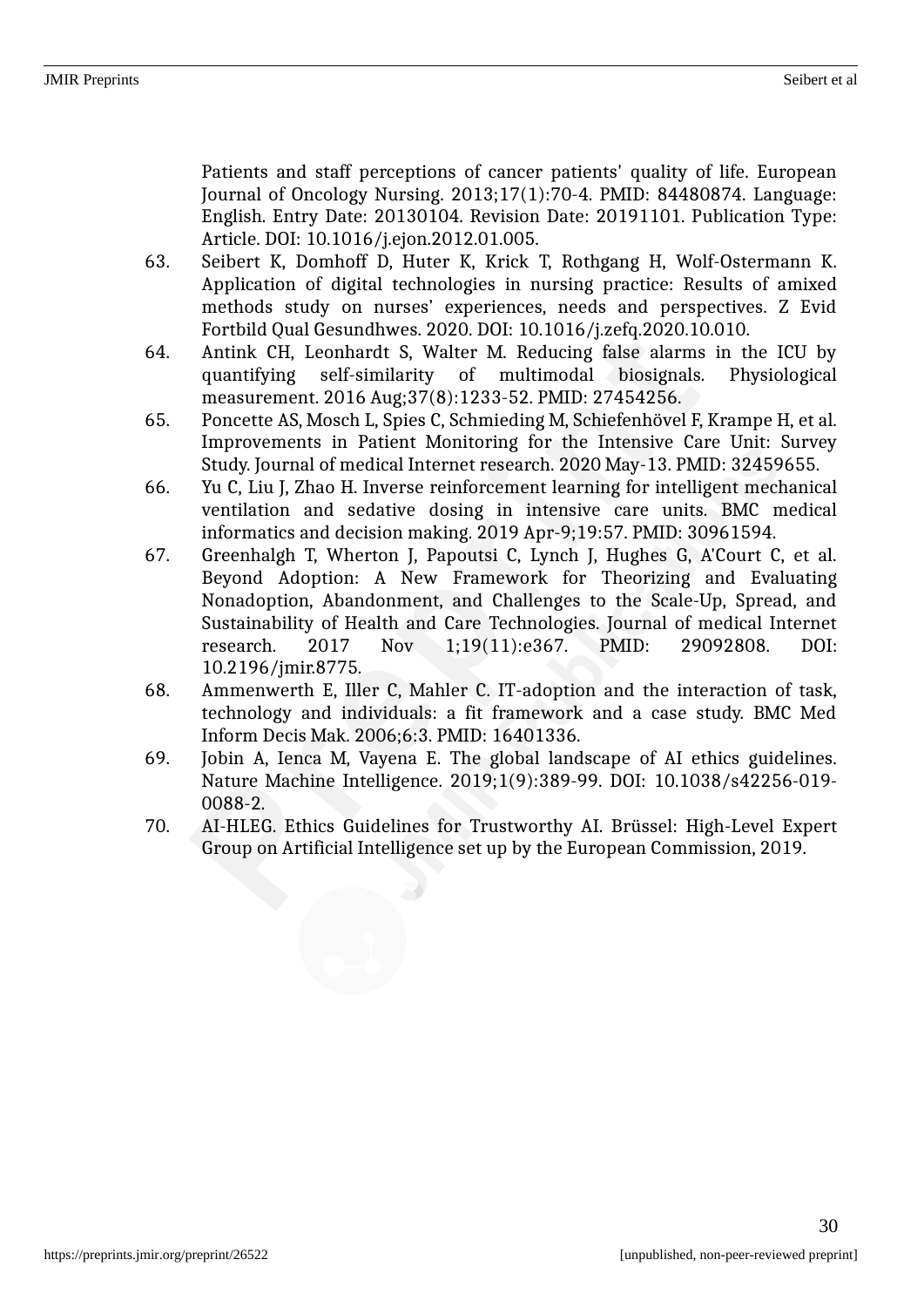Patients and staff perceptions of cancer patients' quality of life. European Journal of Oncology Nursing. 2013;17(1):70-4. PMID: 84480874. Language: English. Entry Date: 20130104. Revision Date: 20191101. Publication Type: Article. DOI: 10.1016/j.ejon.2012.01.005.

- 63. Seibert K, Domhoff D, Huter K, Krick T, Rothgang H, Wolf-Ostermann K. Application of digital technologies in nursing practice: Results of amixed methods study on nurses' experiences, needs and perspectives. Z Evid Fortbild Qual Gesundhwes. 2020. DOI: 10.1016/j.zefq.2020.10.010.
- 64. Antink CH, Leonhardt S, Walter M. Reducing false alarms in the ICU by quantifying self-similarity of multimodal biosignals. Physiological measurement. 2016 Aug;37(8):1233-52. PMID: 27454256.
- 65. Poncette AS, Mosch L, Spies C, Schmieding M, Schiefenhövel F, Krampe H, et al. Improvements in Patient Monitoring for the Intensive Care Unit: Survey Study. Journal of medical Internet research. 2020 May-13. PMID: 32459655.
- 66. Yu C, Liu J, Zhao H. Inverse reinforcement learning for intelligent mechanical ventilation and sedative dosing in intensive care units. BMC medical informatics and decision making. 2019 Apr-9;19:57. PMID: 30961594.
- 67. Greenhalgh T, Wherton J, Papoutsi C, Lynch J, Hughes G, A'Court C, et al. Beyond Adoption: A New Framework for Theorizing and Evaluating Nonadoption, Abandonment, and Challenges to the Scale-Up, Spread, and Sustainability of Health and Care Technologies. Journal of medical Internet research. 2017 Nov 1;19(11):e367. PMID: 29092808. DOI: 10.2196/jmir.8775.
- 68. Ammenwerth E, Iller C, Mahler C. IT-adoption and the interaction of task, technology and individuals: a fit framework and a case study. BMC Med Inform Decis Mak. 2006;6:3. PMID: 16401336.
- 69. Jobin A, Ienca M, Vayena E. The global landscape of AI ethics guidelines. Nature Machine Intelligence. 2019;1(9):389-99. DOI: 10.1038/s42256-019- 0088-2.
- 70. AI-HLEG. Ethics Guidelines for Trustworthy AI. Brüssel: High-Level Expert Group on Artificial Intelligence set up by the European Commission, 2019.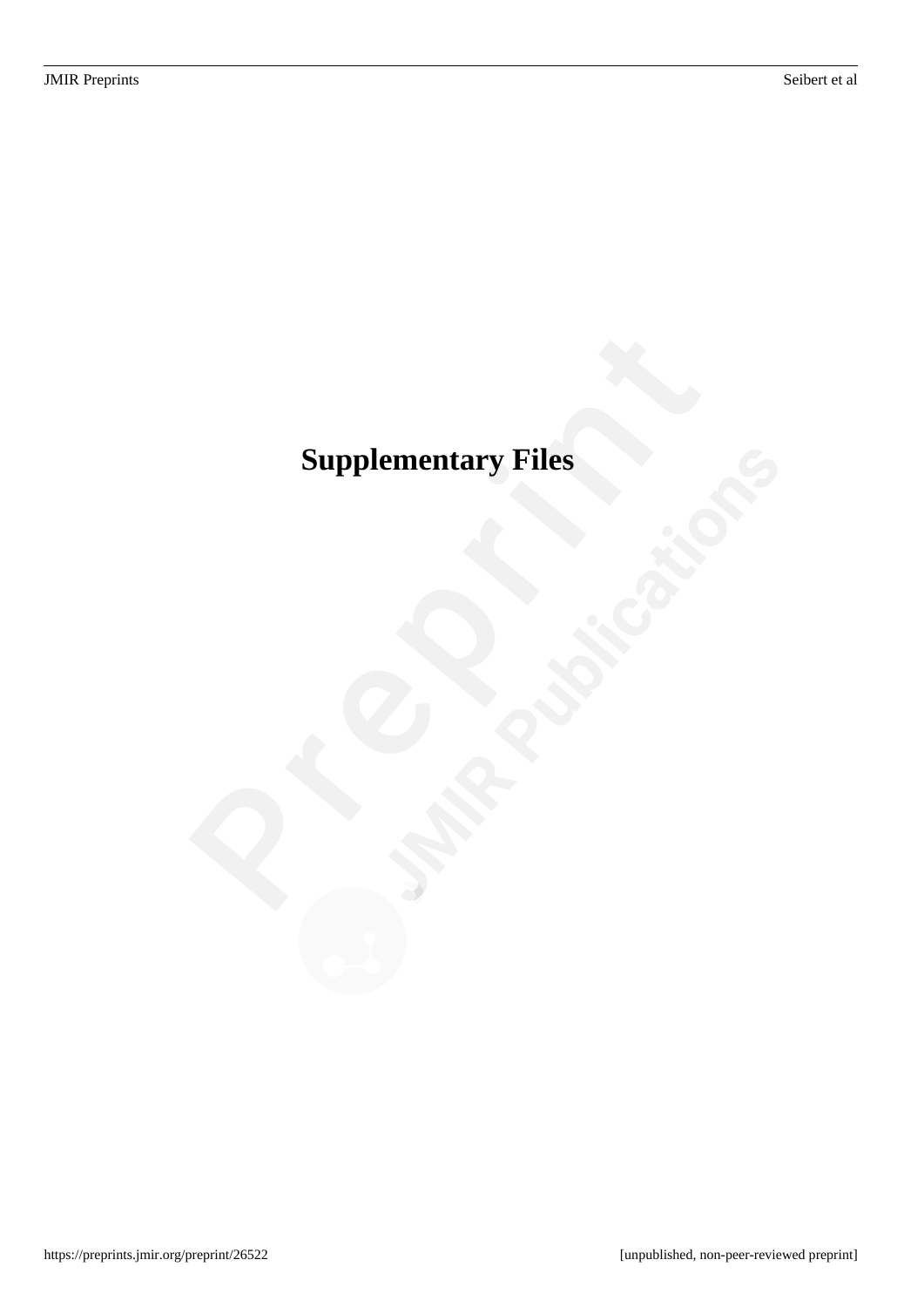# <span id="page-35-0"></span>**Supplementary Files**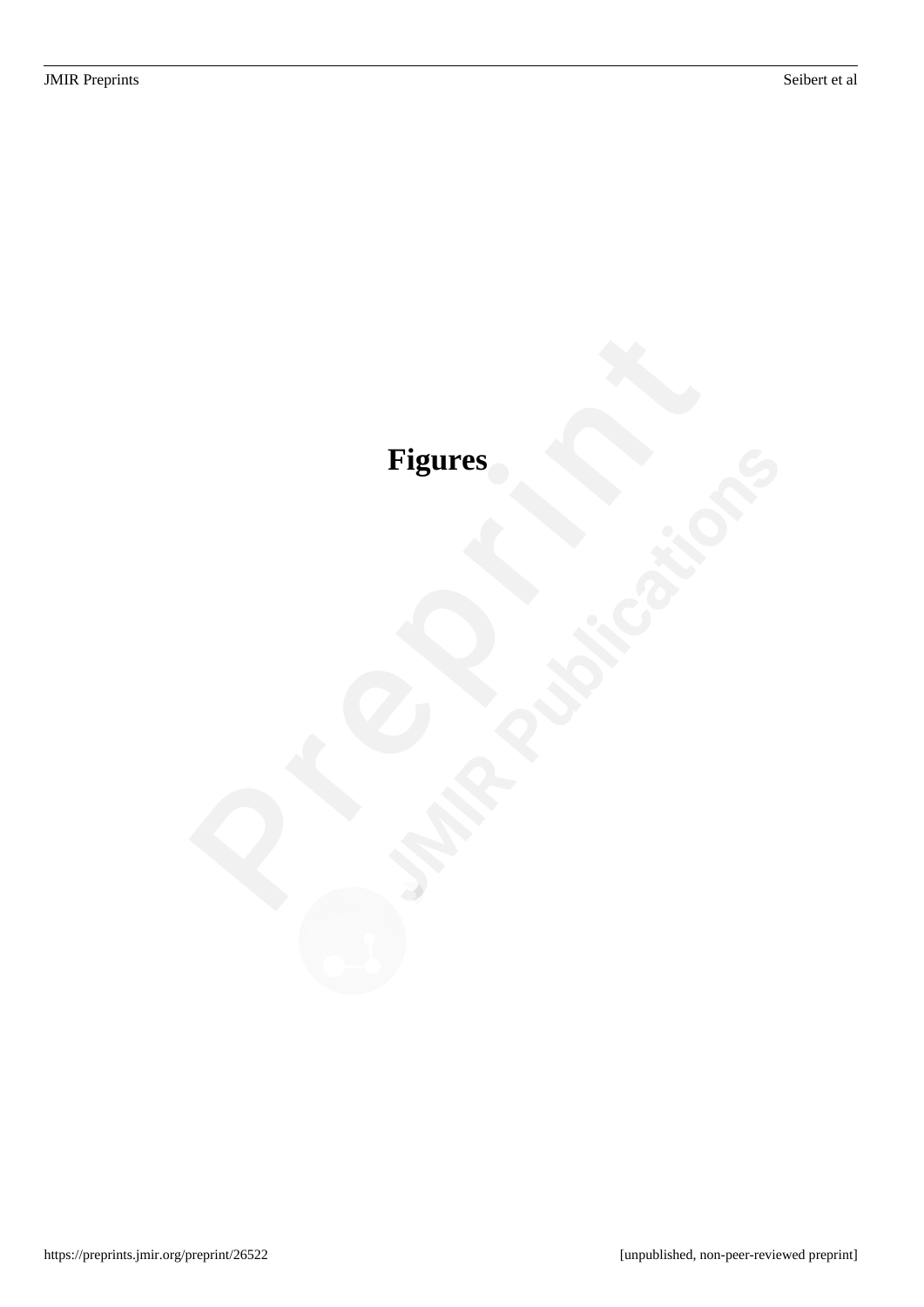# <span id="page-36-0"></span>**Figures**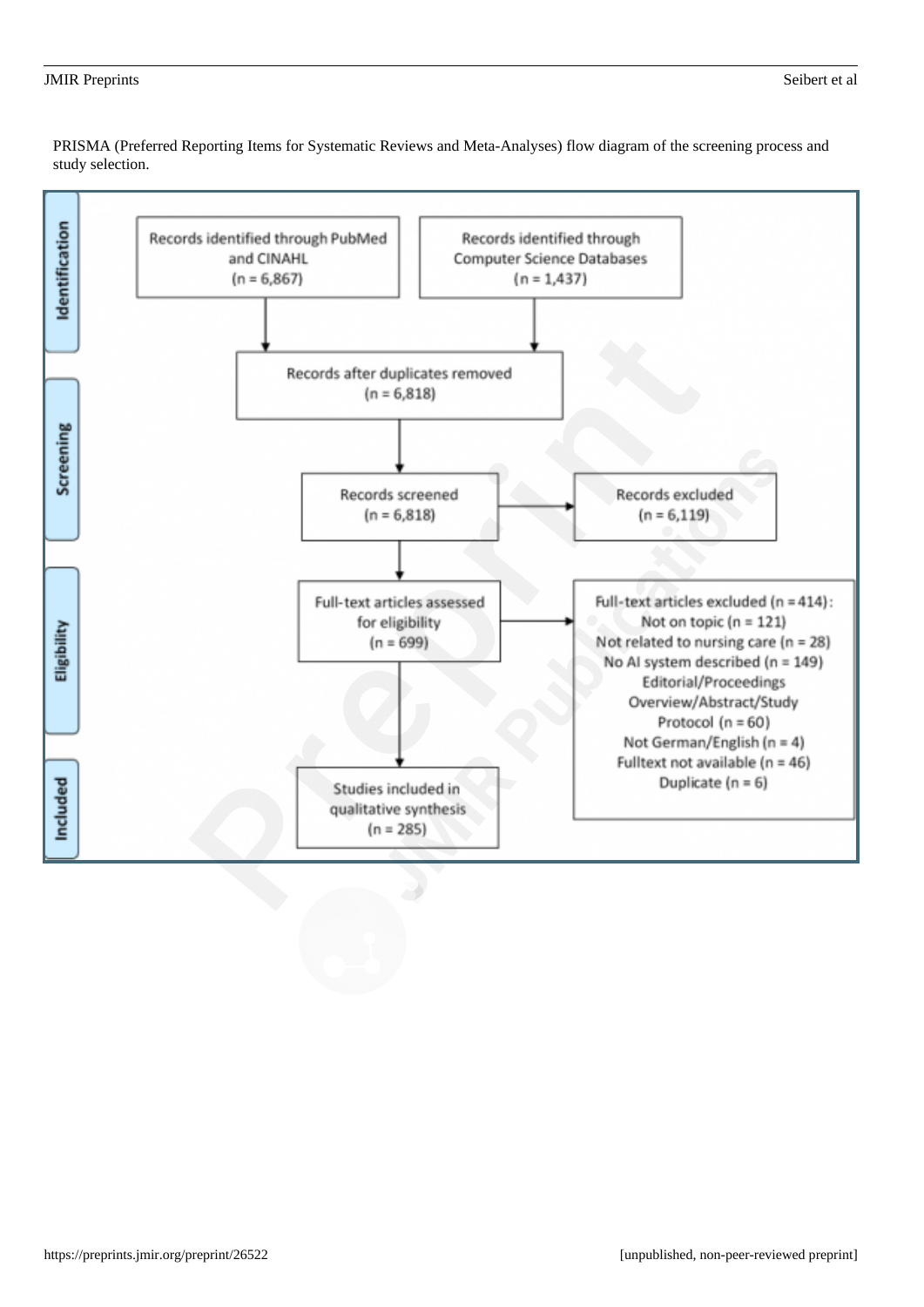#### <span id="page-37-0"></span>JMIR Preprints Seibert et al

PRISMA (Preferred Reporting Items for Systematic Reviews and Meta-Analyses) flow diagram of the screening process and study selection.

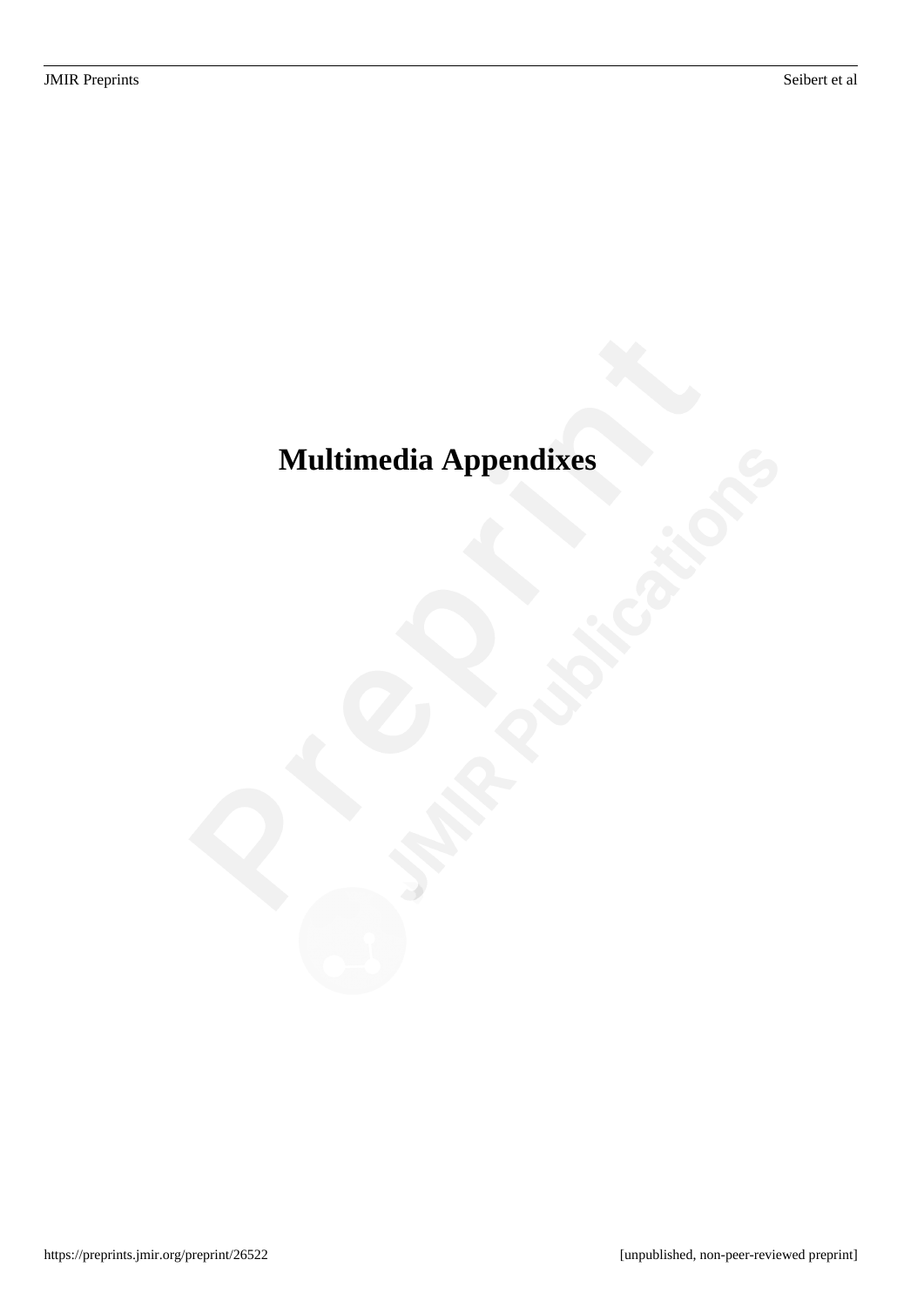# <span id="page-38-0"></span>**Multimedia Appendixes**